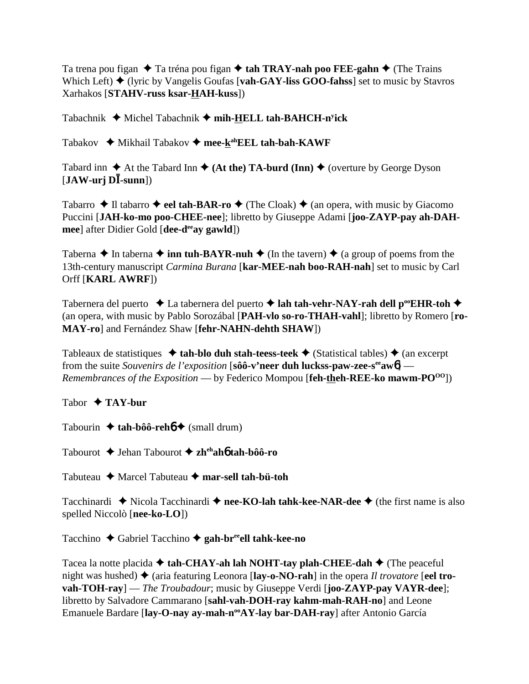Ta trena pou figan  $\triangle$  Ta tréna pou figan  $\triangle$  tah TRAY-nah poo FEE-gahn  $\triangle$  (The Trains Which Left)  $\blacklozenge$  (lyric by Vangelis Goufas [**vah-GAY-liss GOO-fahss**] set to music by Stavros Xarhakos [**STAHV-russ ksar-HAH-kuss**])

Tabachnik ◆ Michel Tabachnik ◆ mih-HELL tah-BAHCH-n<sup>y</sup>ick

Tabakov **→** Mikhail Tabakov → mee-k<sup>ah</sup>EEL tah-bah-KAWF

Tabard inn  $\triangle$  At the Tabard Inn  $\triangle$  (At the) TA-burd (Inn)  $\triangle$  (overture by George Dyson  $[\textbf{JAW-uri}\ \textbf{D}\bar{\textbf{I}}\text{-}sum])$ 

Tabarro  $\triangle$  Il tabarro  $\triangle$  eel tah-BAR-ro  $\triangle$  (The Cloak)  $\triangle$  (an opera, with music by Giacomo Puccini [**JAH-ko-mo poo-CHEE-nee**]; libretto by Giuseppe Adami [**joo-ZAYP-pay ah-DAHmee**] after Didier Gold [**dee-deeay gawld**])

Taberna  $\triangle$  In taberna  $\triangle$  inn tuh-BAYR-nuh  $\triangle$  (In the tavern)  $\triangle$  (a group of poems from the 13th-century manuscript *Carmina Burana* [**kar-MEE-nah boo-RAH-nah**] set to music by Carl Orff [**KARL AWRF**])

Tabernera del puerto  $\triangle$  La tabernera del puerto  $\triangle$  lah tah-vehr-NAY-rah dell p<sup>oo</sup>EHR-toh  $\triangle$ (an opera, with music by Pablo Sorozábal [**PAH-vlo so-ro-THAH-vahl**]; libretto by Romero [**ro-MAY-ro**] and Fernández Shaw [**fehr-NAHN-dehth SHAW**])

Tableaux de statistiques  $\triangleleft$  tah-blo duh stah-teess-teek  $\triangleleft$  (Statistical tables)  $\triangleleft$  (an excerpt from the suite *Souvenirs de l'exposition* [**sôô-v'neer duh luckss-paw-zee-seeaw**6] — *Remembrances of the Exposition* — by Federico Mompou [feh-theh-REE-ko mawm-PO<sup>00</sup>])

Tabor **TAY-bur**

Tabourin  $\triangleleft$  tah-bôô-reh $\phi$  (small drum)

Tabourot Jehan Tabourot **zhehah**6 **tah-bôô-ro**

Tabuteau Marcel Tabuteau **mar-sell tah-bü-toh**

Tacchinardi  $\triangle$  Nicola Tacchinardi  $\triangle$  nee-KO-lah tahk-kee-NAR-dee  $\triangle$  (the first name is also spelled Niccolò [**nee-ko-LO**])

Tacchino ◆ Gabriel Tacchino ◆ gah-br<sup>ee</sup>ell tahk-kee-no

Tacea la notte placida  $\triangle$  tah-CHAY-ah lah NOHT-tay plah-CHEE-dah  $\triangle$  (The peaceful night was hushed)  $\triangle$  (aria featuring Leonora [lay-o-NO-rah] in the opera *Il trovatore* [eel tro**vah-TOH-ray**] — *The Troubadour*; music by Giuseppe Verdi [**joo-ZAYP-pay VAYR-dee**]; libretto by Salvadore Cammarano [**sahl-vah-DOH-ray kahm-mah-RAH-no**] and Leone Emanuele Bardare [lay-O-nay ay-mah-n<sup>oo</sup>AY-lay bar-DAH-ray] after Antonio García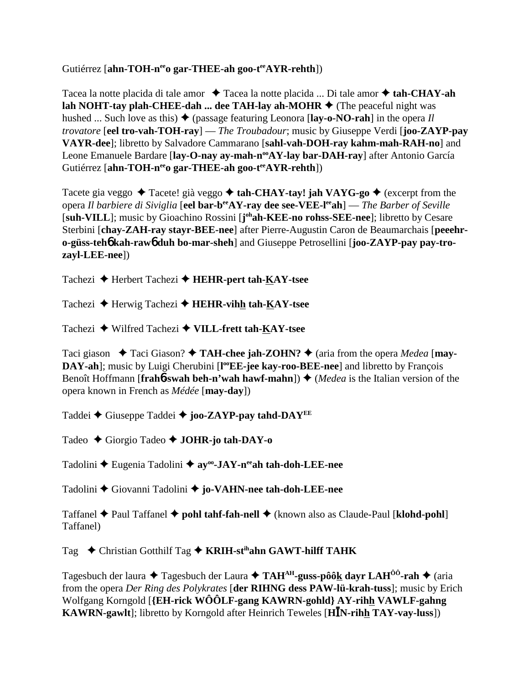### Gutiérrez [ahn-TOH-n<sup>ee</sup>o gar-THEE-ah goo-t<sup>ee</sup>AYR-rehth])

Tacea la notte placida di tale amor ◆ Tacea la notte placida ... Di tale amor ◆ tah-CHAY-ah **lah NOHT-tay plah-CHEE-dah ... dee TAH-lay ah-MOHR**  $\blacklozenge$  (The peaceful night was hushed ... Such love as this)  $\blacklozenge$  (passage featuring Leonora [lay-o-NO-rah] in the opera *Il trovatore* [**eel tro-vah-TOH-ray**] — *The Troubadour*; music by Giuseppe Verdi [**joo-ZAYP-pay VAYR-dee**]; libretto by Salvadore Cammarano [**sahl-vah-DOH-ray kahm-mah-RAH-no**] and Leone Emanuele Bardare [lay-O-nay ay-mah-n<sup>oo</sup>AY-lay bar-DAH-ray] after Antonio García Gutiérrez [ahn-TOH-n<sup>ee</sup>o gar-THEE-ah goo-t<sup>ee</sup>AYR-rehth])

Tacete gia veggo **→** Tacete! già veggo **→ tah-CHAY-tay! jah VAYG-go →** (excerpt from the opera *Il barbiere di Siviglia* [**eel bar-beeAY-ray dee see-VEE-leeah**] — *The Barber of Seville* [suh-VILL]; music by Gioachino Rossini [johah-KEE-no rohss-SEE-nee]; libretto by Cesare Sterbini [**chay-ZAH-ray stayr-BEE-nee**] after Pierre-Augustin Caron de Beaumarchais [**peeehro-güss-teh**6 **kah-raw**6 **duh bo-mar-sheh**] and Giuseppe Petrosellini [**joo-ZAYP-pay pay-trozayl-LEE-nee**])

Tachezi Herbert Tachezi **HEHR-pert tah-KAY-tsee**

Tachezi **→** Herwig Tachezi → **HEHR-vihh tah-KAY-tsee** 

Tachezi Wilfred Tachezi **VILL-frett tah-KAY-tsee**

Taci giason  $\triangle$  Taci Giason?  $\triangle$  TAH-chee jah-ZOHN?  $\triangle$  (aria from the opera *Medea* [may-**DAY-ah**]; music by Luigi Cherubini [l<sup>oo</sup>EE-jee kay-roo-BEE-nee] and libretto by François Benoît Hoffmann [**frah6**-swah beh-n'wah hawf-mahn])  $\blacklozenge$  (*Medea* is the Italian version of the opera known in French as *Médée* [**may-day**])

Taddei **←** Giuseppe Taddei ← joo-ZAYP-pay tahd-DAY<sup>EE</sup>

Tadeo Giorgio Tadeo **JOHR-jo tah-DAY-o**

Tadolini ◆ Eugenia Tadolini ◆ ay<sup>oo</sup>-JAY-n<sup>ee</sup>ah tah-doh-LEE-nee

Tadolini Giovanni Tadolini **jo-VAHN-nee tah-doh-LEE-nee**

Taffanel **→** Paul Taffanel **→ pohl tahf-fah-nell** → (known also as Claude-Paul [**klohd-pohl**] Taffanel)

Tag **← Christian Gotthilf Tag ← KRIH-st<sup>ih</sup>ahn GAWT-hilff TAHK** 

Tagesbuch der laura  $\triangle$  Tagesbuch der Laura  $\triangle$  TAH<sup>AH</sup>-guss-pôôk dayr LAH<sup> $0$ ô</sup>-rah  $\triangle$  (aria from the opera *Der Ring des Polykrates* [**der RIHNG dess PAW-lü-krah-tuss**]; music by Erich Wolfgang Korngold [**{EH-rick WÔÔLF-gang KAWRN-gohld} AY-rihh VAWLF-gahng KAWRN-gawlt**]; libretto by Korngold after Heinrich Teweles [**HN-rihh TAY-vay-luss**])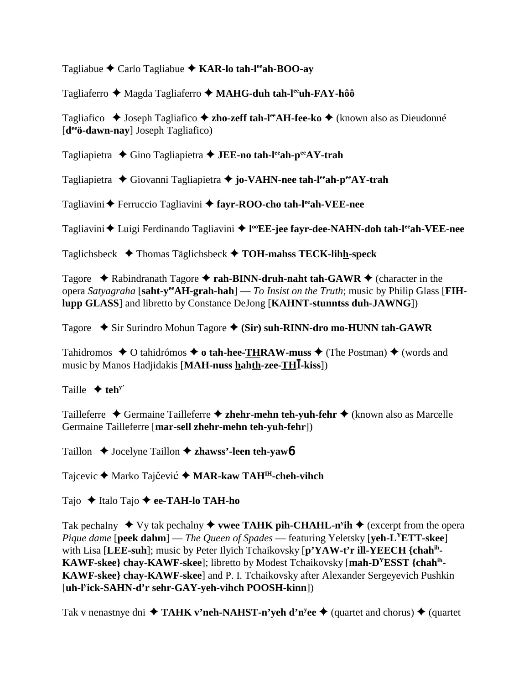Tagliabue Carlo Tagliabue **KAR-lo tah-leeah-BOO-ay**

Tagliaferro ◆ Magda Tagliaferro ◆ MAHG-duh tah-l<sup>ee</sup>uh-FAY-hôô

Tagliafico ◆ Joseph Tagliafico ◆ zho-zeff tah-l<sup>ee</sup>AH-fee-ko ◆ (known also as Dieudonné [**deeö-dawn-nay**] Joseph Tagliafico)

Tagliapietra ◆ Gino Tagliapietra ◆ **JEE-no tah-l<sup>ee</sup>ah-p<sup>ee</sup>AY-trah** 

Tagliapietra Giovanni Tagliapietra **jo-VAHN-nee tah-leeah-peeAY-trah**

Tagliavini **←** Ferruccio Tagliavini ← fayr-ROO-cho tah-l<sup>ee</sup>ah-VEE-nee

Tagliavini ◆ Luigi Ferdinando Tagliavini ◆ l<sup>oo</sup>EE-jee fayr-dee-NAHN-doh tah-l<sup>ee</sup>ah-VEE-nee

Taglichsbeck Thomas Täglichsbeck **TOH-mahss TECK-lihh-speck**

Tagore  $\triangle$  Rabindranath Tagore  $\triangle$  rah-BINN-druh-naht tah-GAWR  $\triangle$  (character in the opera *Satyagraha* [**saht-yeeAH-grah-hah**] — *To Insist on the Truth*; music by Philip Glass [**FIHlupp GLASS**] and libretto by Constance DeJong [**KAHNT-stunntss duh-JAWNG**])

Tagore  $\div$  Sir Surindro Mohun Tagore  $\div$  (Sir) suh-RINN-dro mo-HUNN tah-GAWR

Tahidromos  $\triangle$  O tahidrómos  $\triangle$  o tah-hee-THRAW-muss  $\triangle$  (The Postman)  $\triangle$  (words and music by Manos Hadjidakis [**MAH-nuss hahth-zee-TH-kiss**])

Taille  $\triangleleft$  teh<sup>y'</sup>

Tailleferre Germaine Tailleferre **zhehr-mehn teh-yuh-fehr** (known also as Marcelle Germaine Tailleferre [**mar-sell zhehr-mehn teh-yuh-fehr**])

Taillon ◆ Jocelyne Taillon **◆ zhawss'-leen teh-yaw6** 

Tajcevic ◆ Marko Tajčević ◆ MAR-kaw TAH<sup>IH</sup>-cheh-vihch

Tajo ◆ Italo Tajo ◆ ee-TAH-lo TAH-ho

Tak pechalny  $\blacklozenge$  Vy tak pechalny  $\blacklozenge$  wee TAHK pih-CHAHL-n<sup>y</sup>ih  $\blacklozenge$  (excerpt from the opera *Pique dame* [**peek dahm**] — *The Queen of Spades* — featuring Yeletsky [**yeh-LYETT-skee**] with Lisa [**LEE-suh**]; music by Peter Ilyich Tchaikovsky [**p'YAW-t'r ill-YEECH {chahih-KAWF-skee} chay-KAWF-skee**]; libretto by Modest Tchaikovsky [**mah-DYESST {chahih-KAWF-skee} chay-KAWF-skee**] and P. I. Tchaikovsky after Alexander Sergeyevich Pushkin [**uh-ly ick-SAHN-d'r sehr-GAY-yeh-vihch POOSH-kinn**])

Tak v nenastnye dni **↓ TAHK v'neh-NAHST-n'yeh d'n<sup>y</sup>ee ◆** (quartet and chorus) ◆ (quartet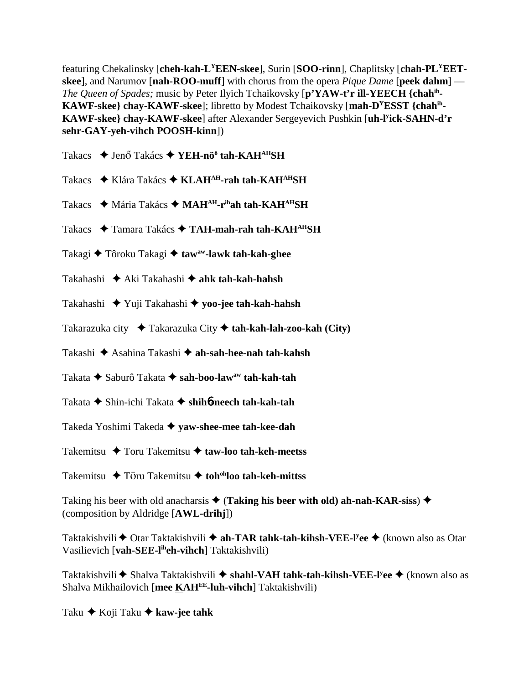featuring Chekalinsky [**cheh-kah-LYEEN-skee**], Surin [**SOO-rinn**], Chaplitsky [**chah-PLYEETskee**], and Narumov [**nah-ROO-muff**] with chorus from the opera *Pique Dame* [**peek dahm**] — *The Queen of Spades;* music by Peter Ilyich Tchaikovsky [**p'YAW-t'r ill-YEECH {chahih-KAWF-skee} chay-KAWF-skee**]; libretto by Modest Tchaikovsky [**mah-DYESST {chahih-KAWF-skee} chay-KAWF-skee**] after Alexander Sergeyevich Pushkin [**uh-ly ick-SAHN-d'r sehr-GAY-yeh-vihch POOSH-kinn**])

Takacs ◆ Jenő Takács ◆ YEH-nö<sup>ö</sup> tah-KAH<sup>AH</sup>SH

- Takacs ◆ Klára Takács ◆ KLAH<sup>AH</sup>-rah tah-KAH<sup>AH</sup>SH
- Takacs ◆ Mária Takács ◆ MAH<sup>AH</sup>-r<sup>ih</sup>ah tah-KAH<sup>AH</sup>SH
- Takacs ◆ Tamara Takács ◆ TAH-mah-rah tah-KAH<sup>AH</sup>SH
- Takagi ◆ Tôroku Takagi ◆ taw<sup>aw</sup>-lawk tah-kah-ghee
- Takahashi Aki Takahashi **ahk tah-kah-hahsh**
- Takahashi Yuji Takahashi **yoo-jee tah-kah-hahsh**
- Takarazuka city Takarazuka City **tah-kah-lah-zoo-kah (City)**
- Takashi Asahina Takashi **ah-sah-hee-nah tah-kahsh**
- Takata ◆ Saburô Takata ◆ s**ah-boo-law<sup>aw</sup> tah-kah-tah**
- Takata Shin-ichi Takata **shih**6**-neech tah-kah-tah**
- Takeda Yoshimi Takeda **yaw-shee-mee tah-kee-dah**
- Takemitsu Toru Takemitsu **taw-loo tah-keh-meetss**
- Takemitsu **→** Tōru Takemitsu → toh<sup>oh</sup>loo tah-keh-mittss

Taking his beer with old anacharsis  $\triangleq$  (**Taking his beer with old**) ah-nah-KAR-siss)  $\triangleq$ (composition by Aldridge [**AWL-drihj**])

Taktakishvili ◆ Otar Taktakishvili ◆ a**h-TAR tahk-tah-kihsh-VEE-l<sup>y</sup>ee ◆** (known also as Otar Vasilievich [**vah-SEE-liheh-vihch**] Taktakishvili)

Taktakishvili ◆ Shalva Taktakishvili ◆ s**hahl-VAH tahk-tah-kihsh-VEE-l<sup>y</sup>ee ◆** (known also as Shalva Mikhailovich [**mee KAHEE-luh-vihch**] Taktakishvili)

Taku **→** Koji Taku **→ kaw-jee tahk**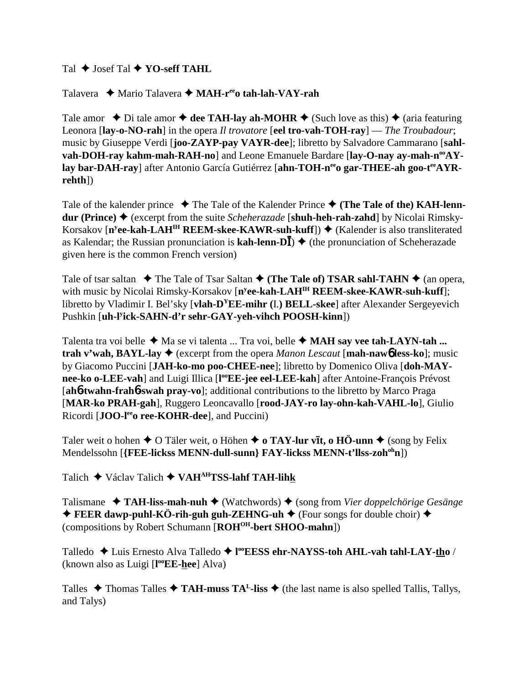Tal **→ Josef Tal → YO-seff TAHL** 

Talavera **→** Mario Talavera → MAH-r<sup>ee</sup>o tah-lah-VAY-rah

Tale amor  $\triangle$  Di tale amor  $\triangle$  dee TAH-lay ah-MOHR  $\triangle$  (Such love as this)  $\triangle$  (aria featuring Leonora [**lay-o-NO-rah**] in the opera *Il trovatore* [**eel tro-vah-TOH-ray**] — *The Troubadour*; music by Giuseppe Verdi [**joo-ZAYP-pay VAYR-dee**]; libretto by Salvadore Cammarano [**sahl**vah-DOH-ray kahm-mah-RAH-no] and Leone Emanuele Bardare [lay-O-nay ay-mah-n<sup>oo</sup>AYlay bar-DAH-ray] after Antonio García Gutiérrez [ahn-TOH-n<sup>ee</sup>o gar-THEE-ah goo-t<sup>ee</sup>AYR**rehth**])

Tale of the kalender prince  $\blacklozenge$  The Tale of the Kalender Prince  $\blacklozenge$  (The Tale of the) KAH-lenn**dur (Prince) ♦** (excerpt from the suite *Scheherazade* [**shuh-heh-rah-zahd**] by Nicolai Rimsky-Korsakov [n<sup>y</sup>ee-kah-LAH<sup>IH</sup> REEM-skee-KAWR-suh-kuff]) ♦ (Kalender is also transliterated as Kalendar; the Russian pronunciation is  $\textbf{kah-lenn-D}\bar{\textbf{I}}$ )  $\blacklozenge$  (the pronunciation of Scheherazade given here is the common French version)

Tale of tsar saltan  $\blacklozenge$  The Tale of Tsar Saltan  $\blacklozenge$  (The Tale of) TSAR sahl-TAHN  $\blacklozenge$  (an opera, with music by Nicolai Rimsky-Korsakov [n<sup>y</sup>ee-kah-LAH<sup>IH</sup> REEM-skee-KAWR-suh-kuff]; libretto by Vladimir I. Bel'sky [**vlah-DYEE-mihr (**I.**) BELL-skee**] after Alexander Sergeyevich Pushkin [**uh-ly ick-SAHN-d'r sehr-GAY-yeh-vihch POOSH-kinn**])

Talenta tra voi belle  $\triangleleft$  Ma se vi talenta ... Tra voi, belle  $\triangleleft$  MAH say vee tah-LAYN-tah ... **trah v'wah, BAYL-lay**  $\blacklozenge$  (excerpt from the opera *Manon Lescaut* [**mah-naw**<sup>6</sup> less-ko]; music by Giacomo Puccini [**JAH-ko-mo poo-CHEE-nee**]; libretto by Domenico Oliva [**doh-MAY**nee-ko o-LEE-vah] and Luigi Illica [l<sup>oo</sup>EE-jee eel-LEE-kah] after Antoine-François Prévost [**ah**6**-twahn-frah**6**-swah pray-vo**]; additional contributions to the libretto by Marco Praga [**MAR-ko PRAH-gah**], Ruggero Leoncavallo [**rood-JAY-ro lay-ohn-kah-VAHL-lo**], Giulio Ricordi [JOO-l<sup>ee</sup>o ree-KOHR-dee], and Puccini)

Taler weit o hohen ♦ O Täler weit, o Höhen ♦ o TAY-lur vit, o HÖ-unn ♦ (song by Felix Mendelssohn [**{FEE-lickss MENN-dull-sunn} FAY-lickss MENN-t'llss-zoh<sup>oh</sup>n**])

Talich Václav Talich **VAHAHTSS-lahf TAH-lihk**

Talismane **TAH-liss-mah-nuh** (Watchwords) (song from *Vier doppelchörige Gesänge*  $\triangle$  **FEER dawp-puhl-KÖ-rih-guh guh-ZEHNG-uh**  $\triangle$  (Four songs for double choir)  $\triangle$ (compositions by Robert Schumann [**ROHOH-bert SHOO-mahn**])

Talledo ◆ Luis Ernesto Alva Talledo ◆ l<sup>oo</sup>**EESS ehr-NAYSS-toh AHL-vah tahl-LAY-<u>th</u>o** / (known also as Luigi [**l ooEE-hee**] Alva)

Talles  $\blacklozenge$  Thomas Talles  $\blacklozenge$  **TAH-muss TA<sup>L</sup>-liss**  $\blacklozenge$  (the last name is also spelled Tallis, Tallys, and Talys)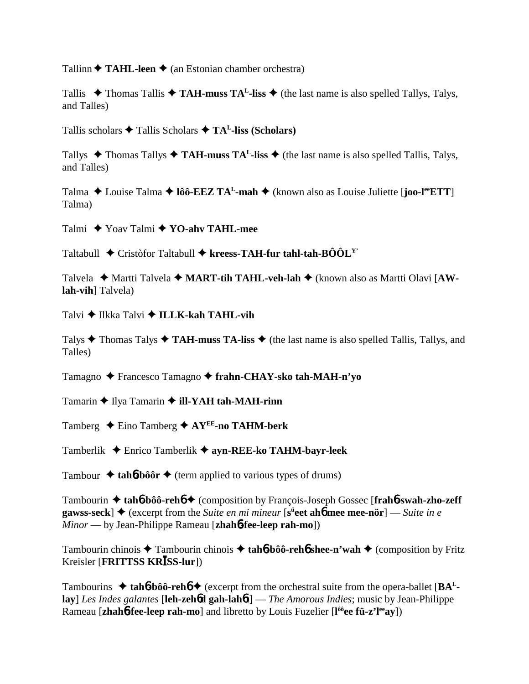Tallinn  $\triangle$  **TAHL-leen**  $\triangle$  (an Estonian chamber orchestra)

Tallis  $\blacklozenge$  Thomas Tallis  $\blacklozenge$  **TAH-muss TA<sup>L</sup>-liss**  $\blacklozenge$  (the last name is also spelled Tallys, Talys, and Talles)

Tallis scholars Tallis Scholars **TAL-liss (Scholars)**

Tallys  $\triangle$  Thomas Tallys  $\triangle$  **TAH-muss TA<sup>L</sup>-liss**  $\triangle$  (the last name is also spelled Tallis, Talys, and Talles)

Talma  $\triangle$  Louise Talma  $\triangle$  **lôô-EEZ TA<sup>L</sup>-mah**  $\triangle$  (known also as Louise Juliette [**joo-l<sup>ee</sup>ETT**] Talma)

Talmi Yoav Talmi **YO-ahv TAHL-mee**

Taltabull ◆ Cristòfor Taltabull ◆ kreess-TAH-fur tahl-tah-BÔÔL<sup>Y</sup>

Talvela ◆ Martti Talvela ◆ MART-tih TAHL-veh-lah ◆ (known also as Martti Olavi [AW**lah-vih**] Talvela)

Talvi **→ Ilkka Talvi → ILLK-kah TAHL-vih** 

Talys  $\triangle$  Thomas Talys  $\triangle$  **TAH-muss TA-liss**  $\triangle$  (the last name is also spelled Tallis, Tallys, and Talles)

Tamagno Francesco Tamagno **frahn-CHAY-sko tah-MAH-n'yo**

Tamarin **◆ Ilya Tamarin ◆ ill-YAH tah-MAH-rinn** 

Tamberg  $\triangle$  Eino Tamberg  $\triangle$  AY<sup>EE</sup>-no TAHM-berk

Tamberlik Enrico Tamberlik **ayn-REE-ko TAHM-bayr-leek**

Tambour  $\triangle$  tah**6**-bôôr  $\triangle$  (term applied to various types of drums)

Tambourin **tah**6**-bôô-reh**6 (composition by François-Joseph Gossec [**frah**6**-swah-zho-zeff**  $\mathbf{g}$ awss-seck]  $\blacklozenge$  (excerpt from the *Suite en mi mineur* [s<sup>ü</sup>eet ah**6** mee mee-nör] — *Suite in e Minor* — by Jean-Philippe Rameau [**zhah**6**-fee-leep rah-mo**])

Tambourin chinois Tambourin chinois  **tah**6**-bôô-reh**6 **shee-n'wah** (composition by Fritz Kreisler [**FRITTSS KRISS-lur**])

Tambourins  $\triangle$  tah**6**-bôô-reh**6**  $\triangle$  (excerpt from the orchestral suite from the opera-ballet [ $BA<sup>L</sup>$ **lay**] *Les Indes galantes* [**leh-zeh**6**d gah-lah**6**t**] — *The Amorous Indies*; music by Jean-Philippe Rameau [zhahb-fee-leep rah-mo] and libretto by Louis Fuzelier [l<sup>ôô</sup>ee fü-z'l<sup>ee</sup>ay])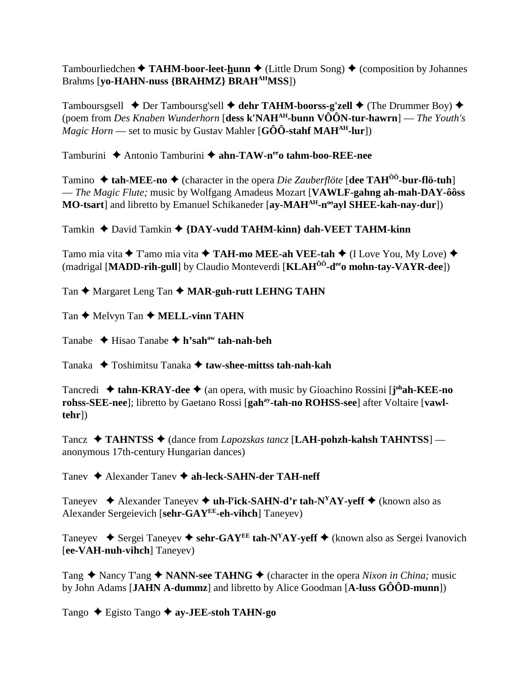Tambourliedchen  $\triangle$  TAHM-boor-leet-hunn  $\triangle$  (Little Drum Song)  $\triangle$  (composition by Johannes Brahms [yo-HAHN-nuss {BRAHMZ} BRAH<sup>AH</sup>MSS])

Tamboursgsell  $\rightarrow$  Der Tamboursg'sell  $\rightarrow$  dehr TAHM-boorss-g'zell  $\rightarrow$  (The Drummer Boy)  $\rightarrow$ (poem from Des Knaben Wunderhorn [dess k'NAH<sup>AH</sup>-bunn  $\widehat{VOON}$ -tur-hawrn] — The Youth's *Magic Horn* — set to music by Gustav Mahler [G $\hat{O}\hat{O}$ -stahf MAH<sup>AH</sup>-lur])

Tamburini ◆ Antonio Tamburini ◆ ahn-TAW-n<sup>ee</sup>o tahm-boo-REE-nee

Tamino  $\triangle$  tah-MEE-no  $\triangle$  (character in the opera *Die Zauberflöte* [dee TAH<sup>00</sup>-bur-flö-tuh] - The Magic Flute; music by Wolfgang Amadeus Mozart [VAWLF-gahng ah-mah-DAY-ôôss] MO-tsart] and libretto by Emanuel Schikaneder [ay-MAH<sup>AH</sup>-n<sup>oo</sup>ayl SHEE-kah-nay-dur])

Tamkin  $\triangle$  David Tamkin  $\triangle$  {DAY-vudd TAHM-kinn} dah-VEET TAHM-kinn

Tamo mia vita  $\triangle$  T'amo mia vita  $\triangle$  TAH-mo MEE-ah VEE-tah  $\triangle$  (I Love You, My Love)  $\triangle$ (madrigal [MADD-rih-gull] by Claudio Monteverdi [KLAH<sup>ÔÔ</sup>-d<sup>ee</sup>o mohn-tay-VAYR-dee])

Tan ♦ Margaret Leng Tan ♦ MAR-guh-rutt LEHNG TAHN

Tan  $\blacklozenge$  Melvyn Tan  $\blacklozenge$  MELL-vinn TAHN

Tanabe  $\triangle$  Hisao Tanabe  $\triangle$  h'sah<sup>aw</sup> tah-nah-beh

Tanaka  $\rightarrow$  Toshimitsu Tanaka  $\rightarrow$  taw-shee-mittss tah-nah-kah

Tancredi  $\triangleq$  tahn-KRAY-dee  $\triangleq$  (an opera, with music by Gioachino Rossini [ $j^{oh}$ ah-KEE-no rohss-SEE-nee]; libretto by Gaetano Rossi [gah<sup>ay</sup>-tah-no ROHSS-see] after Voltaire [vawl $tehr$ ])

Tancz  $\triangleleft$  TAHNTSS  $\triangleleft$  (dance from *Lapozskas tancz* [LAH-pohzh-kahsh TAHNTSS] anonymous 17th-century Hungarian dances)

Tanev ◆ Alexander Tanev ◆ ah-leck-SAHN-der TAH-neff

Taneyev  $\triangleleft$  Alexander Taneyev  $\triangleleft$  uh-l<sup>y</sup>ick-SAHN-d'r tah-N<sup>Y</sup>AY-yeff  $\triangleleft$  (known also as Alexander Sergeievich [sehr-GAYEE-eh-vihch] Taneyev)

Taneyev  $\bullet$  Sergei Taneyev  $\bullet$  sehr-GAY<sup>EE</sup> tah-N<sup>Y</sup>AY-yeff  $\bullet$  (known also as Sergei Ivanovich [ee-VAH-nuh-vihch] Taneyev)

Tang  $\triangle$  Nancy T'ang  $\triangle$  NANN-see TAHNG  $\triangle$  (character in the opera *Nixon in China*; music by John Adams [JAHN A-dummz] and libretto by Alice Goodman  $[A$ -luss  $G\hat{O} \hat{O}D$ -munn])

Tango  $\triangle$  Egisto Tango  $\triangle$  ay-JEE-stoh TAHN-go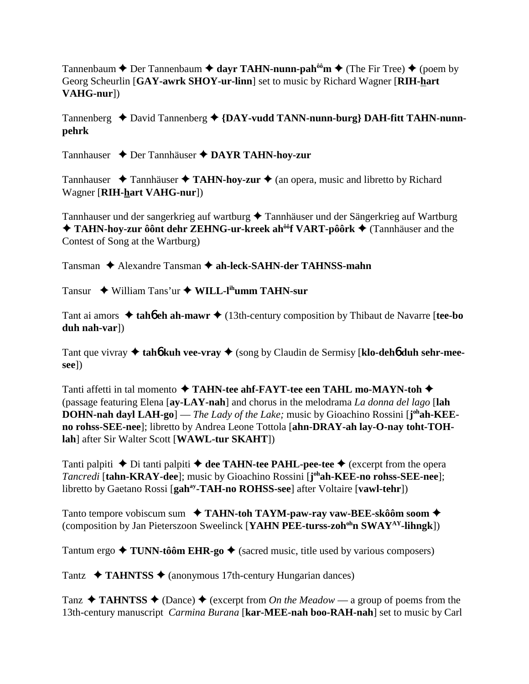Tannenbaum  $\triangle$  Der Tannenbaum  $\triangle$  dayr TAHN-nunn-pah<sup>ôô</sup>m  $\triangle$  (The Fir Tree)  $\triangle$  (poem by Georg Scheurlin [**GAY-awrk SHOY-ur-linn**] set to music by Richard Wagner [**RIH-hart VAHG-nur**])

Tannenberg ◆ David Tannenberg ◆ {DAY-vudd TANN-nunn-burg} DAH-fitt TAHN-nunn**pehrk**

Tannhauser Der Tannhäuser **DAYR TAHN-hoy-zur**

Tannhauser  $\triangle$  Tannhäuser  $\triangle$  TAHN-hoy-zur  $\triangle$  (an opera, music and libretto by Richard Wagner [**RIH-hart VAHG-nur**])

Tannhauser und der sangerkrieg auf wartburg  $\blacklozenge$  Tannhäuser und der Sängerkrieg auf Wartburg ◆ TAHN-hoy-zur ôônt dehr ZEHNG-ur-kreek ah<sup>ôô</sup>f VART-pôôrk ◆ (Tannhäuser and the Contest of Song at the Wartburg)

Tansman **→** Alexandre Tansman → ah-leck-SAHN-der TAHNSS-mahn

Tansur William Tans'ur **WILL-lihumm TAHN-sur**

Tant ai amors  $\triangle$  tah**6** eh ah-mawr  $\triangle$  (13th-century composition by Thibaut de Navarre [tee-bo **duh nah-var**])

Tant que vivray ◆ tah**6** kuh vee-vray ◆ (song by Claudin de Sermisy [klo-deh6 duh sehr-mee**see**])

Tanti affetti in tal momento **TAHN-tee ahf-FAYT-tee een TAHL mo-MAYN-toh** (passage featuring Elena [**ay-LAY-nah**] and chorus in the melodrama *La donna del lago* [**lah DOHN-nah dayl LAH-go**] — *The Lady of the Lake;* music by Gioachino Rossini [j<sup>oh</sup>ah-KEE**no rohss-SEE-nee**]; libretto by Andrea Leone Tottola [**ahn-DRAY-ah lay-O-nay toht-TOHlah**] after Sir Walter Scott [**WAWL-tur SKAHT**])

Tanti palpiti  $\triangle$  Di tanti palpiti  $\triangle$  dee TAHN-tee PAHL-pee-tee  $\triangle$  (excerpt from the opera *Tancredi* [**tahn-KRAY-dee**]; music by Gioachino Rossini [**j ohah-KEE-no rohss-SEE-nee**]; libretto by Gaetano Rossi [**gahay-TAH-no ROHSS-see**] after Voltaire [**vawl-tehr**])

Tanto tempore vobiscum sum **TAHN-toh TAYM-paw-ray vaw-BEE-skôôm soom** (composition by Jan Pieterszoon Sweelinck [**YAHN PEE-turss-zoh<sup>oh</sup>n SWAY<sup>AY</sup>-lihngk**])

Tantum ergo  $\triangle$  **TUNN-tôôm EHR-go**  $\triangle$  (sacred music, title used by various composers)

Tantz  $\rightarrow$  **TAHNTSS**  $\rightarrow$  (anonymous 17th-century Hungarian dances)

Tanz  $\triangleleft$  **TAHNTSS**  $\triangleleft$  (Dance)  $\triangleleft$  (excerpt from *On the Meadow* — a group of poems from the 13th-century manuscript *Carmina Burana* [**kar-MEE-nah boo-RAH-nah**] set to music by Carl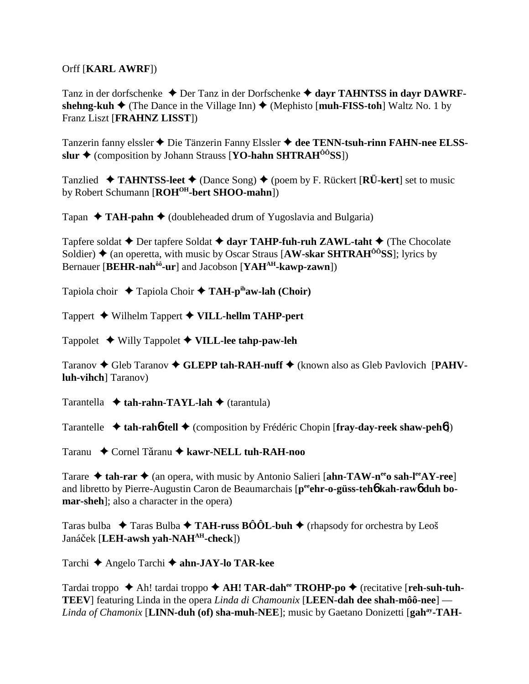Orff [**KARL AWRF**])

Tanz in der dorfschenke ◆ Der Tanz in der Dorfschenke ◆ dayr TAHNTSS in dayr DAWRF**shehng-kuh**  $\blacklozenge$  (The Dance in the Village Inn)  $\blacklozenge$  (Mephisto [**muh-FISS-toh**] Waltz No. 1 by Franz Liszt [**FRAHNZ LISST**])

Tanzerin fanny elssler ◆ Die Tänzerin Fanny Elssler ◆ dee TENN-tsuh-rinn FAHN-nee ELSS**slur ◆** (composition by Johann Strauss [**YO-hahn SHTRAH<sup>ôô</sup>SS**])

Tanzlied  $\blacklozenge$  **TAHNTSS-leet**  $\blacklozenge$  (Dance Song)  $\blacklozenge$  (poem by F. Rückert [**RÜ-kert**] set to music by Robert Schumann [**ROHOH-bert SHOO-mahn**])

Tapan  $\triangleleft$  TAH-pahn  $\triangleleft$  (doubleheaded drum of Yugoslavia and Bulgaria)

Tapfere soldat **◆** Der tapfere Soldat ◆ dayr TAHP-fuh-ruh ZAWL-taht ◆ (The Chocolate Soldier) **→** (an operetta, with music by Oscar Straus [AW-skar SHTRAH<sup>ÔÔ</sup>SS]; lyrics by Bernauer [**BEHR-nahôô-ur**] and Jacobson [**YAHAH-kawp-zawn**])

Tapiola choir Tapiola Choir **TAH-pihaw-lah (Choir)**

Tappert Wilhelm Tappert **VILL-hellm TAHP-pert**

Tappolet Willy Tappolet **VILL-lee tahp-paw-leh**

Taranov ◆ Gleb Taranov ◆ GLEPP tah-RAH-nuff ◆ (known also as Gleb Pavlovich [PAHV**luh-vihch**] Taranov)

Tarantella **↓ tah-rahn-TAYL-lah ◆** (tarantula)

Tarantelle  **tah-rah**6**-tell** (composition by Frédéric Chopin [**fray-day-reek shaw-peh**6])

Taranu **←** Cornel Tăranu ← kawr-NELL tuh-RAH-noo

Tarare  $\triangle$  tah-rar  $\triangle$  (an opera, with music by Antonio Salieri [ahn-TAW-n<sup>ee</sup> o sah-l<sup>ee</sup>AY-ree] and libretto by Pierre-Augustin Caron de Beaumarchais [peehr-o-güss-teh<sup>6</sup> kah-raw<sup>6</sup> duh bo**mar-sheh**]; also a character in the opera)

Taras bulba  $\rightarrow$  Taras Bulba  $\rightarrow$  TAH-russ BÔÔL-buh  $\rightarrow$  (rhapsody for orchestra by Leoš Janáček [LEH-awsh yah-NAH<sup>AH</sup>-check])

Tarchi Angelo Tarchi **ahn-JAY-lo TAR-kee**

Tardai troppo ◆ Ah! tardai troppo ◆ AH! TAR-dah<sup>ee</sup> TROHP-po ◆ (recitative [reh-suh-tuh-**TEEV**] featuring Linda in the opera *Linda di Chamounix* [**LEEN-dah dee shah-môô-nee**] — *Linda of Chamonix* [**LINN-duh (of) sha-muh-NEE**]; music by Gaetano Donizetti [**gahay-TAH-**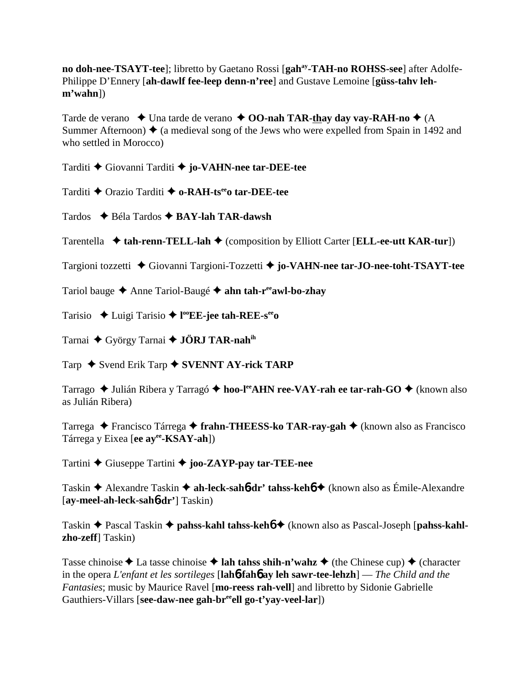**no doh-nee-TSAYT-tee**]; libretto by Gaetano Rossi [gah<sup>ay</sup>-TAH-no ROHSS-see] after Adolfe-Philippe D'Ennery [**ah-dawlf fee-leep denn-n'ree**] and Gustave Lemoine [**güss-tahv lehm'wahn**])

Tarde de verano  $\triangleleft$  Una tarde de verano  $\triangleleft$  **OO-nah TAR-thay day vay-RAH-no**  $\triangleleft$  (A Summer Afternoon)  $\triangle$  (a medieval song of the Jews who were expelled from Spain in 1492 and who settled in Morocco)

Tarditi Giovanni Tarditi **jo-VAHN-nee tar-DEE-tee**

Tarditi Orazio Tarditi **o-RAH-tseeo tar-DEE-tee**

Tardos **→** Béla Tardos → **BAY-lah TAR-dawsh** 

Tarentella **↓ tah-renn-TELL-lah ◆** (composition by Elliott Carter [**ELL-ee-utt KAR-tur**])

Targioni tozzetti Giovanni Targioni-Tozzetti **jo-VAHN-nee tar-JO-nee-toht-TSAYT-tee**

Tariol bauge Anne Tariol-Baugé **ahn tah-reeawl-bo-zhay**

Tarisio Luigi Tarisio **l ooEE-jee tah-REE-seeo**

Tarnai ◆ György Tarnai ◆ **JÖRJ TAR-nah**<sup>ih</sup>

Tarp ◆ Svend Erik Tarp **◆ SVENNT AY-rick TARP** 

Tarrago ◆ Julián Ribera y Tarragó ◆ hoo-l<sup>ee</sup>AHN ree-VAY-rah ee tar-rah-GO ◆ (known also as Julián Ribera)

Tarrega ◆ Francisco Tárrega ◆ fr**ahn-THEESS-ko TAR-ray-gah** ◆ (known also as Francisco Tárrega y Eixea [**ee ayee-KSAY-ah**])

Tartini Giuseppe Tartini **joo-ZAYP-pay tar-TEE-nee**

Taskin Alexandre Taskin **ah-leck-sah**6**-dr' tahss-keh**6 (known also as Émile-Alexandre [**ay-meel-ah-leck-sah**6**-dr'**] Taskin)

Taskin Pascal Taskin **pahss-kahl tahss-keh**6 (known also as Pascal-Joseph [**pahss-kahlzho-zeff**] Taskin)

Tasse chinoise  $\triangle$  La tasse chinoise  $\triangle$  **lah tahss shih-n'wahz**  $\triangle$  (the Chinese cup)  $\triangle$  (character in the opera *L'enfant et les sortileges* [**lah**6**-fah**6 **ay leh sawr-tee-lehzh**] — *The Child and the Fantasies*; music by Maurice Ravel [**mo-reess rah-vell**] and libretto by Sidonie Gabrielle Gauthiers-Villars [**see-daw-nee gah-br<sup>ee</sup>ell go-t'vay-veel-lar**])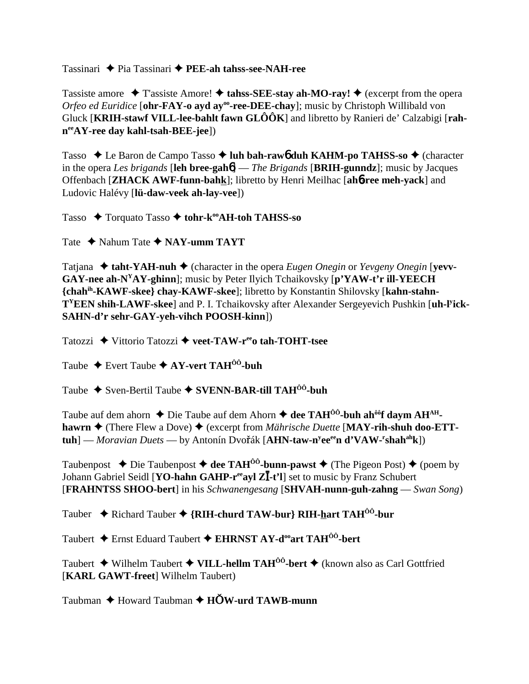Tassinari  $\triangle$  Pia Tassinari  $\triangle$  PEE-ah tahss-see-NAH-ree

Tassiste amore  $\triangle$  T'assiste Amore!  $\triangle$  tahss-SEE-stay ah-MO-ray!  $\triangle$  (excerpt from the opera Orfeo ed Euridice [ohr-FAY-o ayd ay<sup>oo</sup>-ree-DEE-chay]; music by Christoph Willibald von Gluck [KRIH-stawf VILL-lee-bahlt fawn  $GLOOR$ ] and libretto by Ranieri de' Calzabigi [rah $n^{ee}AY$ -ree day kahl-tsah-BEE-jee])

Tasso  $\triangle$  Le Baron de Campo Tasso  $\triangle$  luh bah-raw d duh KAHM-po TAHSS-so  $\triangle$  (character in the opera Les brigands [leh bree-gah $\phi$ ] — The Brigands [BRIH-gunndz]; music by Jacques Offenbach [ZHACK AWF-funn-bahk]; libretto by Henri Meilhac [ah6-ree meh-yack] and Ludovic Halévy [lü-daw-veek ah-lay-vee])

Tasso  $\rightarrow$  Torquato Tasso  $\rightarrow$  tohr-k<sup>oo</sup>AH-toh TAHSS-so

Tate  $\triangle$  Nahum Tate  $\triangle$  NAY-umm TAYT

Tatjana  $\triangle$  taht-YAH-nuh  $\triangle$  (character in the opera *Eugen Onegin* or *Yevgeny Onegin* [vevv-GAY-nee ah-N<sup>Y</sup>AY-ghinn]; music by Peter Ilyich Tchaikovsky [p'YAW-t'r ill-YEECH {chah<sup>ih</sup>-KAWF-skee} chay-KAWF-skee]; libretto by Konstantin Shilovsky [kahn-stahn-T<sup>Y</sup>EEN shih-LAWF-skee] and P. I. Tchaikovsky after Alexander Sergeyevich Pushkin [uh-l<sup>y</sup>ick-SAHN-d'r sehr-GAY-yeh-vihch POOSH-kinn])

Tatozzi ◆ Vittorio Tatozzi ◆ veet-TAW-r<sup>ee</sup>o tah-TOHT-tsee

Taube  $\triangle$  Evert Taube  $\triangle$  AY-vert TAH<sup>00</sup>-buh

Taube ◆ Sven-Bertil Taube ◆ SVENN-BAR-till TAH<sup>00</sup>-buh

Taube auf dem ahorn  $\triangle$  Die Taube auf dem Ahorn  $\triangle$  dee TAH<sup> $\hat{0}$ 0-buh ah $\hat{0}$ f davm AH<sup>AH</sup>-</sup> hawrn  $\blacklozenge$  (There Flew a Dove)  $\blacklozenge$  (excerpt from *Mährische Duette* [MAY-rih-shuh doo-ETT $tuh$ ] — Moravian Duets — by Antonín Dvořák [AHN-taw-n<sup>y</sup>ee<sup>ee</sup>n d'VAW-'shah<sup>ah</sup>k])

Taubenpost  $\triangle$  Die Taubenpost  $\triangle$  dee TAH<sup>00</sup>-bunn-pawst  $\triangle$  (The Pigeon Post)  $\triangle$  (poem by Johann Gabriel Seidl [YO-hahn GAHP-r<sup>ee</sup>ayl ZI-t'l] set to music by Franz Schubert **[FRAHNTSS SHOO-bert]** in his Schwanengesang [SHVAH-nunn-guh-zahng — Swan Song]

Tauber ◆ Richard Tauber ◆ {RIH-churd TAW-bur} RIH-hart TAH<sup>00</sup>-bur

Taubert ◆ Ernst Eduard Taubert ◆ EHRNST AY-d<sup>oo</sup>art TAH<sup>00</sup>-bert

Taubert  $\blacklozenge$  Wilhelm Taubert  $\blacklozenge$  VILL-hellm TAH<sup>00</sup>-bert  $\blacklozenge$  (known also as Carl Gottfried [KARL GAWT-freet] Wilhelm Taubert)

Taubman  $\triangle$  Howard Taubman  $\triangle$  HOW-urd TAWB-munn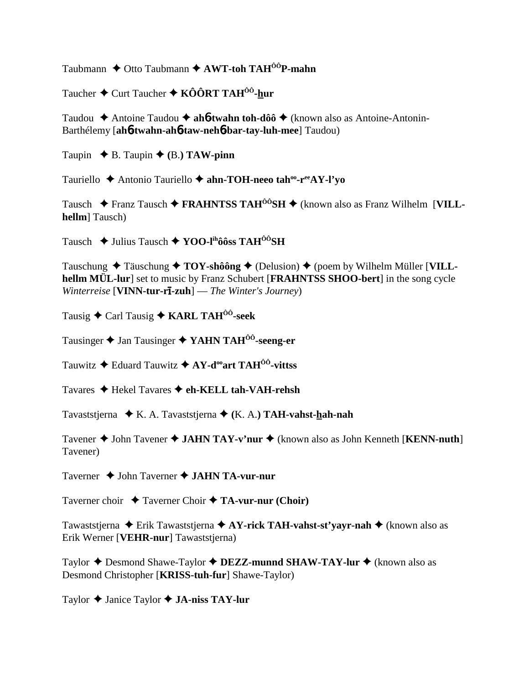Taubmann ♦ Otto Taubmann ♦ AWT-toh TAH<sup>ÔÔ</sup>P-mahn

Taucher  $\triangle$  Curt Taucher  $\triangle$  KÔÔRT TAH<sup>ÔÔ</sup>-hur

Taudou  $\triangle$  Antoine Taudou  $\triangle$  ahot twahn toh-dôô  $\triangle$  (known also as Antoine-Antonin-Barthélemy [ah6-twahn-ah6-taw-neh6-bar-tay-luh-mee] Taudou)

Taupin  $\blacklozenge$  B. Taupin  $\blacklozenge$  (B.) TAW-pinn

Tauriello ◆ Antonio Tauriello ◆ ahn-TOH-neeo tah<sup>oo</sup>-r<sup>ee</sup>AY-l'vo

Tausch  $\triangle$  Franz Tausch  $\triangle$  FRAHNTSS TAH<sup>00</sup>SH  $\triangle$  (known also as Franz Wilhelm [VILL**hellm** Tausch

Tausch  $\triangleq$  Julius Tausch  $\triangleq$  YOO-l<sup>th</sup>ôôss TAH<sup>ôô</sup>SH

Tauschung  $\triangle$  Täuschung  $\triangle$  TOY-shôông  $\triangle$  (Delusion)  $\triangle$  (poem by Wilhelm Müller [VILLhellm MÜL-lur] set to music by Franz Schubert [FRAHNTSS SHOO-bert] in the song cycle Winterreise [VINN-tur-r $\overline{\textbf{1}}$ -zuh] — The Winter's Journey)

Tausig  $\triangle$  Carl Tausig  $\triangle$  KARL TAH<sup>00</sup>-seek

Tausinger  $\triangle$  Jan Tausinger  $\triangle$  YAHN TAH<sup>00</sup>-seeng-er

Tauwitz  $\triangle$  Eduard Tauwitz  $\triangle$  AY-d<sup>oo</sup>art TAH<sup>00</sup>-vittss

Tavares ◆ Hekel Tavares ◆ eh-KELL tah-VAH-rehsh

Tavaststjerna  $\star$  K. A. Tavaststjerna  $\star$  (K. A.) TAH-vahst-hah-nah

Tavener  $\triangle$  John Tavener  $\triangle$  JAHN TAY-v'nur  $\triangle$  (known also as John Kenneth [KENN-nuth] Tavener)

Taverner  $\triangle$  John Taverner  $\triangle$  JAHN TA-vur-nur

Taverner choir  $\rightarrow$  Taverner Choir  $\rightarrow$  TA-vur-nur (Choir)

Tawaststjerna  $\triangle$  Erik Tawaststjerna  $\triangle$  AY-rick TAH-vahst-st'yayr-nah  $\triangle$  (known also as Erik Werner [VEHR-nur] Tawaststjerna)

Taylor  $\triangle$  Desmond Shawe-Taylor  $\triangle$  DEZZ-munnd SHAW-TAY-lur  $\triangle$  (known also as Desmond Christopher [KRISS-tuh-fur] Shawe-Taylor)

Taylor  $\triangle$  Janice Taylor  $\triangle$  JA-niss TAY-lur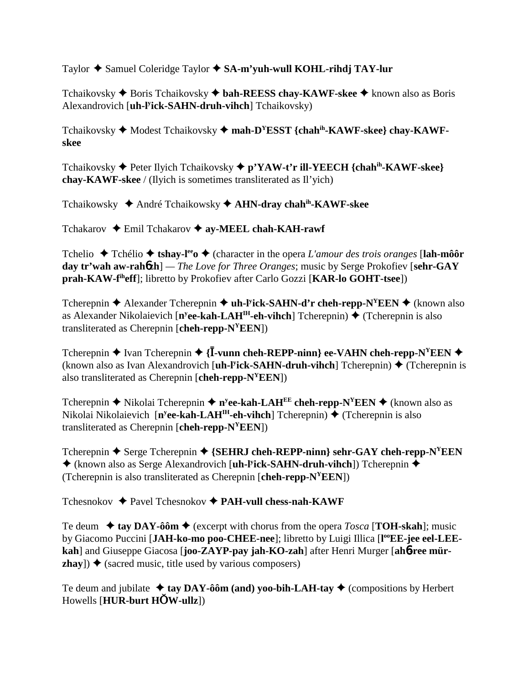Taylor **→** Samuel Coleridge Taylor → SA-m'yuh-wull KOHL-rihdj TAY-lur

Tchaikovsky ◆ Boris Tchaikovsky ◆ bah-REESS chay-KAWF-skee ◆ known also as Boris Alexandrovich [**uh-ly ick-SAHN-druh-vihch**] Tchaikovsky)

Tchaikovsky ◆ Modest Tchaikovsky ◆ mah-D<sup>Y</sup>ESST {chah<sup>ih</sup>-KAWF-skee} chay-KAWF**skee**

Tchaikovsky Peter Ilyich Tchaikovsky **p'YAW-t'r ill-YEECH {chahih-KAWF-skee} chay-KAWF-skee** / (Ilyich is sometimes transliterated as Il'yich)

Tchaikowsky ◆ André Tchaikowsky ◆ AHN-dray chahih-KAWF-skee

Tchakarov **→** Emil Tchakarov → ay-MEEL chah-KAH-rawf

Tchelio ◆ Tchélio ◆ tshay-l<sup>ee</sup>o ◆ (character in the opera *L'amour des trois oranges* [lah-môôr **day tr'wah aw-rah**6**zh**] *— The Love for Three Oranges*; music by Serge Prokofiev [**sehr-GAY prah-KAW-fiheff**]; libretto by Prokofiev after Carlo Gozzi [**KAR-lo GOHT-tsee**])

Tcherepnin ◆ Alexander Tcherepnin ◆ **uh-l<sup>y</sup>ick-SAHN-d'r cheh-repp-N<sup>Y</sup>EEN** ◆ (known also as Alexander Nikolaievich [n<sup>y</sup>ee-kah-LAH<sup>IH</sup>-eh-vihch] Tcherepnin) ♦ (Tcherepnin is also transliterated as Cherepnin [**cheh-repp-NYEEN**])

Tcherepnin  $\blacklozenge$  Ivan Tcherepnin  $\blacklozenge$  {**I**-vunn cheh-REPP-ninn} ee-VAHN cheh-repp-N<sup>Y</sup>EEN  $\blacklozenge$ (known also as Ivan Alexandrovich [**uh-l<sup>y</sup>ick-SAHN-druh-vihch**] Tcherepnin) ♦ (Tcherepnin is also transliterated as Cherepnin [**cheh-repp-NYEEN**])

Tcherepnin ◆ Nikolai Tcherepnin ◆ n<sup>y</sup>ee-kah-LAH<sup>EE</sup> cheh-repp-N<sup>Y</sup>EEN ◆ (known also as Nikolai Nikolaievich [**n<sup>y</sup>ee-kah-LAH<sup>IH</sup>-eh-vihch**] Tcherepnin) ♦ (Tcherepnin is also transliterated as Cherepnin [**cheh-repp-NYEEN**])

Tcherepnin  $\blacklozenge$  Serge Tcherepnin  $\blacklozenge$  {SEHRJ cheh-REPP-ninn} sehr-GAY cheh-repp-N<sup>Y</sup>EEN ◆ (known also as Serge Alexandrovich [**uh-l<sup>y</sup>ick-SAHN-druh-vihch**]) Tcherepnin ◆ (Tcherepnin is also transliterated as Cherepnin [**cheh-repp-NYEEN**])

Tchesnokov Pavel Tchesnokov **PAH-vull chess-nah-KAWF**

Te deum  $\triangleleft$  tay DAY-ôôm  $\triangleleft$  (excerpt with chorus from the opera *Tosca* [**TOH-skah**]; music by Giacomo Puccini [JAH-ko-mo poo-CHEE-nee]; libretto by Luigi Illica [l<sup>oo</sup>EE-jee eel-LEE**kah**] and Giuseppe Giacosa [**joo-ZAYP-pay jah-KO-zah**] after Henri Murger [**ah**6**-ree mürzhay**])  $\triangle$  (sacred music, title used by various composers)

Te deum and jubilate  $\triangleq$  tay DAY-ôôm (and) yoo-bih-LAH-tay  $\triangleq$  (compositions by Herbert Howells [**HUR-burt HW-ullz**])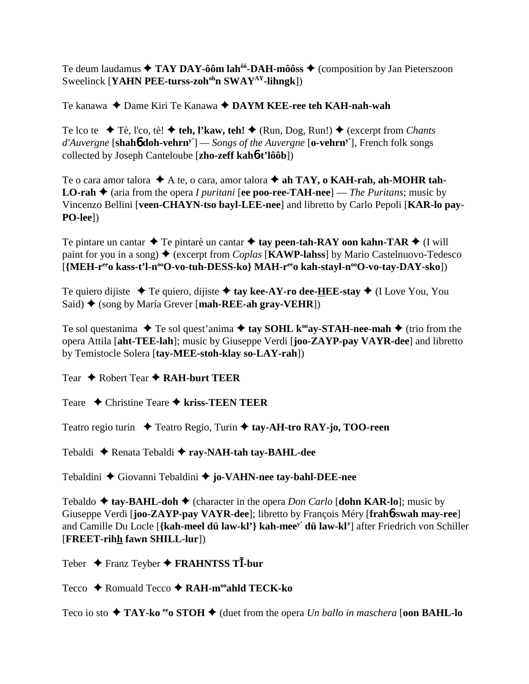Te deum laudamus  $\triangle$  TAY DAY-ôôm lah<sup> $\hat{\theta}$ </sup>-DAH-môôss  $\triangle$  (composition by Jan Pieterszoon Sweelinck [**YAHN PEE-turss-zoh<sup>oh</sup>n SWAY<sup>AY</sup>-lihngk**])

Te kanawa ◆ Dame Kiri Te Kanawa ◆ DAYM KEE-ree teh KAH-nah-wah

Te lco te **→** Tè, l'co, tè! ◆ teh, l'kaw, teh! ◆ (Run, Dog, Run!) ◆ (excerpt from *Chants d'Auvergne* [**shah**6 **doh-vehrny'**] *— Songs of the Auvergne* [**o-vehrny'**], French folk songs collected by Joseph Canteloube [**zho-zeff kah**6**-t'lôôb**])

Te o cara amor talora  $\triangle$  A te, o cara, amor talora  $\triangle$  ah TAY, o KAH-rah, ah-MOHR tah-**LO-rah**  $\triangle$  (aria from the opera *I puritani* [ee poo-ree-TAH-nee] — *The Puritans*; music by Vincenzo Bellini [**veen-CHAYN-tso bayl-LEE-nee**] and libretto by Carlo Pepoli [**KAR-lo pay-PO-lee**])

Te pintare un cantar  $\triangle$  Te pintarè un cantar  $\triangle$  tay peen-tah-RAY oon kahn-TAR  $\triangle$  (I will paint for you in a song)  $\triangle$  (excerpt from *Coplas* [**KAWP-lahss**] by Mario Castelnuovo-Tedesco [**{MEH-r<sup>ee</sup>o kass-t'l-n<sup>oo</sup>O-vo-tuh-DESS-ko} MAH-r<sup>ee</sup>o kah-stayl-n<sup>oo</sup>O-vo-tay-DAY-sko])** 

Te quiero dijiste  $\blacklozenge$  Te quiero, dijiste  $\blacklozenge$  tay kee-AY-ro dee-HEE-stay  $\blacklozenge$  (I Love You, You Said) ◆ (song by María Grever [**mah-REE-ah gray-VEHR**])

Te sol questanima  $\blacklozenge$  Te sol quest'anima  $\blacklozenge$  tay SOHL k<sup>oo</sup>ay-STAH-nee-mah  $\blacklozenge$  (trio from the opera Attila [**aht-TEE-lah**]; music by Giuseppe Verdi [**joo-ZAYP-pay VAYR-dee**] and libretto by Temistocle Solera [**tay-MEE-stoh-klay so-LAY-rah**])

Tear **→** Robert Tear **→ RAH-burt TEER** 

Teare Christine Teare **kriss-TEEN TEER**

Teatro regio turin ◆ Teatro Regio, Turin ◆ tay-AH-tro RAY-jo, TOO-reen

Tebaldi Renata Tebaldi **ray-NAH-tah tay-BAHL-dee**

Tebaldini Giovanni Tebaldini **jo-VAHN-nee tay-bahl-DEE-nee**

Tebaldo  $\triangle$  tay-BAHL-doh  $\triangle$  (character in the opera *Don Carlo* [dohn KAR-lo]; music by Giuseppe Verdi [**joo-ZAYP-pay VAYR-dee**]; libretto by François Méry [**frah**6**-swah may-ree**] and Camille Du Locle [**{kah-meel dü law-kl'} kah-meey' dü law-kl'**] after Friedrich von Schiller [**FREET-rihh fawn SHILL-lur**])

Teber Franz Teyber **FRAHNTSS T-bur**

Tecco **→** Romuald Tecco → RAH-m<sup>oo</sup>ahld TECK-ko

Teco io sto  $\triangle$  TAY-ko <sup>ee</sup>o STOH  $\triangle$  (duet from the opera *Un ballo in maschera* [**oon BAHL-lo**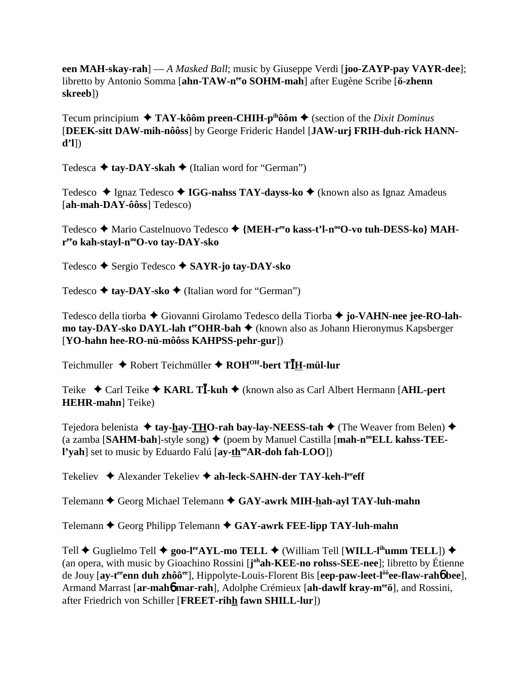een MAH-skay-rah] — A Masked Ball; music by Giuseppe Verdi [**joo-ZAYP-pay VAYR-dee**]; libretto by Antonio Somma [ahn-TAW-n<sup>ee</sup>o SOHM-mah] after Eugène Scribe [ö-zhenn] skreeb1)

Tecum principium  $\triangleq$  TAY-kôôm preen-CHIH-p<sup>ih</sup>ôôm  $\triangleq$  (section of the *Dixit Dominus* [DEEK-sitt DAW-mih-nôôss] by George Frideric Handel [JAW-urj FRIH-duh-rick HANN $d'1$ ]

Tedesca  $\triangle$  tav-DAY-skah  $\triangle$  (Italian word for "German")

Tedesco ◆ Ignaz Tedesco ◆ IGG-nahss TAY-dayss-ko ◆ (known also as Ignaz Amadeus  $[ah-mah-DAY-ôôss] \text{ Telescope}$ 

Tedesco ◆ Mario Castelnuovo Tedesco ◆ {MEH-r<sup>ee</sup>o kass-t'l-n<sup>oo</sup>O-vo tuh-DESS-ko} MAHree kah-stayl-n<sup>oo</sup>O-vo tay-DAY-sko

Tedesco → Sergio Tedesco → SAYR-jo tay-DAY-sko

Tedesco  $\triangle$  tay-DAY-sko  $\triangle$  (Italian word for "German")

Tedesco della tiorba ◆ Giovanni Girolamo Tedesco della Tiorba ◆ jo-VAHN-nee jee-RO-lahmo tay-DAY-sko DAYL-lah t<sup>ee</sup>OHR-bah ◆ (known also as Johann Hieronymus Kapsberger [YO-hahn hee-RO-nü-môôss KAHPSS-pehr-gur])

Teichmuller ◆ Robert Teichmüller ◆ ROH<sup>OH</sup>-bert TIH-mül-lur

Teike  $\triangle$  Carl Teike  $\triangle$  KARL T**I**-kuh  $\triangle$  (known also as Carl Albert Hermann [AHL-pert] **HEHR-mahn**] Teike)

Tejedora belenista  $\triangleq$  tay-hay-THO-rah bay-lay-NEESS-tah  $\triangleq$  (The Weaver from Belen)  $\triangleq$ (a zamba [SAHM-bah]-style song)  $\blacklozenge$  (poem by Manuel Castilla [mah-n<sup>oo</sup>ELL kahss-TEEl'vah] set to music by Eduardo Falú [ay-th<sup>oo</sup>AR-doh fah-LOO])

Tekeliev ◆ Alexander Tekeliev ◆ ah-leck-SAHN-der TAY-keh-leeff

Telemann ♦ Georg Michael Telemann ♦ GAY-awrk MIH-hah-ayl TAY-luh-mahn

Telemann  $\triangle$  Georg Philipp Telemann  $\triangle$  GAY-awrk FEE-lipp TAY-luh-mahn

Tell  $\blacklozenge$  Guglielmo Tell  $\blacklozenge$  goo-l<sup>ee</sup>AYL-mo TELL  $\blacklozenge$  (William Tell [WILL-l<sup>ih</sup>umm TELL])  $\blacklozenge$ (an opera, with music by Gioachino Rossini [j<sup>oh</sup>ah-KEE-no rohss-SEE-nee]; libretto by Étienne de Jouy [ay-t<sup>ee</sup> enn duh zhôô<sup>ee</sup>], Hippolyte-Louis-Florent Bis [eep-paw-leet-l<sup>ôô</sup>ee-flaw-raho<sup>t</sup> bee], Armand Marrast [ar-maho mar-rah], Adolphe Crémieux [ah-dawlf kray-m<sup>ee</sup>ö], and Rossini, after Friedrich von Schiller [FREET-rihh fawn SHILL-lur])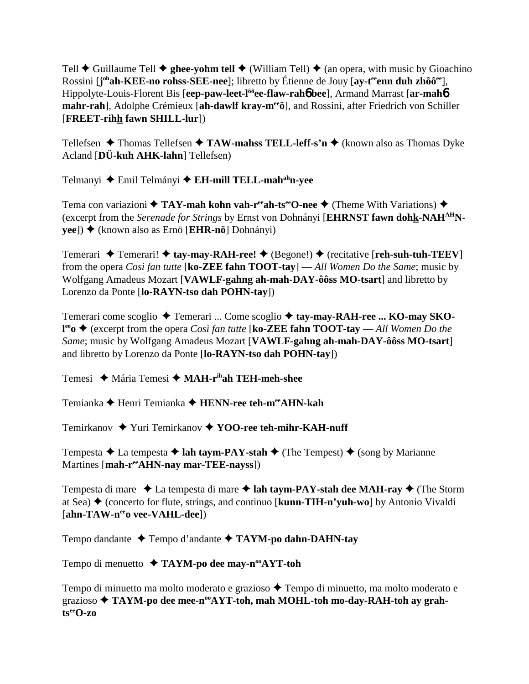Tell  $\blacklozenge$  Guillaume Tell  $\blacklozenge$  ghee-yohm tell  $\blacklozenge$  (William Tell)  $\blacklozenge$  (an opera, with music by Gioachino Rossini [**j ohah-KEE-no rohss-SEE-nee**]; libretto by Étienne de Jouy [**ay-teeenn duh zhôôee**], Hippolyte-Louis-Florent Bis [**eep-paw-leet-lôôee-flaw-rah**6 **bee**], Armand Marrast [**ar-mah**6 **mahr-rah**], Adolphe Crémieux [**ah-dawlf kray-meeö**], and Rossini, after Friedrich von Schiller [**FREET-rihh fawn SHILL-lur**])

Tellefsen  $\triangle$  Thomas Tellefsen  $\triangle$  TAW-mahss TELL-leff-s'n  $\triangle$  (known also as Thomas Dyke Acland [**DÜ-kuh AHK-lahn**] Tellefsen)

Telmanyi ◆ Emil Telmányi ◆ **EH-mill TELL-mah<sup>ah</sup>n-yee** 

Tema con variazioni **◆ TAY-mah kohn vah-r<sup>ee</sup>ah-ts<sup>ee</sup>O-nee ◆** (Theme With Variations) ◆ (excerpt from the *Serenade for Strings* by Ernst von Dohnányi [**EHRNST fawn dohk-NAHAHNyee**]) (known also as Ernö [**EHR-nö**] Dohnányi)

Temerari **→** Temerari! → tay-may-RAH-ree! → (Begone!) → (recitative [reh-suh-tuh-TEEV] from the opera *Così fan tutte* [**ko-ZEE fahn TOOT-tay**] — *All Women Do the Same*; music by Wolfgang Amadeus Mozart [**VAWLF-gahng ah-mah-DAY-ôôss MO-tsart**] and libretto by Lorenzo da Ponte [**lo-RAYN-tso dah POHN-tay**])

Temerari come scoglio ◆ Temerari ... Come scoglio ◆ tay-may-RAH-ree ... KO-may SKO**l<sup>ee</sup>o ♦ (excerpt from the opera** *Così fan tutte* **[<b>ko-ZEE fahn TOOT-tay** — *All Women Do the Same*; music by Wolfgang Amadeus Mozart [**VAWLF-gahng ah-mah-DAY-ôôss MO-tsart**] and libretto by Lorenzo da Ponte [**lo-RAYN-tso dah POHN-tay**])

Temesi Mária Temesi **MAH-rihah TEH-meh-shee**

Temianka **→** Henri Temianka → HENN-ree teh-m<sup>ee</sup>AHN-kah

Temirkanov ◆ Yuri Temirkanov ◆ YOO-ree teh-mihr-KAH-nuff

Tempesta  $\triangle$  La tempesta  $\triangle$  **lah taym-PAY-stah**  $\triangle$  (The Tempest)  $\triangle$  (song by Marianne Martines [**mah-reeAHN-nay mar-TEE-nayss**])

Tempesta di mare  $\triangleleft$  La tempesta di mare  $\triangleleft$  lah taym-PAY-stah dee MAH-ray  $\triangleleft$  (The Storm at Sea) (concerto for flute, strings, and continuo [**kunn-TIH-n'yuh-wo**] by Antonio Vivaldi [ahn-TAW-n<sup>ee</sup>o vee-VAHL-dee])

Tempo dandante Tempo d'andante **TAYM-po dahn-DAHN-tay**

Tempo di menuetto **↑ TAYM-po dee may-n<sup>oo</sup>AYT-toh** 

Tempo di minuetto ma molto moderato e grazioso  $\triangle$  Tempo di minuetto, ma molto moderato e grazioso **TAYM-po dee mee-nooAYT-toh, mah MOHL-toh mo-day-RAH-toh ay grahtseeO-zo**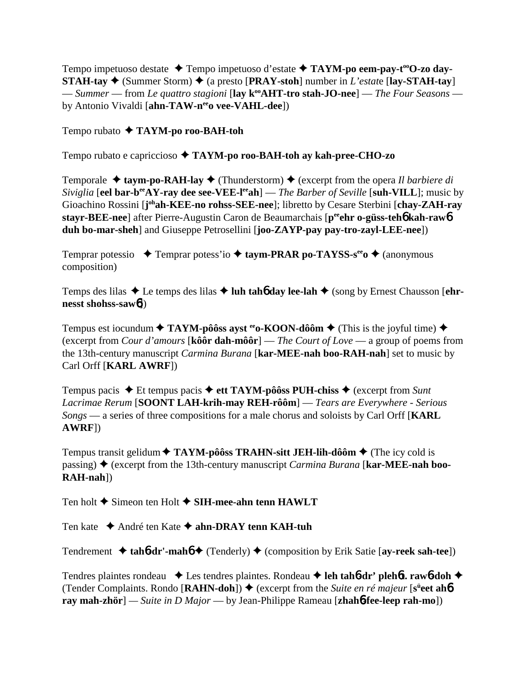Tempo impetuoso destate ◆ Tempo impetuoso d'estate ◆ TAYM-po eem-pay-t<sup>oo</sup>O-zo day-**STAH-tay**  $\blacklozenge$  (Summer Storm)  $\blacklozenge$  (a presto [**PRAY-stoh**] number in *L'estat*e [**lay-STAH-tay**] — *Summer* — from *Le quattro stagioni* [lay k<sup>oo</sup>AHT-tro stah-JO-nee] — *The Four Seasons* by Antonio Vivaldi [ahn-TAW-neeo vee-VAHL-dee])

Tempo rubato **TAYM-po roo-BAH-toh**

Tempo rubato e capriccioso **TAYM-po roo-BAH-toh ay kah-pree-CHO-zo**

Temporale  $\triangle$  taym-po-RAH-lay  $\triangle$  (Thunderstorm)  $\triangle$  (excerpt from the opera *Il barbiere di Siviglia* [eel bar-b<sup>ee</sup>AY-ray dee see-VEE-l<sup>ee</sup>ah] — *The Barber of Seville* [suh-VILL]; music by Gioachino Rossini [j<sup>oh</sup>ah-KEE-no rohss-SEE-nee]; libretto by Cesare Sterbini [chay-ZAH-ray **stayr-BEE-nee**] after Pierre-Augustin Caron de Beaumarchais [**peeehr o-güss-teh**6 **kah-raw**6 **duh bo-mar-sheh**] and Giuseppe Petrosellini [**joo-ZAYP-pay pay-tro-zayl-LEE-nee**])

Temprar potessio  $\rightarrow$  Temprar potess'io  $\rightarrow$  taym-PRAR po-TAYSS-s<sup>ee</sup>o  $\rightarrow$  (anonymous composition)

Temps des lilas  $\triangle$  Le temps des lilas  $\triangle$  luh tah**6** day lee-lah  $\triangle$  (song by Ernest Chausson [ehr**nesst shohss-saw**6])

Tempus est iocundum  $\triangle$  TAYM-pôôss ayst <sup>ee</sup> o-KOON-dôôm  $\triangle$  (This is the joyful time)  $\triangle$ (excerpt from *Cour d'amours* [**kôôr dah-môôr**] — *The Court of Love* — a group of poems from the 13th-century manuscript *Carmina Burana* [**kar-MEE-nah boo-RAH-nah**] set to music by Carl Orff [**KARL AWRF**])

Tempus pacis  $\triangle$  Et tempus pacis  $\triangle$  ett TAYM-pôôss PUH-chiss  $\triangle$  (excerpt from *Sunt Lacrimae Rerum* [**SOONT LAH-krih-may REH-rôôm**] — *Tears are Everywhere - Serious Songs* — a series of three compositions for a male chorus and soloists by Carl Orff [**KARL AWRF**])

Tempus transit gelidum **◆ TAYM-pôôss TRAHN-sitt JEH-lih-dôôm ◆** (The icy cold is passing) (excerpt from the 13th-century manuscript *Carmina Burana* [**kar-MEE-nah boo-RAH-nah**])

Ten holt **→** Simeon ten Holt **→ SIH-mee-ahn tenn HAWLT** 

Ten kate **→** André ten Kate **→ ahn-DRAY tenn KAH-tuh** 

Tendrement  $\triangleleft$  tah**6**-dr'-mah**6**  $\triangleleft$  (Tenderly)  $\triangleleft$  (composition by Erik Satie [ay-reek sah-tee])

Tendres plaintes rondeau  $\triangle$  Les tendres plaintes. Rondeau **→ leh tahb-dr' plehbt. rawb-doh** → (Tender Complaints. Rondo [**RAHN-doh**]) ♦ (excerpt from the *Suite en ré majeur* [s<sup>ü</sup>eet ah**6 ray mah-zhör**] *— Suite in D Major* — by Jean-Philippe Rameau [**zhah**6**-fee-leep rah-mo**])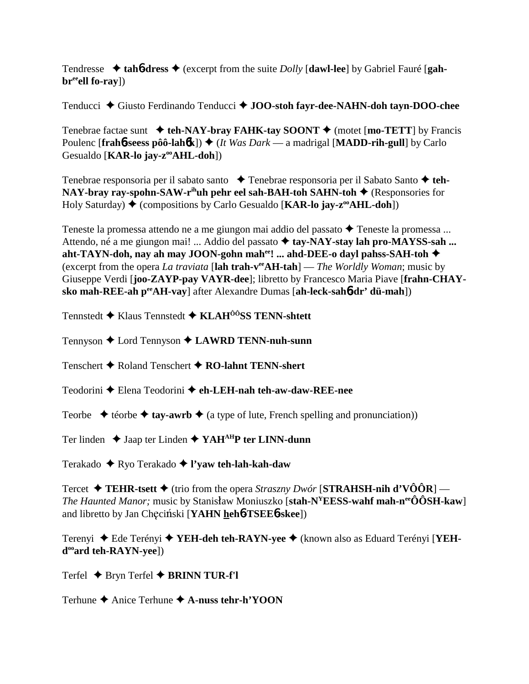Tendresse  $\triangleleft$  tah**6**-dress  $\triangleleft$  (excerpt from the suite *Dolly* [dawl-lee] by Gabriel Fauré [gah**br**<sup>ee</sup>ell fo-ray])

Tenducci ◆ Giusto Ferdinando Tenducci ◆ **JOO-stoh fayr-dee-NAHN-doh tayn-DOO-chee** 

Tenebrae factae sunt **teh-NAY-bray FAHK-tay SOONT** (motet [**mo-TETT**] by Francis Poulenc [frahb-seess pôô-lahbk])  $\triangleleft$  (*It Was Dark* — a madrigal [MADD-rih-gull] by Carlo Gesualdo [**KAR-lo jay-zooAHL-doh**])

Tenebrae responsoria per il sabato santo → Tenebrae responsoria per il Sabato Santo → teh-**NAY-bray ray-spohn-SAW-r<sup>ih</sup>uh pehr eel sah-BAH-toh SAHN-toh ♦ (Responsories for** Holy Saturday) ♦ (compositions by Carlo Gesualdo [**KAR-lo jay-z<sup>oo</sup>AHL-doh**])

Teneste la promessa attendo ne a me giungon mai addio del passato  $\triangle$  Teneste la promessa ... Attendo, né a me giungon mai! ... Addio del passato ◆ tay-NAY-stay lah pro-MAYSS-sah ... **aht-TAYN-doh, nay ah may JOON-gohn mahee! ... ahd-DEE-o dayl pahss-SAH-toh** (excerpt from the opera *La traviata* [**lah trah-veeAH-tah**] — *The Worldly Woman*; music by Giuseppe Verdi [**joo-ZAYP-pay VAYR-dee**]; libretto by Francesco Maria Piave [**frahn-CHAYsko mah-REE-ah peeAH-vay**] after Alexandre Dumas [**ah-leck-sah**6**-dr' dü-mah**])

Tennstedt Klaus Tennstedt **KLAHÔÔSS TENN-shtett**

Tennyson Lord Tennyson **LAWRD TENN-nuh-sunn**

Tenschert Roland Tenschert **RO-lahnt TENN-shert**

Teodorini Elena Teodorini **eh-LEH-nah teh-aw-daw-REE-nee**

Teorbe  $\triangleq$  téorbe  $\triangleq$  tay-awrb  $\triangleq$  (a type of lute, French spelling and pronunciation))

Ter linden  $\triangle$  Jaap ter Linden  $\triangle$  YAH<sup>AH</sup>P ter LINN-dunn

Terakado Ryo Terakado **l'yaw teh-lah-kah-daw**

Tercet  $\blacklozenge$  **TEHR-tsett**  $\blacklozenge$  (trio from the opera *Straszny Dwór* [**STRAHSH-nih d'VÔÔR**] — *The Haunted Manor;* music by Stanisław Moniuszko [stah-N<sup>Y</sup>EESS-wahf mah-n<sup>ee</sup>ÔÔSH-kaw] and libretto by Jan Checiński [**YAHN heh<sup>6</sup>-TSEE<sup>6</sup>-skee**])

Terenyi ◆ Ede Terényi ◆ YEH-deh teh-RAYN-yee ◆ (known also as Eduard Terényi [YEH**dooard teh-RAYN-yee**])

Terfel **← Bryn Terfel ← BRINN TUR-f'l** 

Terhune **→** Anice Terhune **→ A-nuss tehr-h'YOON**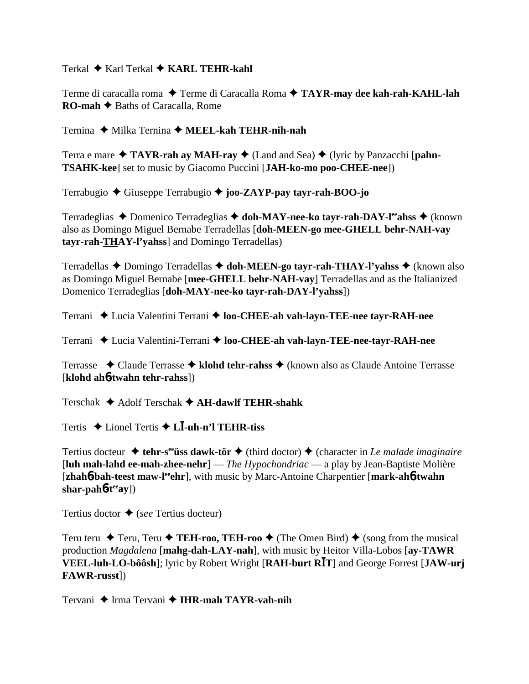Terkal ◆ Karl Terkal ◆ KARL TEHR-kahl

Terme di caracalla roma ◆ Terme di Caracalla Roma ◆ TAYR-may dee kah-rah-KAHL-lah **RO-mah ← Baths of Caracalla, Rome** 

Ternina ◆ Milka Ternina ◆ MEEL-kah TEHR-nih-nah

Terra e mare  $\triangle$  TAYR-rah ay MAH-ray  $\triangle$  (Land and Sea)  $\triangle$  (lyric by Panzacchi [pahn-**TSAHK-kee**] set to music by Giacomo Puccini [**JAH-ko-mo poo-CHEE-nee**])

Terrabugio Giuseppe Terrabugio **joo-ZAYP-pay tayr-rah-BOO-jo**

Terradeglias ◆ Domenico Terradeglias ◆ doh-MAY-nee-ko tayr-rah-DAY-l<sup>ee</sup>ahss ◆ (known also as Domingo Miguel Bernabe Terradellas [**doh-MEEN-go mee-GHELL behr-NAH-vay tayr-rah-THAY-l'yahss**] and Domingo Terradellas)

Terradellas ◆ Domingo Terradellas ◆ doh-MEEN-go tayr-rah-THAY-l'yahss ◆ (known also as Domingo Miguel Bernabe [**mee-GHELL behr-NAH-vay**] Terradellas and as the Italianized Domenico Terradeglias [**doh-MAY-nee-ko tayr-rah-DAY-l'yahss**])

Terrani ◆ Lucia Valentini Terrani ◆ loo-CHEE-ah vah-layn-TEE-nee tayr-RAH-nee

Terrani Lucia Valentini-Terrani **loo-CHEE-ah vah-layn-TEE-nee-tayr-RAH-nee**

Terrasse Claude Terrasse **klohd tehr-rahss** (known also as Claude Antoine Terrasse [**klohd ah**6**-twahn tehr-rahss**])

Terschak Adolf Terschak **AH-dawlf TEHR-shahk**

Tertis ◆ Lionel Tertis ◆ L**I-uh-n'l TEHR-tiss** 

Tertius docteur  $\triangleq$  tehr-s<sup>ee</sup> tiss dawk-tör  $\triangleq$  (third doctor)  $\triangleq$  (character in *Le malade imaginaire* [**luh mah-lahd ee-mah-zhee-nehr**] — *The Hypochondriac* — a play by Jean-Baptiste Molière [**zhah<sup>6</sup>-bah-teest maw-l<sup>ee</sup>ghr**], with music by Marc-Antoine Charpentier [**mark-ah<sup>6</sup>-twahn**] **shar-pah**6**-teeay**])

Tertius doctor  $\triangle$  (*see* Tertius docteur)

Teru teru  $\blacklozenge$  Teru, Teru  $\blacklozenge$  **TEH-roo, TEH-roo**  $\blacklozenge$  (The Omen Bird)  $\blacklozenge$  (song from the musical production *Magdalena* [**mahg-dah-LAY-nah**], with music by Heitor Villa-Lobos [**ay-TAWR VEEL-luh-LO-bôôsh**]; lyric by Robert Wright [**RAH-burt RT**] and George Forrest [**JAW-urj FAWR-russt**])

Tervani ◆ Irma Tervani ◆ IHR-mah TAYR-vah-nih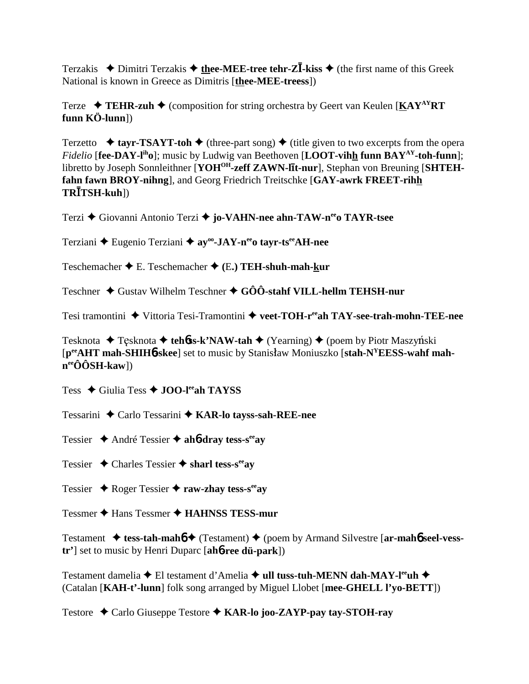Terzakis  $\triangle$  Dimitri Terzakis  $\triangle$  thee-MEE-tree tehr-Z**I**-kiss  $\triangle$  (the first name of this Greek National is known in Greece as Dimitris [thee-MEE-treess])

Terze  $\rightarrow$  TEHR-zuh  $\rightarrow$  (composition for string orchestra by Geert van Keulen [KAY<sup>AY</sup>RT] funn  $K\ddot{\text{O}}$ -lunn])

Terzetto  $\triangle$  tayr-TSAYT-toh  $\triangle$  (three-part song)  $\triangle$  (title given to two excerpts from the opera *Fidelio* [fee-DAY-l<sup>ih</sup>o]; music by Ludwig van Beethoven [LOOT-vihh funn BAY<sup>AY</sup>-toh-funn]; libretto by Joseph Sonnleithner [YOH<sup>OH</sup>-zeff ZAWN-lit-nur], Stephan von Breuning [SHTEHfahn fawn BROY-nihng], and Georg Friedrich Treitschke [GAY-awrk FREET-rihh  $TR\overline{I}TSH-kuh$ ])

Terzi ♦ Giovanni Antonio Terzi ♦ jo-VAHN-nee ahn-TAW-n<sup>ee</sup>o TAYR-tsee

Terziani ← Eugenio Terziani ← ay<sup>oo</sup>-JAY-n<sup>ee</sup>o tayr-ts<sup>ee</sup>AH-nee

Teschemacher  $\bigstar$  E. Teschemacher  $\bigstar$  (E.) TEH-shuh-mah-kur

Teschner  $\triangle$  Gustav Wilhelm Teschner  $\triangle$  GÔÔ-stahf VILL-hellm TEHSH-nur

Tesi tramontini ◆ Vittoria Tesi-Tramontini ◆ veet-TOH-r<sup>ee</sup>ah TAY-see-trah-mohn-TEE-nee

Tesknota  $\triangle$  Tęsknota  $\triangle$  tehoss-k'NAW-tah  $\triangle$  (Yearning)  $\triangle$  (poem by Piotr Maszyński [p<sup>ee</sup>AHT mah-SHIH<sub>0</sub>-skee] set to music by Stanisław Moniuszko [stah-N<sup>Y</sup>EESS-wahf mah $n^{ee}\hat{O}\hat{O}SH$ -kaw])

Tess  $\triangle$  Giulia Tess  $\triangle$  JOO-lee ah TAYSS

Tessarini ◆ Carlo Tessarini ◆ KAR-lo tayss-sah-REE-nee

Tessier  $\triangle$  André Tessier  $\triangle$  ahb-dray tess-s<sup>ee</sup>ay

Tessier  $\triangle$  Charles Tessier  $\triangle$  sharl tess-s<sup>ee</sup>ay

Tessier  $\triangle$  Roger Tessier  $\triangle$  raw-zhay tess-s<sup>ee</sup>ay

Tessmer ◆ Hans Tessmer ◆ HAHNSS TESS-mur

Testament  $\triangleq$  tess-tah-mah $\uparrow \triangleq$  (Testament)  $\triangleq$  (poem by Armand Silvestre [ar-mah $\uparrow$  seel-vess $tr$ <sup> $\prime$ </sup>] set to music by Henri Duparc [ah*b***-ree dü-park**])

Testament damelia ◆ El testament d'Amelia ◆ ull tuss-tuh-MENN dah-MAY-l<sup>ee</sup>uh ◆ (Catalan [KAH-t'-lunn] folk song arranged by Miguel Llobet [mee-GHELL l'yo-BETT])

Testore ◆ Carlo Giuseppe Testore ◆ KAR-lo joo-ZAYP-pay tay-STOH-ray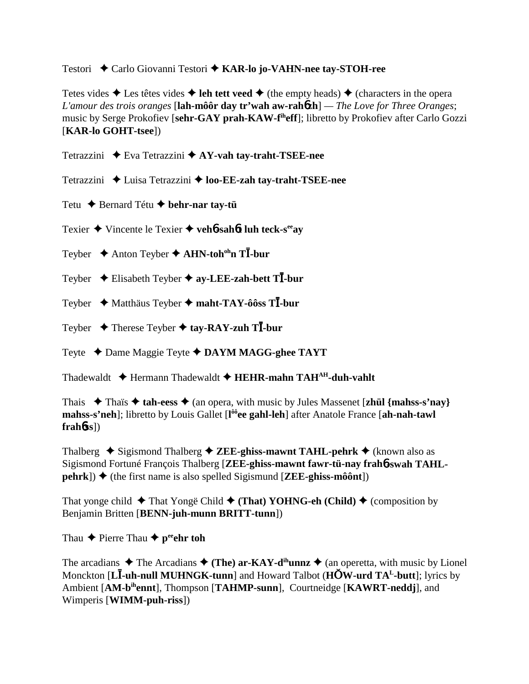Testori ◆ Carlo Giovanni Testori ◆ KAR-lo jo-VAHN-nee tay-STOH-ree

Tetes vides  $\triangle$  Les têtes vides  $\triangle$  leh tett veed  $\triangle$  (the empty heads)  $\triangle$  (characters in the opera *L'amour des trois oranges* [**lah-môôr day tr'wah aw-rah**6**zh**] *— The Love for Three Oranges*; music by Serge Prokofiev [**sehr-GAY prah-KAW-fiheff**]; libretto by Prokofiev after Carlo Gozzi [**KAR-lo GOHT-tsee**])

Tetrazzini **◆** Eva Tetrazzini ◆ AY-vah tay-traht-TSEE-nee

Tetrazzini ◆ Luisa Tetrazzini ◆ loo-**EE-zah tay-traht-TSEE-nee** 

Tetu **←** Bernard Tétu ← behr-nar tay-tü

Texier Vincente le Texier **veh**6**-sah**6**t luh teck-seeay**

Teyber **→** Anton Teyber ◆ AHN-toh<sup>oh</sup>n T**I**-bur

Teyber Elisabeth Teyber **ay-LEE-zah-bett T-bur**

Teyber Matthäus Teyber **maht-TAY-ôôss T-bur**

Teyber  $\rightarrow$  Therese Teyber  $\rightarrow$  tay-RAY-zuh T**I**-bur

Teyte Dame Maggie Teyte **DAYM MAGG-ghee TAYT**

Thadewaldt **→** Hermann Thadewaldt → HEHR-mahn TAH<sup>AH</sup>-duh-vahlt

Thais  $\rightarrow$  Thais  $\rightarrow$  tah-eess  $\rightarrow$  (an opera, with music by Jules Massenet [**zhül** {mahss-s'nay} **mahss-s'neh**]; libretto by Louis Gallet [**l ôôee gahl-leh**] after Anatole France [**ah-nah-tawl frah**6**ss**])

Thalberg  $\triangle$  Sigismond Thalberg  $\triangle$  **ZEE-ghiss-mawnt TAHL-pehrk**  $\triangle$  (known also as Sigismond Fortuné François Thalberg [**ZEE-ghiss-mawnt fawr-tü-nay frah**6**-swah TAHL-** $\phi$  (the first name is also spelled Sigismund [**ZEE-ghiss-môônt**])

That yonge child **→** That Yongë Child ◆ (That) YOHNG-eh (Child) ◆ (composition by Benjamin Britten [**BENN-juh-munn BRITT-tunn**])

Thau  $\triangle$  Pierre Thau  $\triangle$  p<sup>ee</sup>ehr toh

The arcadians  $\triangle$  The Arcadians  $\triangle$  (The) ar-KAY-d<sup>ih</sup>unnz  $\triangle$  (an operetta, with music by Lionel Monckton [**L-uh-null MUHNGK-tunn**] and Howard Talbot (**HW-urd TAL-butt**]; lyrics by Ambient [**AM-bihennt**], Thompson [**TAHMP-sunn**], Courtneidge [**KAWRT-neddj**], and Wimperis [**WIMM-puh-riss**])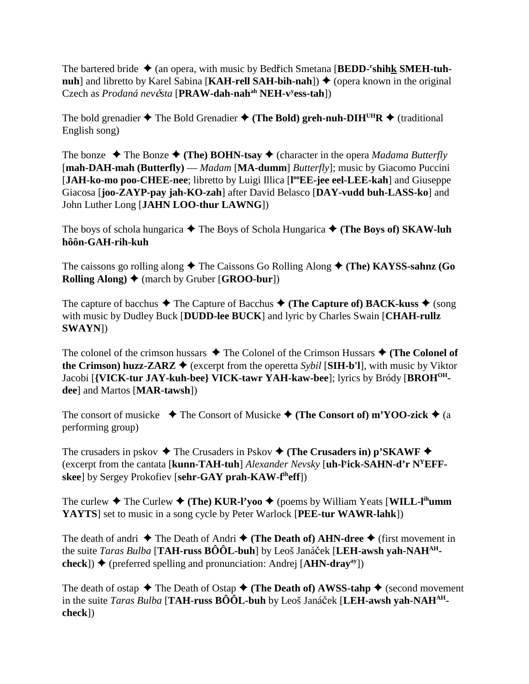The bartered bride  $\triangleq$  (an opera, with music by Bedřich Smetana [BEDD-<sup>r</sup>shihk SMEH-tuh**nuh**] and libretto by Karel Sabina [**KAH-rell SAH-bih-nah**])  $\blacklozenge$  (opera known in the original Czech as *Prodaná nevsta* [**PRAW-dah-nahah NEH-vy ess-tah**])

The bold grenadier  $\triangle$  The Bold Grenadier  $\triangle$  (The Bold) greh-nuh-DIH<sup>UH</sup>R  $\triangle$  (traditional English song)

The bonze  $\triangle$  The Bonze  $\triangle$  (The) BOHN-tsay  $\triangle$  (character in the opera *Madama Butterfly* [**mah-DAH-mah (Butterfly)** — *Madam* [**MA-dumm**] *Butterfly*]; music by Giacomo Puccini [JAH-ko-mo poo-CHEE-nee; libretto by Luigi Illica [l<sup>oo</sup>EE-jee eel-LEE-kah] and Giuseppe Giacosa [**joo-ZAYP-pay jah-KO-zah**] after David Belasco [**DAY-vudd buh-LASS-ko**] and John Luther Long [**JAHN LOO-thur LAWNG**])

The boys of schola hungarica  $\blacklozenge$  The Boys of Schola Hungarica  $\blacklozenge$  (The Boys of) SKAW-luh **hôôn-GAH-rih-kuh**

The caissons go rolling along  $\triangle$  The Caissons Go Rolling Along  $\triangle$  (The) KAYSS-sahnz (Go **Rolling Along) ♦ (march by Gruber [GROO-bur])** 

The capture of bacchus  $\blacklozenge$  The Capture of Bacchus  $\blacklozenge$  (The Capture of) BACK-kuss  $\blacklozenge$  (song with music by Dudley Buck [**DUDD-lee BUCK**] and lyric by Charles Swain [**CHAH-rullz SWAYN**])

The colonel of the crimson hussars  $\triangle$  The Colonel of the Crimson Hussars  $\triangle$  (The Colonel of **the Crimson) huzz-ZARZ**  $\blacklozenge$  (excerpt from the operetta *Sybil* [SIH-b'l], with music by Viktor Jacobi [**{VICK-tur JAY-kuh-bee} VICK-tawr YAH-kaw-bee**]; lyrics by Bródy [**BROHOHdee**] and Martos [**MAR-tawsh**])

The consort of musicke  $\blacklozenge$  The Consort of Musicke  $\blacklozenge$  (The Consort of) m'YOO-zick  $\blacklozenge$  (a performing group)

The crusaders in pskov  $\blacklozenge$  The Crusaders in Pskov  $\blacklozenge$  (The Crusaders in) p'SKAWF  $\blacklozenge$ (excerpt from the cantata [**kunn-TAH-tuh**] *Alexander Nevsky* [**uh-ly ick-SAHN-d'r NYEFFskee**] by Sergey Prokofiev [**sehr-GAY prah-KAW-fiheff**])

The curlew  $\blacklozenge$  The Curlew  $\blacklozenge$  (The) KUR-l'yoo  $\blacklozenge$  (poems by William Yeats [WILL-l<sup>ih</sup>umm **YAYTS**] set to music in a song cycle by Peter Warlock [**PEE-tur WAWR-lahk**])

The death of andri  $\triangle$  The Death of Andri  $\triangle$  (The Death of) AHN-dree  $\triangle$  (first movement in the suite *Taras Bulba* [TAH-russ BÔÔL-buh] by Leoš Janáček [LEH-awsh yah-NAH<sup>AH</sup>**check**])  $\blacklozenge$  (preferred spelling and pronunciation: Andrej [A**HN-dray**<sup>ay</sup>])

The death of ostap  $\triangle$  The Death of Ostap  $\triangle$  (The Death of) AWSS-tahp  $\triangle$  (second movement in the suite *Taras Bulba* [TAH-russ BÔÔL-buh by Leoš Janáček [LEH-awsh yah-NAH<sup>AH</sup>**check**])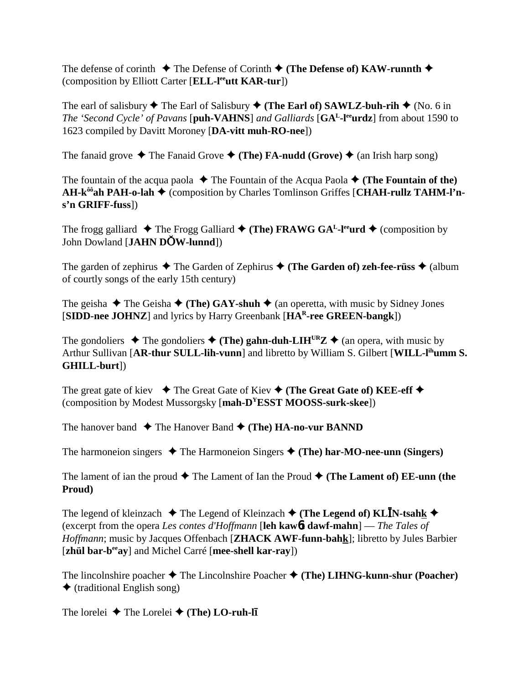The defense of corinth  $\blacklozenge$  The Defense of Corinth  $\blacklozenge$  (The Defense of) KAW-runnth  $\blacklozenge$ (composition by Elliott Carter [**ELL-leeutt KAR-tur**])

The earl of salisbury  $\blacklozenge$  The Earl of Salisbury  $\blacklozenge$  (**The Earl of) SAWLZ-buh-rih**  $\blacklozenge$  (No. 6 in *The 'Second Cycle' of Pavans* [**puh-VAHNS**] *and Galliards* [**GAL-leeurdz**] from about 1590 to 1623 compiled by Davitt Moroney [**DA-vitt muh-RO-nee**])

The fanaid grove  $\triangle$  The Fanaid Grove  $\triangle$  (The) **FA-nudd** (Grove)  $\triangle$  (an Irish harp song)

The fountain of the acqua paola  $\blacklozenge$  The Fountain of the Acqua Paola  $\blacklozenge$  (The Fountain of the) **AH-k<sup>ôô</sup>ah PAH-o-lah ♦** (composition by Charles Tomlinson Griffes [CHAH-rullz TAHM-l'n**s'n GRIFF-fuss**])

The frogg galliard  $\blacklozenge$  The Frogg Galliard  $\blacklozenge$  (The) FRAWG GA<sup>L</sup>-l<sup>ee</sup>urd  $\blacklozenge$  (composition by John Dowland [**JAHN DW-lunnd**])

The garden of zephirus  $\blacklozenge$  The Garden of Zephirus  $\blacklozenge$  (The Garden of) zeh-fee-rüss  $\blacklozenge$  (album of courtly songs of the early 15th century)

The geisha  $\blacklozenge$  The Geisha  $\blacklozenge$  (The) GAY-shuh  $\blacklozenge$  (an operetta, with music by Sidney Jones [**SIDD-nee JOHNZ**] and lyrics by Harry Greenbank [**HAR-ree GREEN-bangk**])

The gondoliers  $\triangle$  The gondoliers  $\triangle$  (The) gahn-duh-LIH<sup>UR</sup>Z  $\triangle$  (an opera, with music by Arthur Sullivan [AR-thur SULL-lih-vunn] and libretto by William S. Gilbert [WILL-l<sup>ih</sup>umm S. **GHILL-burt**])

The great gate of kiev  $\blacklozenge$  The Great Gate of Kiev  $\blacklozenge$  (The Great Gate of) KEE-eff  $\blacklozenge$ (composition by Modest Mussorgsky [**mah-DYESST MOOSS-surk-skee**])

The hanover band  $\blacklozenge$  The Hanover Band  $\blacklozenge$  (The) **HA-no-vur BANND** 

The harmoneion singers  $\triangle$  The Harmoneion Singers  $\triangle$  (The) har-MO-nee-unn (Singers)

The lament of ian the proud  $\blacklozenge$  The Lament of Ian the Proud  $\blacklozenge$  (The Lament of) EE-unn (the **Proud)**

The legend of kleinzach  $\blacklozenge$  The Legend of Kleinzach  $\blacklozenge$  (The Legend of) KL**I**N-tsahk  $\blacklozenge$ (excerpt from the opera *Les contes d'Hoffmann* [**leh kaw**6**t dawf-mahn**] — *The Tales of Hoffmann*; music by Jacques Offenbach [**ZHACK AWF-funn-bahk**]; libretto by Jules Barbier [**zhül bar-beeay**] and Michel Carré [**mee-shell kar-ray**])

The lincolnshire poacher  $\triangle$  The Lincolnshire Poacher  $\triangle$  (The) LIHNG-kunn-shur (Poacher)  $\triangleleft$  (traditional English song)

The lorelei **→** The Lorelei ◆ (The) LO-ruh-l**i**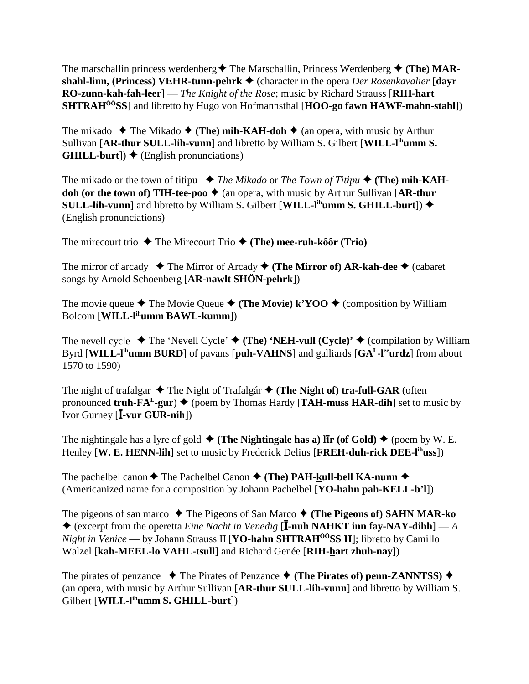The marschallin princess werdenberg  $\triangle$  The Marschallin, Princess Werdenberg  $\triangle$  (The) MAR**shahl-linn, (Princess) VEHR-tunn-pehrk ♦ (character in the opera** *Der Rosenkavalier* **[dayr] RO-zunn-kah-fah-leer**] — *The Knight of the Rose*; music by Richard Strauss [**RIH-hart SHTRAHÔÔSS**] and libretto by Hugo von Hofmannsthal [**HOO-go fawn HAWF-mahn-stahl**])

The mikado  $\triangle$  The Mikado  $\triangle$  (The) mih-KAH-doh  $\triangle$  (an opera, with music by Arthur Sullivan [**AR-thur SULL-lih-vunn**] and libretto by William S. Gilbert [**WILL-lihumm S. GHILL-burt**])  $\blacklozenge$  (English pronunciations)

The mikado or the town of titipu  $\blacklozenge$  *The Mikado* or *The Town of Titipu*  $\blacklozenge$  (**The)** mih-KAH**doh (or the town of) TIH-tee-poo**  $\blacklozenge$  (an opera, with music by Arthur Sullivan [AR-thur **SULL-lih-vunn**] and libretto by William S. Gilbert [WILL-l<sup>ih</sup>umm S. GHILL-burt])  $\blacklozenge$ (English pronunciations)

The mirecourt trio  $\triangle$  The Mirecourt Trio  $\triangle$  (The) mee-ruh-kôôr (Trio)

The mirror of arcady  $\blacklozenge$  The Mirror of Arcady  $\blacklozenge$  (The Mirror of) AR-kah-dee  $\blacklozenge$  (cabaret songs by Arnold Schoenberg [**AR-nawlt SHÖN-pehrk**])

The movie queue  $\blacklozenge$  The Movie Queue  $\blacklozenge$  (The Movie) k'YOO  $\blacklozenge$  (composition by William Bolcom [**WILL-lihumm BAWL-kumm**])

The nevell cycle  $\blacklozenge$  The 'Nevell Cycle'  $\blacklozenge$  (The) 'NEH-vull (Cycle)'  $\blacklozenge$  (compilation by William Byrd [**WILL-lihumm BURD**] of pavans [**puh-VAHNS**] and galliards [**GAL-leeurdz**] from about 1570 to 1590)

The night of trafalgar  $\blacklozenge$  The Night of Trafalgár  $\blacklozenge$  (The Night of) tra-full-GAR (often pronounced **truh-FA<sup>L</sup>-gur**)  $\blacklozenge$  (poem by Thomas Hardy [**TAH-muss HAR-dih**] set to music by Ivor Gurney [**I-vur GUR-nih**])

The nightingale has a lyre of gold  $\blacklozenge$  (The Nightingale has a) lix (of Gold)  $\blacklozenge$  (poem by W. E. Henley **[W. E. HENN-lih**] set to music by Frederick Delius **[FREH-duh-rick DEE-l<sup>ih</sup>uss**])

The pachelbel canon  $\blacklozenge$  The Pachelbel Canon  $\blacklozenge$  (The) PAH-kull-bell KA-nunn  $\blacklozenge$ (Americanized name for a composition by Johann Pachelbel [**YO-hahn pah-KELL-b'l**])

The pigeons of san marco  $\triangle$  The Pigeons of San Marco  $\triangle$  (The Pigeons of) SAHN MAR-ko  $\triangle$  (excerpt from the operetta *Eine Nacht in Venedig* [**I**-nuh NAHKT inn fay-NAY-dihh] — *A Night in Venice* — by Johann Strauss II [**YO-hahn SHTRAH<sup>ôô</sup>SS II**]; libretto by Camillo Walzel [**kah-MEEL-lo VAHL-tsull**] and Richard Genée [**RIH-hart zhuh-nay**])

The pirates of penzance  $\blacklozenge$  The Pirates of Penzance  $\blacklozenge$  (The Pirates of) penn-ZANNTSS)  $\blacklozenge$ (an opera, with music by Arthur Sullivan [**AR-thur SULL-lih-vunn**] and libretto by William S. Gilbert [**WILL-lihumm S. GHILL-burt**])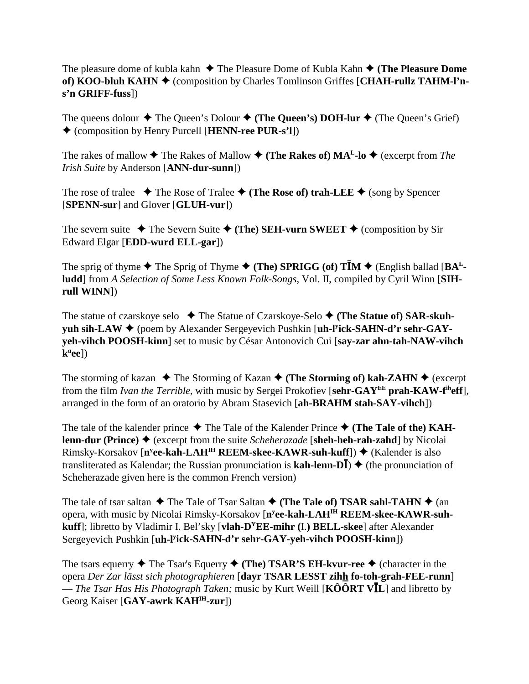The pleasure dome of kubla kahn  $\triangle$  The Pleasure Dome of Kubla Kahn  $\triangle$  (The Pleasure Dome **of) KOO-bluh KAHN ♦ (composition by Charles Tomlinson Griffes [CHAH-rullz TAHM-l'ns'n GRIFF-fuss**])

The queens dolour  $\blacklozenge$  The Queen's Dolour  $\blacklozenge$  (**The Queen's) DOH-lur**  $\blacklozenge$  (The Queen's Grief) (composition by Henry Purcell [**HENN-ree PUR-s'l**])

The rakes of mallow  $\blacklozenge$  The Rakes of Mallow  $\blacklozenge$  (**The Rakes of) MA<sup>L</sup>-lo**  $\blacklozenge$  (excerpt from *The Irish Suite* by Anderson [**ANN-dur-sunn**])

The rose of tralee  $\blacklozenge$  The Rose of Tralee  $\blacklozenge$  (The Rose of) trah-LEE  $\blacklozenge$  (song by Spencer [**SPENN-sur**] and Glover [**GLUH-vur**])

The severn suite  $\triangle$  The Severn Suite  $\triangle$  (The) SEH-vurn SWEET  $\triangle$  (composition by Sir Edward Elgar [**EDD-wurd ELL-gar**])

The sprig of thyme  $\blacklozenge$  The Sprig of Thyme  $\blacklozenge$  (The) SPRIGG (of) T**IM**  $\blacklozenge$  (English ballad [BA<sup>L</sup>**ludd**] from *A Selection of Some Less Known Folk-Songs*, Vol. II, compiled by Cyril Winn [**SIHrull WINN**])

The statue of czarskoye selo **→** The Statue of Czarskoye-Selo ◆ (**The Statue of) SAR-skuhyuh sih-LAW ♦** (poem by Alexander Sergeyevich Pushkin [**uh-l<sup>y</sup>ick-SAHN-d'r sehr-GAYyeh-vihch POOSH-kinn**] set to music by César Antonovich Cui [**say-zar ahn-tah-NAW-vihch kü ee**])

The storming of kazan  $\triangle$  The Storming of Kazan  $\triangle$  (The Storming of) kah-ZAHN  $\triangle$  (excerpt from the film *Ivan the Terrible*, with music by Sergei Prokofiev [**sehr-GAYEE prah-KAW-fiheff**], arranged in the form of an oratorio by Abram Stasevich [**ah-BRAHM stah-SAY-vihch**])

The tale of the kalender prince  $\blacklozenge$  The Tale of the Kalender Prince  $\blacklozenge$  (The Tale of the) KAH**lenn-dur (Prince) ♦ (excerpt from the suite** *Scheherazade* **[sheh-heh-rah-zahd] by Nicolai** Rimsky-Korsakov [n<sup>y</sup>ee-kah-LAH<sup>IH</sup> REEM-skee-KAWR-suh-kuff]) ♦ (Kalender is also transliterated as Kalendar; the Russian pronunciation is  $\text{kah-lenn-D}\bar{\text{I}}$ )  $\blacklozenge$  (the pronunciation of Scheherazade given here is the common French version)

The tale of tsar saltan  $\blacklozenge$  The Tale of Tsar Saltan  $\blacklozenge$  (The Tale of) TSAR sahl-TAHN  $\blacklozenge$  (an opera, with music by Nicolai Rimsky-Korsakov [n<sup>y</sup>ee-kah-LAH<sup>IH</sup> REEM-skee-KAWR-suh**kuff**]; libretto by Vladimir I. Bel'sky [**vlah-DYEE-mihr (**I.**) BELL-skee**] after Alexander Sergeyevich Pushkin [**uh-ly ick-SAHN-d'r sehr-GAY-yeh-vihch POOSH-kinn**])

The tsars equerry  $\triangle$  The Tsar's Equerry  $\triangle$  (The) TSAR'S EH-kvur-ree  $\triangle$  (character in the opera *Der Zar lässt sich photographieren* [**dayr TSAR LESST zihh fo-toh-grah-FEE-runn**] — *The Tsar Has His Photograph Taken;* music by Kurt Weill [**KÔÔRT VL**] and libretto by Georg Kaiser [**GAY-awrk KAHIH-zur**])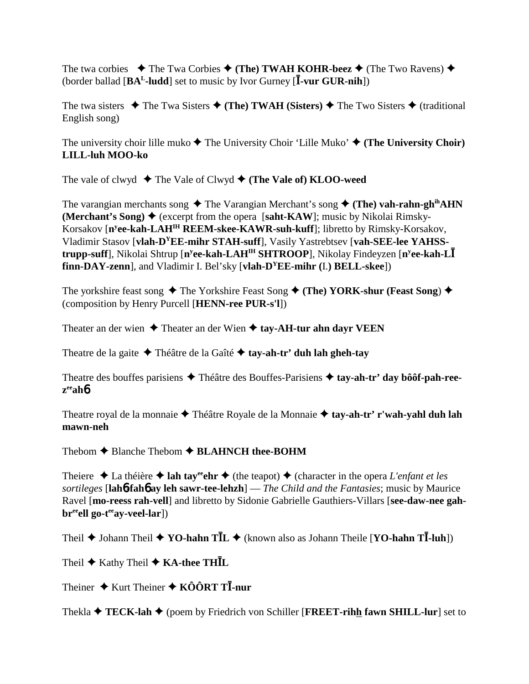The twa corbies  $\blacklozenge$  The Twa Corbies  $\blacklozenge$  (The) TWAH KOHR-beez  $\blacklozenge$  (The Two Ravens)  $\blacklozenge$ (border ballad  $[BA<sup>L</sup>-ludd]$  set to music by Ivor Gurney  $[\overline{I}-\overline{v}ur GUR-nih]$ )

The twa sisters  $\blacklozenge$  The Twa Sisters  $\blacklozenge$  (The) TWAH (Sisters)  $\blacklozenge$  The Two Sisters  $\blacklozenge$  (traditional English song)

The university choir lille muko  $\blacklozenge$  The University Choir 'Lille Muko'  $\blacklozenge$  (The University Choir) **LILL-luh MOO-ko**

The vale of clwyd  $\blacklozenge$  The Vale of Clwyd  $\blacklozenge$  (The Vale of) **KLOO-weed** 

The varangian merchants song  $\blacklozenge$  The Varangian Merchant's song  $\blacklozenge$  (The) vah-rahn-gh<sup>ih</sup>AHN **(Merchant's Song)**  $\blacklozenge$  (excerpt from the opera [saht-KAW]; music by Nikolai Rimsky-Korsakov [**ny ee-kah-LAHIH REEM-skee-KAWR-suh-kuff**]; libretto by Rimsky-Korsakov, Vladimir Stasov [**vlah-DYEE-mihr STAH-suff**], Vasily Yastrebtsev [**vah-SEE-lee YAHSStrupp-suff**], Nikolai Shtrup [**ny ee-kah-LAHIH SHTROOP**], Nikolay Findeyzen [**ny ee-kah-L finn-DAY-zenn**], and Vladimir I. Bel'sky [**vlah-DYEE-mihr (**I.**) BELL-skee**])

The yorkshire feast song  $\triangle$  The Yorkshire Feast Song  $\triangle$  (The) YORK-shur (Feast Song)  $\triangle$ (composition by Henry Purcell [**HENN-ree PUR-s'l**])

Theater an der wien  $\triangle$  Theater an der Wien  $\triangle$  tay-AH-tur ahn dayr VEEN

Theatre de la gaite Théâtre de la Gaîté **tay-ah-tr' duh lah gheh-tay**

Theatre des bouffes parisiens Théâtre des Bouffes-Parisiens **tay-ah-tr' day bôôf-pah-reezeeah**6

Theatre royal de la monnaie Théâtre Royale de la Monnaie **tay-ah-tr' r'wah-yahl duh lah mawn-neh**

Thebom  $\triangle$  Blanche Thebom  $\triangle$  **BLAHNCH** thee-BOHM

Theiere  $\triangle$  La théière  $\triangle$  lah tay<sup>ee</sup> the  $\triangle$  (the teapot)  $\triangle$  (character in the opera *L'enfant et les sortileges* [**lah**6**-fah**6 **ay leh sawr-tee-lehzh**] — *The Child and the Fantasies*; music by Maurice Ravel [**mo-reess rah-vell**] and libretto by Sidonie Gabrielle Gauthiers-Villars [**see-daw-nee gahbr**<sup>ee</sup>ell go-t<sup>ee</sup>ay-veel-lar])

Theil  $\blacklozenge$  Johann Theil  $\blacklozenge$  **YO-hahn TI**L  $\blacklozenge$  (known also as Johann Theile [**YO-hahn TI**-luh])

Theil  $\blacklozenge$  Kathy Theil  $\blacklozenge$  **KA-thee THIL** 

Theiner **→** Kurt Theiner ◆ KÔÔRT T**I**-nur

Thekla  $\triangle$  **TECK-lah**  $\triangle$  (poem by Friedrich von Schiller [**FREET-rihh fawn SHILL-lur**] set to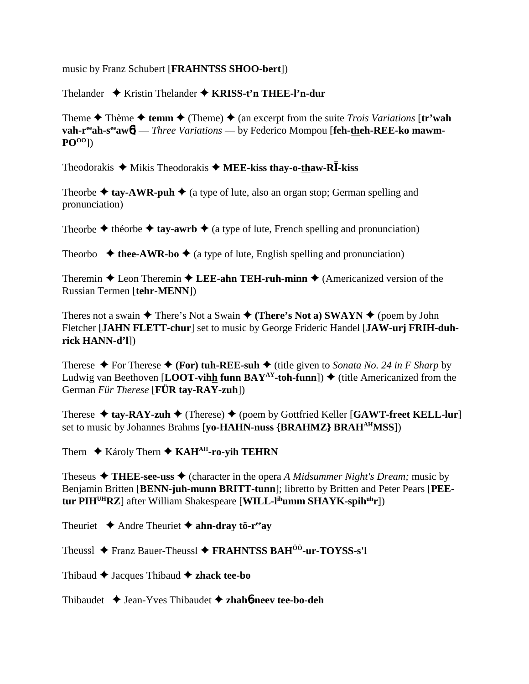music by Franz Schubert [**FRAHNTSS SHOO-bert**])

Thelander Kristin Thelander **KRISS-t'n THEE-l'n-dur**

Theme  $\triangle$  Thème  $\triangle$  **temm**  $\triangle$  (Theme)  $\triangle$  (an excerpt from the suite *Trois Variations* [**tr'wah vah-r<sup>ee</sup>ah-s<sup>ee</sup>aw<sub>6</sub>]** — *Three Variations* — by Federico Mompou [feh-theh-REE-ko mawm-**POOO**])

Theodorakis  $\triangle$  Mikis Theodorakis  $\triangle$  **MEE-kiss thay-o-thaw-RI**-kiss

Theorbe  $\triangleq$  tay-AWR-puh  $\triangleq$  (a type of lute, also an organ stop; German spelling and pronunciation)

Theorbe  $\triangle$  théorbe  $\triangle$  tay-awrb  $\triangle$  (a type of lute, French spelling and pronunciation)

Theorbo  $\triangleleft$  thee-AWR-bo  $\triangleleft$  (a type of lute, English spelling and pronunciation)

Theremin  $\triangle$  Leon Theremin  $\triangle$  LEE-ahn TEH-ruh-minn  $\triangle$  (Americanized version of the Russian Termen [**tehr-MENN**])

Theres not a swain  $\triangle$  There's Not a Swain  $\triangle$  (There's Not a) SWAYN  $\triangle$  (poem by John Fletcher [**JAHN FLETT-chur**] set to music by George Frideric Handel [**JAW-urj FRIH-duhrick HANN-d'l**])

Therese  $\blacklozenge$  For Therese  $\blacklozenge$  (For) tuh-REE-suh  $\blacklozenge$  (title given to *Sonata No. 24 in F Sharp* by Ludwig van Beethoven [**LOOT-vihh funn BAY<sup>AY</sup>-toh-funn**])  $\blacklozenge$  (title Americanized from the German *Für Therese* [**FÜR tay-RAY-zuh**])

Therese  $\triangle$  tay-RAY-zuh  $\triangle$  (Therese)  $\triangle$  (poem by Gottfried Keller [GAWT-freet KELL-lur] set to music by Johannes Brahms [**yo-HAHN-nuss {BRAHMZ} BRAHAHMSS**])

Thern **↓** Károly Thern **↓ KAH<sup>AH</sup>-ro-yih TEHRN** 

Theseus  $\triangle$  **THEE-see-uss**  $\triangle$  (character in the opera *A Midsummer Night's Dream;* music by Benjamin Britten [**BENN-juh-munn BRITT-tunn**]; libretto by Britten and Peter Pears [**PEEtur PIHUHRZ**] after William Shakespeare [**WILL-lihumm SHAYK-spihuhr**])

Theuriet  $\triangle$  Andre Theuriet  $\triangle$  ahn-dray tö-r<sup>ee</sup>ay

Theussl Franz Bauer-Theussl **FRAHNTSS BAHÔÔ-ur-TOYSS-s'l**

Thibaud  $\triangle$  Jacques Thibaud  $\triangle$  **zhack tee-bo** 

Thibaudet Jean-Yves Thibaudet **zhah**6**-neev tee-bo-deh**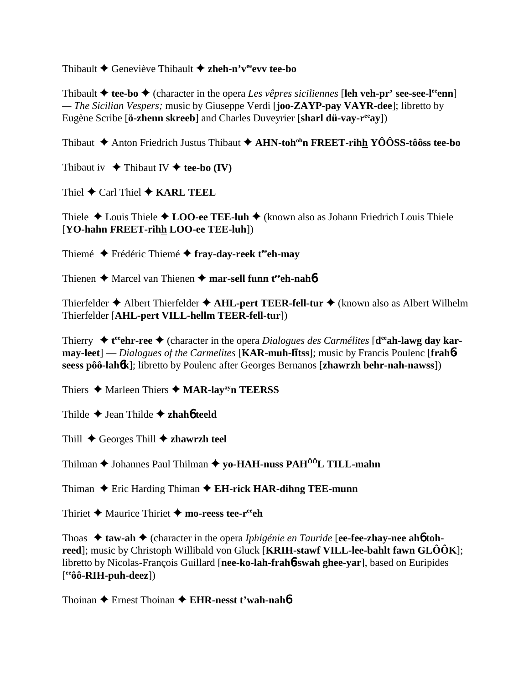Thibault Geneviève Thibault **zheh-n'veeevv tee-bo**

Thibault  $\triangle$  tee-bo  $\triangle$  (character in the opera *Les vêpres siciliennes* [leh veh-pr' see-see-l<sup>ee</sup>enn] *— The Sicilian Vespers;* music by Giuseppe Verdi [**joo-ZAYP-pay VAYR-dee**]; libretto by Eugène Scribe [**ö-zhenn skreeb**] and Charles Duveyrier [**sharl dü-vay-reeay**])

Thibaut  $\triangle$  Anton Friedrich Justus Thibaut  $\triangle$  AHN-toh<sup>oh</sup>n FREET-rihh YÔÔSS-tôôss tee-bo

Thibaut iv  $\blacklozenge$  Thibaut IV  $\blacklozenge$  tee-bo (IV)

Thiel  $\triangle$  Carl Thiel  $\triangle$  **KARL TEEL** 

Thiele  $\triangle$  Louis Thiele  $\triangle$  LOO-ee TEE-luh  $\triangle$  (known also as Johann Friedrich Louis Thiele [**YO-hahn FREET-rihh LOO-ee TEE-luh**])

Thiemé ◆ Frédéric Thiemé ◆ fray-day-reek t<sup>ee</sup>eh-may

Thienen **→** Marcel van Thienen → mar-sell funn t<sup>ee</sup>ch-nah**6** 

Thierfelder **◆** Albert Thierfelder ◆ AHL-pert TEER-fell-tur ◆ (known also as Albert Wilhelm Thierfelder [**AHL-pert VILL-hellm TEER-fell-tur**])

Thierry ◆ t<sup>ee</sup>ehr-ree ◆ (character in the opera *Dialogues des Carmélites* [d<sup>ee</sup>ah-lawg day kar- $\frac{1}{2}$  **may-leet**] — *Dialogues of the Carmelites* [**KAR-muh-litss**]; music by Francis Poulenc [**frah**6**seess pôô-lah**6**k**]; libretto by Poulenc after Georges Bernanos [**zhawrzh behr-nah-nawss**])

Thiers **→** Marleen Thiers **→ MAR-lay<sup>ay</sup>n TEERSS** 

Thilde Jean Thilde **zhah**6 **teeld**

Thill  $\triangle$  Georges Thill  $\triangle$  **zhawrzh teel** 

Thilman **→** Johannes Paul Thilman ◆ yo-HAH-nuss PAH<sup>ÔÔ</sup>L TILL-mahn

Thiman  $\triangle$  Eric Harding Thiman  $\triangle$  **EH-rick HAR-dihng TEE-munn** 

Thiriet  $\triangle$  Maurice Thiriet  $\triangle$  mo-reess tee-r<sup>ee</sup>ch

Thoas  $\triangle$  **taw-ah**  $\triangle$  (character in the opera *Iphigénie en Tauride* [**ee-fee-zhay-nee ah6** toh**reed**]; music by Christoph Willibald von Gluck [**KRIH-stawf VILL-lee-bahlt fawn GLÔÔK**]; libretto by Nicolas-François Guillard [**nee-ko-lah-frah**6**-swah ghee-yar**], based on Euripides [ **eeôô-RIH-puh-deez**])

Thoinan Ernest Thoinan **EHR-nesst t'wah-nah**6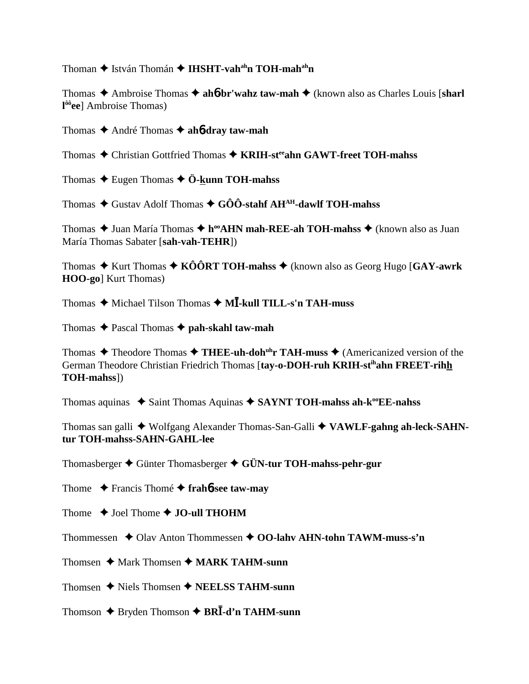Thoman ♦ István Thomán ♦ IHSHT-vah<sup>ah</sup>n TOH-mah<sup>ah</sup>n

Thomas  $\triangle$  Ambroise Thomas  $\triangle$  ahother' walk taw-mah  $\triangle$  (known also as Charles Louis [sharl]  $1^{66}$ ee] Ambroise Thomas)

Thomas  $\triangle$  André Thomas  $\triangle$  ah*b***-dray taw-mah** 

Thomas ◆ Christian Gottfried Thomas ◆ KRIH-st<sup>ee</sup>ahn GAWT-freet TOH-mahss

Thomas  $\triangle$  Eugen Thomas  $\triangle$  Ö-kunn TOH-mahss

Thomas  $\triangle$  Gustav Adolf Thomas  $\triangle$  GÔÔ-stahf AH<sup>AH</sup>-dawlf TOH-mahss

Thomas ◆ Juan María Thomas ◆ h<sup>oo</sup>AHN mah-REE-ah TOH-mahss ◆ (known also as Juan María Thomas Sabater [sah-vah-TEHR])

Thomas  $\triangle$  Kurt Thomas  $\triangle$  KOORT TOH-mahss  $\triangle$  (known also as Georg Hugo [GAY-awrk] **HOO-go**] Kurt Thomas)

Thomas  $\triangle$  Michael Tilson Thomas  $\triangle$  M $\overline{I}$ -kull TILL-s'n TAH-muss

Thomas  $\triangle$  Pascal Thomas  $\triangle$  pah-skahl taw-mah

Thomas  $\triangle$  Theodore Thomas  $\triangle$  THEE-uh-doh<sup>th</sup>r TAH-muss  $\triangle$  (Americanized version of the German Theodore Christian Friedrich Thomas [tay-o-DOH-ruh KRIH-stihahn FREET-rihh TOH-mahss])

Thomas aquinas  $\triangle$  Saint Thomas Aquinas  $\triangle$  SAYNT TOH-mahss ah- $k^{\omega}EE$ -nahss

Thomas san galli ◆ Wolfgang Alexander Thomas-San-Galli ◆ VAWLF-gahng ah-leck-SAHNtur TOH-mahss-SAHN-GAHL-lee

Thomasberger  $\triangle$  Günter Thomasberger  $\triangle$  GÜN-tur TOH-mahss-pehr-gur

Thome  $\rightarrow$  Francis Thomé  $\rightarrow$  frahb-see taw-may

Thome  $\triangle$  Joel Thome  $\triangle$  JO-ull THOHM

Thommessen  $\triangle$  Olav Anton Thommessen  $\triangle$  OO-lahv AHN-tohn TAWM-muss-s'n

Thomsen  $\triangle$  Mark Thomsen  $\triangle$  MARK TAHM-sunn

Thomsen  $\blacklozenge$  Niels Thomsen  $\blacklozenge$  NEELSS TAHM-sunn

Thomson  $\triangle$  Bryden Thomson  $\triangle$  BRI-d'n TAHM-sunn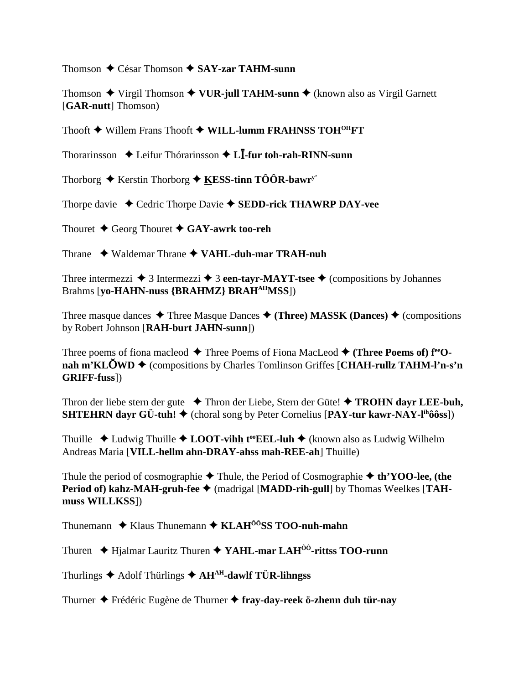Thomson  $\triangle$  César Thomson  $\triangle$  SAY-zar TAHM-sunn

Thomson  $\blacklozenge$  Virgil Thomson  $\blacklozenge$  VUR-jull TAHM-sunn  $\blacklozenge$  (known also as Virgil Garnett [GAR-nutt] Thomson)

Thooft  $\blacklozenge$  Willem Frans Thooft  $\blacklozenge$  WILL-lumm FRAHNSS TOH<sup>OH</sup>FT

Thorarinsson  $\triangle$  Leifur Thórarinsson  $\triangle$  L**I**-fur toh-rah-RINN-sunn

Thorborg  $\triangle$  Kerstin Thorborg  $\triangle$  KESS-tinn TÔÔR-bawr<sup>y</sup>

Thorpe davie  $\triangleleft$  Cedric Thorpe Davie  $\triangleleft$  SEDD-rick THAWRP DAY-vee

Thouret  $\blacklozenge$  Georg Thouret  $\blacklozenge$  GAY-awrk too-reh

Thrane  $\rightarrow$  Waldemar Thrane  $\rightarrow$  VAHL-duh-mar TRAH-nuh

Three intermezzi  $\triangleq 3$  Intermezzi  $\triangleq 3$  een-tayr-MAYT-tsee  $\triangleq$  (compositions by Johannes Brahms [vo-HAHN-nuss {BRAHMZ} BRAH<sup>AH</sup>MSS])

Three masque dances  $\triangle$  Three Masque Dances  $\triangle$  (Three) MASSK (Dances)  $\triangle$  (compositions by Robert Johnson [RAH-burt JAHN-sunn])

Three poems of fiona macleod  $\blacklozenge$  Three Poems of Fiona MacLeod  $\blacklozenge$  (Three Poems of)  $f^{ee}O$ nah m'KLOWD  $\triangleq$  (compositions by Charles Tomlinson Griffes [CHAH-rullz TAHM-l'n-s'n GRIFF-fuss])

Thron der liebe stern der gute  $\rightarrow$  Thron der Liebe, Stern der Güte!  $\rightarrow$  **TROHN dayr LEE-buh, SHTEHRN davr GÜ-tuh!**  $\triangleq$  (choral song by Peter Cornelius [PAY-tur kawr-NAY-l<sup>ih</sup>ôôss])

Thuille  $\triangle$  Ludwig Thuille  $\triangle$  LOOT-vihh t<sup>oo</sup>EEL-luh  $\triangle$  (known also as Ludwig Wilhelm Andreas Maria [VILL-hellm ahn-DRAY-ahss mah-REE-ah] Thuille)

Thule the period of cosmographie  $\blacklozenge$  Thule, the Period of Cosmographie  $\blacklozenge$  th'YOO-lee, (the Period of) kahz-MAH-gruh-fee ♦ (madrigal [MADD-rih-gull] by Thomas Weelkes [TAHmuss WILLKSS])

Thunemann  $\triangle$  Klaus Thunemann  $\triangle$  KLAH<sup> $\hat{0}$ o<sup>o</sup>SS TOO-nuh-mahn</sup>

Thuren ◆ Hjalmar Lauritz Thuren ◆ YAHL-mar LAH<sup>00</sup>-rittss TOO-runn

Thurlings  $\triangle$  Adolf Thürlings  $\triangle$  AH<sup>AH</sup>-dawlf TÜR-lihngss

Thurner ◆ Frédéric Eugène de Thurner ◆ fray-day-reek ö-zhenn duh tür-nay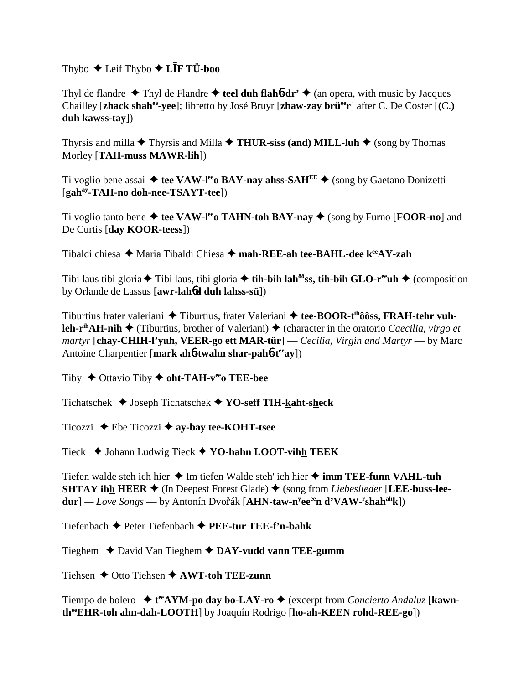# Thybo  $\triangle$  Leif Thybo  $\triangle$  L**IF TÜ-boo**

Thyl de flandre  $\triangle$  Thyl de Flandre  $\triangle$  teel duh flahot-dr'  $\triangle$  (an opera, with music by Jacques Chailley [zhack shah<sup>ee</sup>-yee]; libretto by José Bruyr [zhaw-zay brü<sup>ee</sup>r] after C. De Coster [(C.) duh kawss-tay])

Thyrsis and milla  $\blacklozenge$  Thyrsis and Milla  $\blacklozenge$  THUR-siss (and) MILL-luh  $\blacklozenge$  (song by Thomas Morley [TAH-muss MAWR-lih])

Ti voglio bene assai  $\triangleq$  tee VAW-l<sup>ee</sup> BAY-nay ahss-SAH<sup>EE</sup>  $\triangleq$  (song by Gaetano Donizetti [gah<sup>ay</sup>-TAH-no doh-nee-TSAYT-tee])

Ti voglio tanto bene  $\triangleq$  tee VAW-l<sup>ee</sup> TAHN-toh BAY-nay  $\triangleq$  (song by Furno [FOOR-no] and De Curtis [day KOOR-teess])

Tibaldi chiesa  $\triangleq$  Maria Tibaldi Chiesa  $\triangleq$  mah-REE-ah tee-BAHL-dee k<sup>ee</sup>AY-zah

Tibi laus tibi gloria  $\blacklozenge$  Tibi laus, tibi gloria  $\blacklozenge$  tih-bih lah<sup>ôô</sup>ss, tih-bih GLO-r<sup>ee</sup>uh  $\blacklozenge$  (composition by Orlande de Lassus [awr-lahod duh lahss-sü])

Tiburtius frater valeriani  $\triangle$  Tiburtius, frater Valeriani  $\triangle$  tee-BOOR-t<sup>th</sup>ôôss, FRAH-tehr vuh**leh-r<sup>ih</sup>AH-nih**  $\triangle$  (Tiburtius, brother of Valeriani)  $\triangle$  (character in the oratorio *Caecilia, virgo et* martyr [chay-CHIH-l'yuh, VEER-go ett MAR-tür] — Cecilia, Virgin and Martyr — by Marc Antoine Charpentier [mark ah**6-twahn shar-pah6-t<sup>ee</sup>ay**])

Tiby  $\blacklozenge$  Ottavio Tiby  $\blacklozenge$  oht-TAH-v<sup>ee</sup> TEE-bee

Tichatschek ◆ Joseph Tichatschek ◆ YO-seff TIH-kaht-sheck

Ticozzi  $\triangle$  Ebe Ticozzi  $\triangle$  ay-bay tee-KOHT-tsee

Tieck ♦ Johann Ludwig Tieck ♦ YO-hahn LOOT-vihh TEEK

Tiefen walde steh ich hier  $\triangleq$  Im tiefen Walde steh' ich hier  $\triangleq$  imm TEE-funn VAHL-tuh **SHTAY ihh HEER**  $\blacklozenge$  (In Deepest Forest Glade)  $\blacklozenge$  (song from *Liebeslieder* [LEE-buss-lee $dur$ ] — Love Songs — by Antonín Dvořák [AHN-taw-n<sup>y</sup>ee<sup>ee</sup>n d'VAW-<sup>r</sup>shah<sup>ah</sup>k])

Tiefenbach ♦ Peter Tiefenbach ♦ PEE-tur TEE-f'n-bahk

Tieghem  $\triangle$  David Van Tieghem  $\triangle$  DAY-vudd vann TEE-gumm

Tiehsen  $\triangle$  Otto Tiehsen  $\triangle$  AWT-toh TEE-zunn

Tiempo de bolero  $\star$  t<sup>ee</sup>AYM-po day bo-LAY-ro  $\star$  (excerpt from *Concierto Andaluz* [kawnthe EHR-toh ahn-dah-LOOTH] by Joaquín Rodrigo [ho-ah-KEEN rohd-REE-go])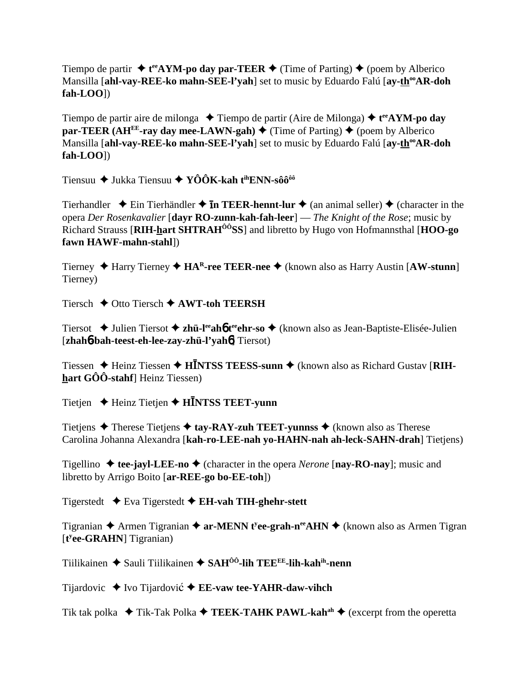Tiempo de partir  $\triangleleft$  **t**<sup>ee</sup>**AYM-po day par-TEER**  $\triangleleft$  (Time of Parting)  $\triangleq$  (poem by Alberico Mansilla [ahl-vay-REE-ko mahn-SEE-l'yah] set to music by Eduardo Falú [ay-th<sup>oo</sup>AR-doh **fah-LOO**])

Tiempo de partir aire de milonga **→** Tiempo de partir (Aire de Milonga) → t<sup>ee</sup>AYM-po day **par-TEER (AH<sup>EE</sup>-ray day mee-LAWN-gah)**  $\blacklozenge$  (Time of Parting)  $\blacklozenge$  (poem by Alberico Mansilla [ahl-vay-REE-ko mahn-SEE-l'vah] set to music by Eduardo Falú [ay-th<sup>oo</sup>AR-doh **fah-LOO**])

Tiensuu ◆ Jukka Tiensuu ◆ YÔÔK-kah t<sup>ih</sup>ENN-sôô<sup>ôô</sup>

Tierhandler  $\triangle$  Ein Tierhändler  $\triangle$  **In TEER-hennt-lur**  $\triangle$  (an animal seller)  $\triangle$  (character in the opera *Der Rosenkavalier* [**dayr RO-zunn-kah-fah-leer**] — *The Knight of the Rose*; music by Richard Strauss [**RIH-hart SHTRAHÔÔSS**] and libretto by Hugo von Hofmannsthal [**HOO-go fawn HAWF-mahn-stahl**])

Tierney Harry Tierney **HAR-ree TEER-nee** (known also as Harry Austin [**AW-stunn**] Tierney)

Tiersch  $\div$  Otto Tiersch  $\div$  **AWT-toh TEERSH** 

Tiersot ◆ Julien Tiersot ◆ zh**ü-l<sup>ee</sup>ah6 t<sup>ee</sup>ehr-so ◆** (known also as Jean-Baptiste-Elisée-Julien [**zhah**6**-bah-teest-eh-lee-zay-zhü-l'yah**6] Tiersot)

Tiessen ◆ Heinz Tiessen ◆ H**INTSS TEESS-sunn ◆** (known also as Richard Gustav [RIH**hart GÔÔ-stahf**] Heinz Tiessen)

Tietjen **→** Heinz Tietjen ◆ **HNTSS TEET-yunn** 

Tietjens  $\triangle$  Therese Tietjens  $\triangle$  tay-RAY-zuh TEET-yunnss  $\triangle$  (known also as Therese Carolina Johanna Alexandra [**kah-ro-LEE-nah yo-HAHN-nah ah-leck-SAHN-drah**] Tietjens)

Tigellino  $\triangle$  **tee-jayl-LEE-no**  $\triangle$  (character in the opera *Nerone* [**nay-RO-nay**]; music and libretto by Arrigo Boito [**ar-REE-go bo-EE-toh**])

Tigerstedt Eva Tigerstedt **EH-vah TIH-ghehr-stett**

Tigranian ◆ Armen Tigranian ◆ ar-MENN t<sup>y</sup>ee-grah-n<sup>ee</sup>AHN ◆ (known also as Armen Tigran [**t y ee-GRAHN**] Tigranian)

Tiilikainen **→** Sauli Tiilikainen → SAH<sup>ÔÔ</sup>-lih TEE<sup>EE</sup>-lih-kah<sup>ih</sup>-nenn

Tijardovic ◆ Ivo Tijardović ◆ **EE-vaw tee-YAHR-daw-vihch** 

Tik tak polka  $\blacklozenge$  Tik-Tak Polka  $\blacklozenge$  **TEEK-TAHK PAWL-kah**<sup>ah</sup>  $\blacklozenge$  (excerpt from the operetta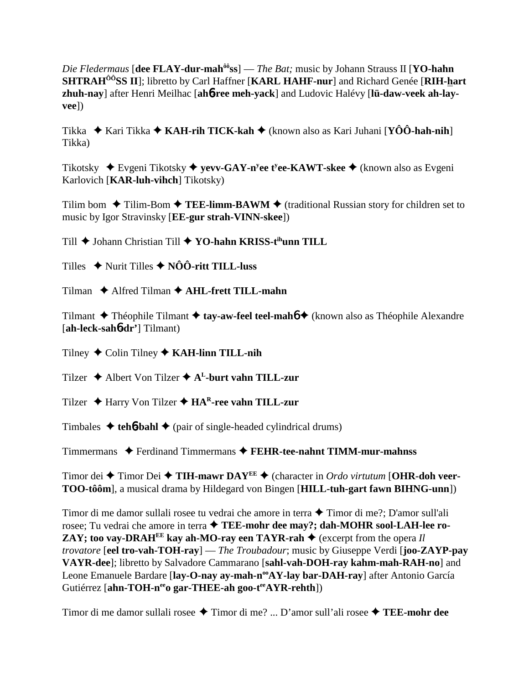Die Fledermaus [dee FLAY-dur-mah<sup>ô6</sup>ss] — The Bat; music by Johann Strauss II [YO-hahn **SHTRAH<sup>00</sup>SS II**]; libretto by Carl Haffner [KARL HAHF-nur] and Richard Genée [RIH-hart zhuh-nay] after Henri Meilhac [ah6-ree meh-yack] and Ludovic Halévy [lü-daw-veek ah-layveel)

Tikka ◆ Kari Tikka ◆ KAH-rih TICK-kah ◆ (known also as Kari Juhani [YÔÔ-hah-nih] Tikka)

Tikotsky  $\blacklozenge$  Evgeni Tikotsky  $\blacklozenge$  yevv-GAY-n<sup>y</sup>ee t<sup>y</sup>ee-KAWT-skee  $\blacklozenge$  (known also as Evgeni Karlovich [KAR-luh-vihch] Tikotsky)

Tilim bom  $\triangle$  Tilim-Bom  $\triangle$  TEE-limm-BAWM  $\triangle$  (traditional Russian story for children set to music by Igor Stravinsky [**EE-gur strah-VINN-skee**])

Till ◆ Johann Christian Till ◆ YO-hahn KRISS-tihunn TILL

Tilles  $\rightarrow$  Nurit Tilles  $\rightarrow$  NOO-ritt TILL-luss

Tilman ◆ Alfred Tilman ◆ AHL-frett TILL-mahn

Tilmant  $\triangle$  Théophile Tilmant  $\triangle$  tay-aw-feel teel-mah $\phi$  (known also as Théophile Alexandre  $[ah-leck-sah6-dr']$  Tilmant)

Tilney  $\bigstar$  Colin Tilney  $\bigstar$  KAH-linn TILL-nih

Tilzer  $\triangle$  Albert Von Tilzer  $\triangle$  A<sup>L</sup>-burt vahn TILL-zur

Tilzer ◆ Harry Von Tilzer ◆ HA<sup>R</sup>-ree vahn TILL-zur

Timbales  $\triangleleft$  teh**<sup>6</sup>-bahl**  $\triangleleft$  (pair of single-headed cylindrical drums)

Timmermans ◆ Ferdinand Timmermans ◆ FEHR-tee-nahnt TIMM-mur-mahnss

Timor dei ◆ Timor Dei ◆ TIH-mawr DAY<sup>EE</sup> ◆ (character in *Ordo virtutum* [OHR-doh veer-TOO-tôôm], a musical drama by Hildegard von Bingen [HILL-tuh-gart fawn BIHNG-unn])

Timor di me damor sullali rosee tu vedrai che amore in terra ◆ Timor di me?; D'amor sull'ali rosee; Tu vedrai che amore in terra ◆ TEE-mohr dee may?; dah-MOHR sool-LAH-lee ro-**ZAY**; too vay-DRAH<sup>EE</sup> kay ah-MO-ray een TAYR-rah  $\triangle$  (excerpt from the opera Il trovatore [eel tro-vah-TOH-ray] — The Troubadour; music by Giuseppe Verdi [joo-ZAYP-pay VAYR-dee]; libretto by Salvadore Cammarano [sahl-vah-DOH-ray kahm-mah-RAH-no] and Leone Emanuele Bardare [lay-O-nay ay-mah-n<sup>oo</sup>AY-lay bar-DAH-ray] after Antonio García Gutiérrez [ahn-TOH-n<sup>ee</sup>o gar-THEE-ah goo-tee AYR-rehth])

Timor di me damor sullali rosee  $\triangle$  Timor di me? ... D'amor sull'ali rosee  $\triangle$  TEE-mohr dee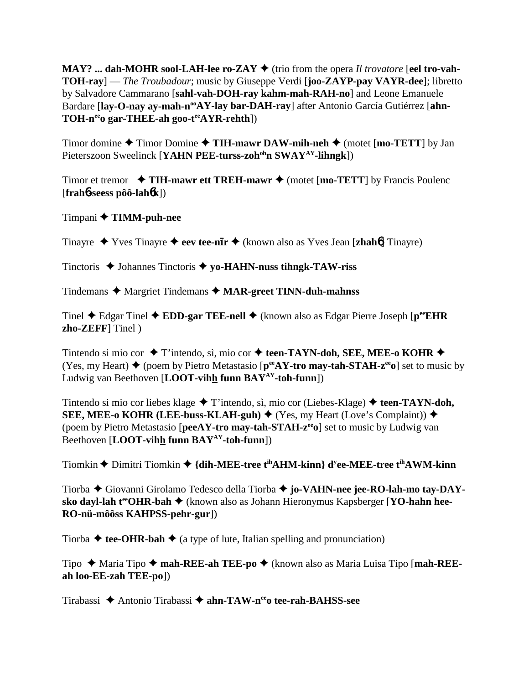**MAY?** ... dah-MOHR sool-LAH-lee ro-ZAY  $\blacklozenge$  (trio from the opera *Il trovatore* [eel tro-vah-**TOH-ray**] — *The Troubadour*; music by Giuseppe Verdi [**joo-ZAYP-pay VAYR-dee**]; libretto by Salvadore Cammarano [**sahl-vah-DOH-ray kahm-mah-RAH-no**] and Leone Emanuele Bardare [lay-O-nay ay-mah-n<sup>oo</sup>AY-lay bar-DAH-ray] after Antonio García Gutiérrez [ahn-TOH-n<sup>ee</sup>o gar-THEE-ah goo-t<sup>ee</sup>AYR-rehth])

Timor domine **→** Timor Domine → TIH-mawr DAW-mih-neh → (motet [mo-TETT] by Jan Pieterszoon Sweelinck [**YAHN PEE-turss-zoh<sup>oh</sup>n SWAY<sup>AY</sup>-lihngk**])

Timor et tremor  $\rightarrow$  TIH-mawr ett TREH-mawr  $\rightarrow$  (motet [mo-TETT] by Francis Poulenc [**frah**6**-seess pôô-lah**6**k**])

Timpani **TIMM-puh-nee**

Tinayre ◆ Yves Tinayre ◆ eev tee-n**īr** ◆ (known also as Yves Jean [**zhah<sup>6</sup>**] Tinayre)

Tinctoris **→** Johannes Tinctoris ◆ yo-HAHN-nuss tihngk-TAW-riss

Tindemans ◆ Margriet Tindemans ◆ MAR-greet TINN-duh-mahnss

Tinel Edgar Tinel **EDD-gar TEE-nell** (known also as Edgar Pierre Joseph [**peeEHR zho-ZEFF**] Tinel )

Tintendo si mio cor  $\blacklozenge$  T'intendo, sì, mio cor  $\blacklozenge$  teen-TAYN-doh, SEE, MEE-o KOHR  $\blacklozenge$ (Yes, my Heart)  $\blacklozenge$  (poem by Pietro Metastasio [ $p^{ee}AY$ -tro may-tah-STAH- $z^{ee}$ o] set to music by Ludwig van Beethoven [**LOOT-vihh funn BAYAY-toh-funn**])

Tintendo si mio cor liebes klage **→** T'intendo, sì, mio cor (Liebes-Klage) **→ teen-TAYN-doh, SEE, MEE-o KOHR (LEE-buss-KLAH-guh)**  $\blacklozenge$  (Yes, my Heart (Love's Complaint))  $\blacklozenge$ (poem by Pietro Metastasio [**peeAY-tro may-tah-STAH-zeeo**] set to music by Ludwig van Beethoven [**LOOT-vihh funn BAYAY-toh-funn**])

Tiomkin ◆ Dimitri Tiomkin ◆ {dih-MEE-tree t<sup>ih</sup>AHM-kinn} d<sup>y</sup>ee-MEE-tree t<sup>ih</sup>AWM-kinn

Tiorba Giovanni Girolamo Tedesco della Tiorba **jo-VAHN-nee jee-RO-lah-mo tay-DAYsko dayl-lah t<sup>ee</sup>OHR-bah ♦** (known also as Johann Hieronymus Kapsberger [**YO-hahn hee-RO-nü-môôss KAHPSS-pehr-gur**])

Tiorba  $\triangle$  tee-OHR-bah  $\triangle$  (a type of lute, Italian spelling and pronunciation)

Tipo Maria Tipo **mah-REE-ah TEE-po** (known also as Maria Luisa Tipo [**mah-REEah loo-EE-zah TEE-po**])

Tirabassi Antonio Tirabassi **ahn-TAW-neeo tee-rah-BAHSS-see**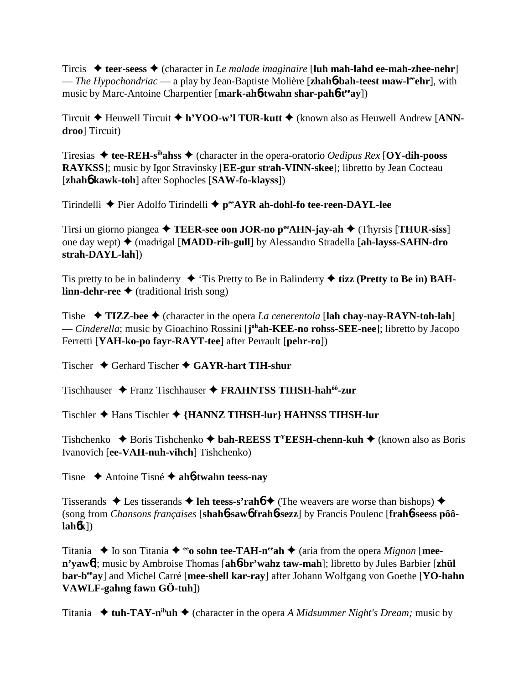Tircis  $\triangle$  teer-seess  $\triangle$  (character in *Le malade imaginaire* [luh mah-lahd ee-mah-zhee-nehr] — *The Hypochondriac* — a play by Jean-Baptiste Molière [**zhah**6**-bah-teest maw-leeehr**], with music by Marc-Antoine Charpentier [mark-ah**6**-twahn shar-pah**6**-t<sup>ee</sup>ay])

Tircuit Heuwell Tircuit **h'YOO-w'l TUR-kutt** (known also as Heuwell Andrew [**ANNdroo**] Tircuit)

Tiresias **tee-REH-sihahss** (character in the opera-oratorio *Oedipus Rex* [**OY-dih-pooss RAYKSS**]; music by Igor Stravinsky [**EE-gur strah-VINN-skee**]; libretto by Jean Cocteau [**zhah**6 **kawk-toh**] after Sophocles [**SAW-fo-klayss**])

Tirindelli Pier Adolfo Tirindelli **peeAYR ah-dohl-fo tee-reen-DAYL-lee**

Tirsi un giorno piangea **TEER-see oon JOR-no peeAHN-jay-ah** (Thyrsis [**THUR-siss**] one day wept) (madrigal [**MADD-rih-gull**] by Alessandro Stradella [**ah-layss-SAHN-dro strah-DAYL-lah**])

Tis pretty to be in balinderry  $\blacklozenge$  'Tis Pretty to Be in Balinderry  $\blacklozenge$  **tizz (Pretty to Be in) BAHlinn-dehr-ree ◆** (traditional Irish song)

Tisbe  $\rightarrow$  **TIZZ-bee**  $\rightarrow$  (character in the opera *La cenerentola* [lah chay-nay-RAYN-toh-lah] — *Cinderella*; music by Gioachino Rossini [**j ohah-KEE-no rohss-SEE-nee**]; libretto by Jacopo Ferretti [**YAH-ko-po fayr-RAYT-tee**] after Perrault [**pehr-ro**])

Tischer Gerhard Tischer **GAYR-hart TIH-shur**

Tischhauser Franz Tischhauser **FRAHNTSS TIHSH-hahôô-zur**

Tischler Hans Tischler **{HANNZ TIHSH-lur} HAHNSS TIHSH-lur**

Tishchenko  $\blacklozenge$  Boris Tishchenko  $\blacklozenge$  **bah-REESS T<sup>Y</sup>EESH-chenn-kuh**  $\blacklozenge$  (known also as Boris Ivanovich [**ee-VAH-nuh-vihch**] Tishchenko)

Tisne Antoine Tisné **ah**6**-twahn teess-nay**

Tisserands  $\triangle$  Les tisserands  $\triangle$  **leh teess-s'rahó**  $\triangle$  (The weavers are worse than bishops)  $\triangle$ (song from *Chansons françaises* [**shah**6**-saw**6 **frah**6**-sezz**] by Francis Poulenc [**frah**6**-seess pôôlah**6**k**])

Titania  $\blacklozenge$  Io son Titania  $\blacklozenge$  <sup>ee</sup>o sohn tee-TAH-n<sup>ee</sup>ah  $\blacklozenge$  (aria from the opera *Mignon* [mee**n'yaw**6]; music by Ambroise Thomas [**ah**6**-br'wahz taw-mah**]; libretto by Jules Barbier [**zhül bar-beeay**] and Michel Carré [**mee-shell kar-ray**] after Johann Wolfgang von Goethe [**YO-hahn VAWLF-gahng fawn GÖ-tuh**])

Titania  $\triangleleft$  tuh-TAY-n<sup>ih</sup>uh  $\triangleleft$  (character in the opera *A Midsummer Night's Dream;* music by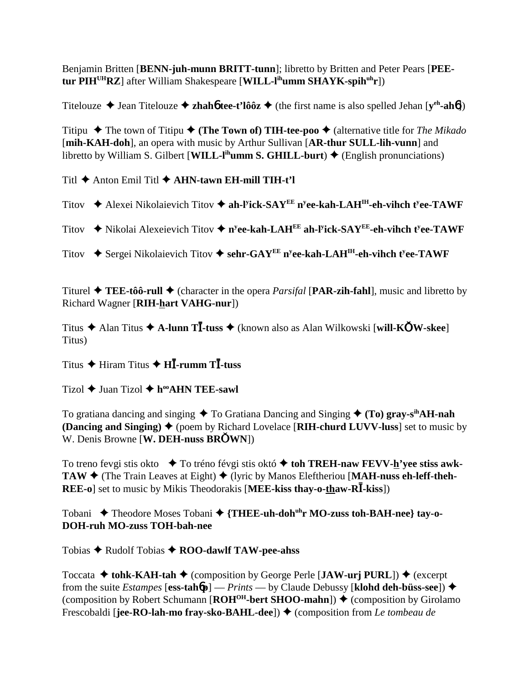Benjamin Britten [**BENN-juh-munn BRITT-tunn**]; libretto by Britten and Peter Pears [**PEEtur PIHUHRZ**] after William Shakespeare [**WILL-lihumm SHAYK-spihuhr**])

Titelouze  $\triangle$  Jean Titelouze  $\triangle$  **zhahó tee-t'lôôz**  $\triangle$  (the first name is also spelled Jehan [**y**<sup>eh</sup>-ah**ó**])

Titipu  $\blacklozenge$  The town of Titipu  $\blacklozenge$  (**The Town of) TIH-tee-poo**  $\blacklozenge$  (alternative title for *The Mikado* [**mih-KAH-doh**], an opera with music by Arthur Sullivan [**AR-thur SULL-lih-vunn**] and libretto by William S. Gilbert [**WILL-l<sup>ih</sup>umm S. GHILL-burt**)  $\blacklozenge$  (English pronunciations)

Titl  $\triangle$  Anton Emil Titl  $\triangle$  AHN-tawn EH-mill TIH-t'l

Titov ◆ Alexei Nikolaievich Titov ◆ ah-l<sup>y</sup>ick-SAY<sup>EE</sup> n<sup>y</sup>ee-kah-LAH<sup>IH</sup>-eh-vihch t<sup>y</sup>ee-TAWF

Titov **→** Nikolai Alexeievich Titov ◆ n<sup>y</sup>ee-kah-LAH<sup>EE</sup> ah-l<sup>y</sup>ick-SAY<sup>EE</sup>-eh-vihch t<sup>y</sup>ee-TAWF

Titov **→** Sergei Nikolaievich Titov ◆ sehr-GAY<sup>EE</sup> n<sup>y</sup>ee-kah-LAH<sup>IH</sup>-eh-vihch t<sup>y</sup>ee-TAWF

Titurel  $\triangle$  **TEE-tôô-rull**  $\triangle$  (character in the opera *Parsifal* [**PAR-zih-fahl**], music and libretto by Richard Wagner [**RIH-hart VAHG-nur**])

Titus Alan Titus **A-lunn T-tuss** (known also as Alan Wilkowski [**will-KW-skee**] Titus)

Titus ◆ Hiram Titus ◆ **HI**-rumm T**I**-tuss

Tizol  $\triangle$  Juan Tizol  $\triangle$  h<sup>oo</sup>AHN TEE-sawl

To gratiana dancing and singing  $\triangle$  To Gratiana Dancing and Singing  $\triangle$  (To) gray-s<sup>ih</sup>AH-nah **(Dancing and Singing)**  $\blacklozenge$  (poem by Richard Lovelace [RIH-churd LUVV-luss] set to music by W. Denis Browne [**W. DEH-nuss BRWN**])

To treno fevgi stis okto **→** To tréno févgi stis októ **→ toh TREH-naw FEVV-h'vee stiss awk-TAW ♦** (The Train Leaves at Eight) ♦ (lyric by Manos Eleftheriou [MAH-nuss eh-leff-theh-**REE-o**] set to music by Mikis Theodorakis [MEE-kiss thay-o-thaw-R**I**-kiss])

Tobani ◆ Theodore Moses Tobani ◆ {THEE-uh-doh<sup>uh</sup>r MO-zuss toh-BAH-nee} tay-o-**DOH-ruh MO-zuss TOH-bah-nee**

Tobias Rudolf Tobias **ROO-dawlf TAW-pee-ahss**

Toccata  $\triangle$  tohk-KAH-tah  $\triangle$  (composition by George Perle [**JAW-urj PURL**])  $\triangle$  (excerpt from the suite *Estampes* [ess-tah $6$ p] — *Prints* — by Claude Debussy [klohd deh-büss-see])  $\blacklozenge$ (composition by Robert Schumann  $[ROH<sup>OH</sup>-bert SHOO-mahn]$ )  $\blacklozenge$  (composition by Girolamo Frescobaldi [**jee-RO-lah-mo fray-sko-BAHL-dee**]) ♦ (composition from *Le tombeau de*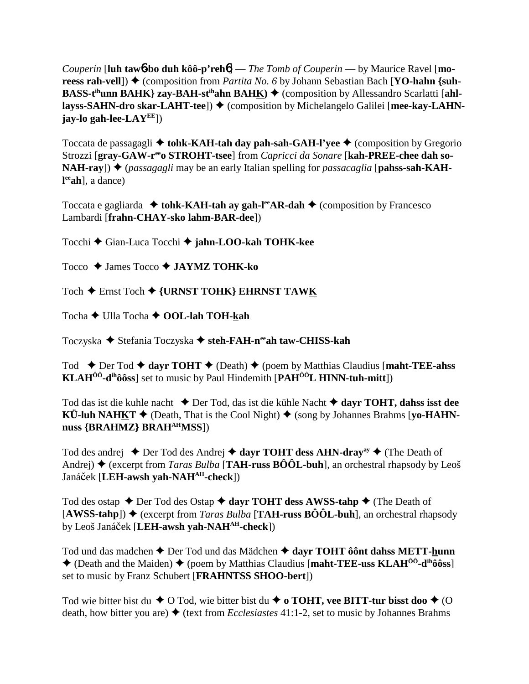*Couperin* [**luh taw**6**-bo duh kôô-p'reh**6] — *The Tomb of Couperin* — by Maurice Ravel [**moreess rah-vell**) ◆ (composition from *Partita No. 6* by Johann Sebastian Bach [**YO-hahn** {suh-**BASS-t<sup>ih</sup>unn BAHK} zay-BAH-st<sup>ih</sup>ahn BAH<u>K</u>) ♦ (composition by Allessandro Scarlatti [ahllayss-SAHN-dro skar-LAHT-tee**]) ♦ (composition by Michelangelo Galilei [mee-kay-LAHN**jay-lo gah-lee-LAYEE**])

Toccata de passagagli **→ tohk-KAH-tah day pah-sah-GAH-l'yee →** (composition by Gregorio Strozzi [gray-GAW-r<sup>ee</sup>o STROHT-tsee] from *Capricci da Sonare* [kah-PREE-chee dah so-**NAH-ray**]) ♦ (*passagagli* may be an early Italian spelling for *passacaglia* [**pahss-sah-KAHl eeah**], a dance)

Toccata e gagliarda  $\triangleq$  tohk-KAH-tah ay gah-l<sup>ee</sup>AR-dah  $\triangleq$  (composition by Francesco Lambardi [**frahn-CHAY-sko lahm-BAR-dee**])

Tocchi Gian-Luca Tocchi **jahn-LOO-kah TOHK-kee**

Tocco **→ James Tocco → JAYMZ TOHK-ko** 

Toch **←** Ernst Toch ← {URNST TOHK} EHRNST TAWK

Tocha **←** Ulla Tocha ← OOL-lah TOH-kah

Toczyska ◆ Stefania Toczyska ◆ steh-FAH-n<sup>ee</sup>ah taw-CHISS-kah

Tod **←** Der Tod ← dayr TOHT ← (Death) ← (poem by Matthias Claudius [maht-TEE-ahss **KLAHÔÔ-dihôôss**] set to music by Paul Hindemith [**PAHÔÔL HINN-tuh-mitt**])

Tod das ist die kuhle nacht Der Tod, das ist die kühle Nacht **dayr TOHT, dahss isst dee KÜ-luh NAHKT**  $\blacklozenge$  (Death, That is the Cool Night)  $\blacklozenge$  (song by Johannes Brahms [**yo-HAHN**nuss **{BRAHMZ}** BRAH<sup>AH</sup>MSS})

Tod des andrej  $\triangle$  Der Tod des Andrej  $\triangle$  dayr TOHT dess AHN-dray<sup>ay</sup>  $\triangle$  (The Death of Andrej)  $\triangle$  (excerpt from *Taras Bulba* [**TAH-russ BÔÔL-buh**], an orchestral rhapsody by Leoš Janáek [**LEH-awsh yah-NAHAH-check**])

Tod des ostap  $\triangle$  Der Tod des Ostap  $\triangle$  dayr TOHT dess AWSS-tahp  $\triangle$  (The Death of  $[AWSS-tahp]$   $\blacklozenge$  (excerpt from *Taras Bulba* [**TAH-russ BÔÔL-buh**], an orchestral rhapsody by Leoš Janáek [**LEH-awsh yah-NAHAH-check**])

Tod und das madchen  $\triangle$  Der Tod und das Mädchen  $\triangle$  dayr TOHT ôônt dahss METT-hunn (Death and the Maiden) (poem by Matthias Claudius [**maht-TEE-uss KLAHÔÔ-dihôôss**] set to music by Franz Schubert [**FRAHNTSS SHOO-bert**])

Tod wie bitter bist du  $\blacklozenge$  O Tod, wie bitter bist du  $\blacklozenge$  o **TOHT, vee BITT-tur bisst doo**  $\blacklozenge$  (O death, how bitter you are) ♦ (text from *Ecclesiastes* 41:1-2, set to music by Johannes Brahms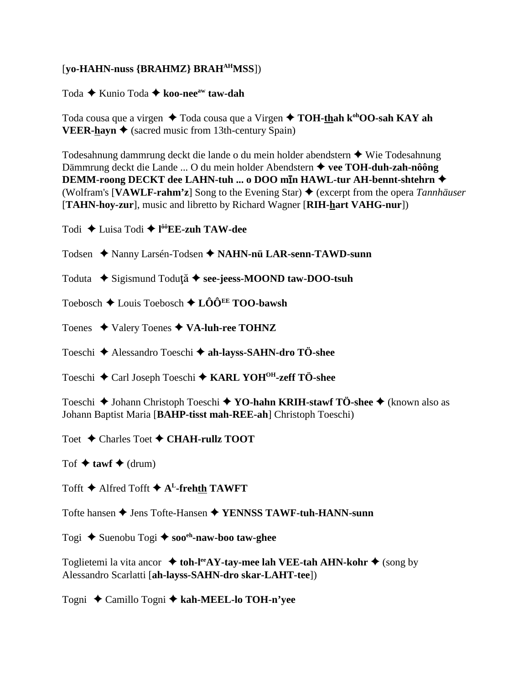## [vo-HAHN-nuss {BRAHMZ} BRAH<sup>AH</sup>MSS])

Toda  $\triangle$  Kunio Toda  $\triangle$  koo-nee<sup>aw</sup> taw-dah

Toda cousa que a virgen ◆ Toda cousa que a Virgen ◆ TOH-thah k<sup>oh</sup>OO-sah KAY ah **VEER-hayn**  $\triangle$  (sacred music from 13th-century Spain)

Todesahnung dammrung deckt die lande o du mein holder abendstern ◆ Wie Todesahnung Dämmrung deckt die Lande ... O du mein holder Abendstern  $\triangleq$  vee TOH-duh-zah-nôông DEMM-roong DECKT dee LAHN-tuh ... o DOO min HAWL-tur AH-bennt-shtehrn ◆ (Wolfram's [VAWLF-rahm'z] Song to the Evening Star)  $\triangleq$  (excerpt from the opera *Tannhäuser* [TAHN-hov-zur], music and libretto by Richard Wagner [RIH-hart VAHG-nur])

Todi  $\triangle$  Luisa Todi  $\triangle$  l<sup>ôô</sup>EE-zuh TAW-dee

Todsen ◆ Nanny Larsén-Todsen ◆ NAHN-nü LAR-senn-TAWD-sunn

Toduta → Sigismund Toduță → see-jeess-MOOND taw-DOO-tsuh

Toebosch  $\triangle$  Louis Toebosch  $\triangle$  LÔÔ<sup>EE</sup> TOO-bawsh

Toenes  $\blacklozenge$  Valery Toenes  $\blacklozenge$  VA-luh-ree TOHNZ

Toeschi ← Alessandro Toeschi ← ah-layss-SAHN-dro TÖ-shee

Toeschi ◆ Carl Joseph Toeschi ◆ KARL YOH<sup>OH</sup>-zeff TÖ-shee

Toeschi  $\blacklozenge$  Johann Christoph Toeschi  $\blacklozenge$  YO-hahn KRIH-stawf TÖ-shee  $\blacklozenge$  (known also as Johann Baptist Maria [BAHP-tisst mah-REE-ah] Christoph Toeschi)

Toet  $\triangle$  Charles Toet  $\triangle$  CHAH-rullz TOOT

Tof  $\triangle$  tawf  $\triangle$  (drum)

Tofft  $\blacklozenge$  Alfred Tofft  $\blacklozenge$  A<sup>L</sup>-frehth TAWFT

Tofte hansen ♦ Jens Tofte-Hansen ♦ YENNSS TAWF-tuh-HANN-sunn

Togi  $\triangle$  Suenobu Togi  $\triangle$  soo<sup>ch</sup>-naw-boo taw-ghee

Toglietemi la vita ancor  $\triangleq$  toh-l<sup>ee</sup>AY-tay-mee lah VEE-tah AHN-kohr  $\triangleq$  (song by Alessandro Scarlatti [ah-layss-SAHN-dro skar-LAHT-tee])

Togni ◆ Camillo Togni ◆ kah-MEEL-lo TOH-n'yee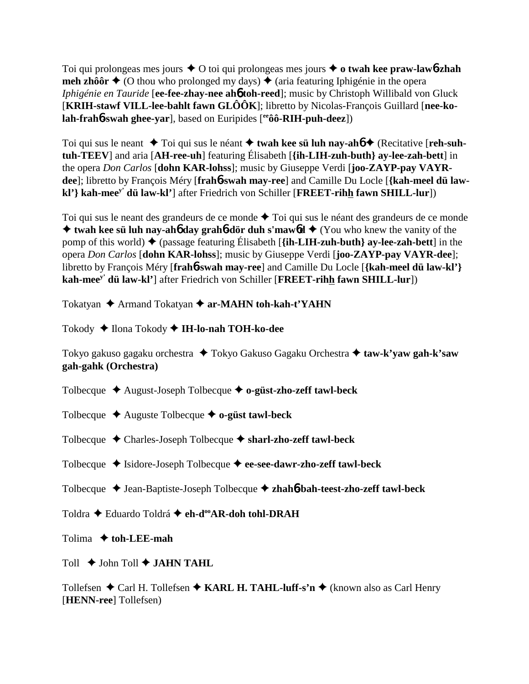Toi qui prolongeas mes jours  $\triangle$  O toi qui prolongeas mes jours  $\triangle$  o twah kee praw-lawb-zhah **meh zhôôr**  $\triangle$  (O thou who prolonged my days)  $\triangle$  (aria featuring Iphigénie in the opera *Iphigénie en Tauride* [**ee-fee-zhay-nee ah**6 **toh-reed**]; music by Christoph Willibald von Gluck [**KRIH-stawf VILL-lee-bahlt fawn GLÔÔK**]; libretto by Nicolas-François Guillard [**nee-kolah-frah**6**-swah ghee-yar**], based on Euripides [**eeôô-RIH-puh-deez**])

Toi qui sus le neant ◆ Toi qui sus le néant ◆ twah kee sü luh nay-ah**6** ◆ (Recitative [**reh-suhtuh-TEEV**] and aria [**AH-ree-uh**] featuring Élisabeth [**{ih-LIH-zuh-buth} ay-lee-zah-bett**] in the opera *Don Carlos* [**dohn KAR-lohss**]; music by Giuseppe Verdi [**joo-ZAYP-pay VAYRdee**]; libretto by François Méry [**frah**6**-swah may-ree**] and Camille Du Locle [**{kah-meel dü lawkl'} kah-meey' dü law-kl'**] after Friedrich von Schiller [**FREET-rihh fawn SHILL-lur**])

Toi qui sus le neant des grandeurs de ce monde  $\triangle$  Toi qui sus le néant des grandeurs de ce monde **★ twah kee sü luh nay-ah<sub>0</sub> day grah<sub>0</sub>-dör duh s'maw<sub>0</sub>d ◆ (You who knew the vanity of the** pomp of this world)  $\blacklozenge$  (passage featuring Élisabeth [ $\{i\textbf{h-LIH-zuh-buth}\}$  ay-lee-zah-bett] in the opera *Don Carlos* [**dohn KAR-lohss**]; music by Giuseppe Verdi [**joo-ZAYP-pay VAYR-dee**]; libretto by François Méry [**frah**6**-swah may-ree**] and Camille Du Locle [**{kah-meel dü law-kl'} kah-meey' dü law-kl'**] after Friedrich von Schiller [**FREET-rihh fawn SHILL-lur**])

Tokatyan **→** Armand Tokatyan ◆ ar-MAHN toh-kah-t'YAHN

Tokody ◆ Ilona Tokody ◆ I**H-lo-nah TOH-ko-dee** 

Tokyo gakuso gagaku orchestra **→** Tokyo Gakuso Gagaku Orchestra **→ taw-k'yaw gah-k'saw gah-gahk (Orchestra)**

Tolbecque August-Joseph Tolbecque **o-güst-zho-zeff tawl-beck**

- Tolbecque  $\triangle$  Auguste Tolbecque  $\triangle$  **o-güst tawl-beck**
- Tolbecque Charles-Joseph Tolbecque **sharl-zho-zeff tawl-beck**
- Tolbecque **→** Isidore-Joseph Tolbecque → ee-see-dawr-zho-zeff tawl-beck
- Tolbecque ◆ Jean-Baptiste-Joseph Tolbecque ◆ zhah**6**-bah-teest-zho-zeff tawl-beck

Toldra ◆ Eduardo Toldrá ◆ eh-d<sup>oo</sup>AR-doh tohl-DRAH

Tolima  **toh-LEE-mah**

Toll  $\rightarrow$  John Toll  $\rightarrow$  **JAHN TAHL** 

Tollefsen  $\triangle$  Carl H. Tollefsen  $\triangle$  **KARL H. TAHL-luff-s'n**  $\triangle$  (known also as Carl Henry [**HENN-ree**] Tollefsen)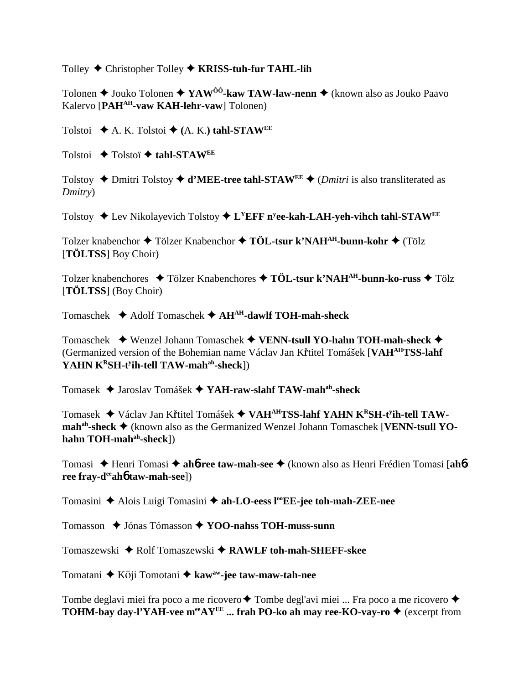Tolley Christopher Tolley **KRISS-tuh-fur TAHL-lih**

Tolonen ◆ Jouko Tolonen ◆ YAW<sup>ôô</sup>-kaw TAW-law-nenn ◆ (known also as Jouko Paavo Kalervo [**PAHAH-vaw KAH-lehr-vaw**] Tolonen)

Tolstoi  $\blacklozenge$  A. K. Tolstoi  $\blacklozenge$  (A. K.) tahl-STAW<sup>EE</sup>

Tolstoi **← Tolstoï ← tahl-STAWEE** 

Tolstoy  $\triangle$  Dmitri Tolstoy  $\triangle$  **d'MEE-tree tahl-STAWEE**  $\triangle$  (*Dmitri* is also transliterated as *Dmitry*)

Tolstoy ◆ Lev Nikolayevich Tolstoy ◆ L<sup>Y</sup>EFF n<sup>y</sup>ee-kah-LAH-yeh-vihch tahl-STAW<sup>EE</sup>

Tolzer knabenchor ◆ Tölzer Knabenchor ◆ TÖL-tsur k'NAH<sup>AH</sup>-bunn-kohr ◆ (Tölz [**TÖLTSS**] Boy Choir)

Tolzer knabenchores **→ Tölzer Knabenchores → TÖL-tsur k'NAH<sup>AH</sup>-bunn-ko-russ → Tölz** [**TÖLTSS**] (Boy Choir)

Tomaschek Adolf Tomaschek **AHAH-dawlf TOH-mah-sheck**

Tomaschek Wenzel Johann Tomaschek **VENN-tsull YO-hahn TOH-mah-sheck** (Germanized version of the Bohemian name Václav Jan Křtitel Tomášek [VAH<sup>AH</sup>TSS-lahf **YAHN KRSH-ty ih-tell TAW-mahah-sheck**])

Tomasek Jaroslav Tomášek **YAH-raw-slahf TAW-mahah-sheck**

Tomasek ◆ Václav Jan Křtitel Tomášek ◆ VAH<sup>AH</sup>TSS-l<mark>ahf YAHN K<sup>R</sup>SH-t<sup>y</sup>ih-tell TAW-</mark> **mah<sup>ah</sup>-sheck ♦** (known also as the Germanized Wenzel Johann Tomaschek [**VENN-tsull YO**hahn TOH-mah<sup>ah</sup>-sheck])

Tomasi Henri Tomasi **ah**6**-ree taw-mah-see** (known also as Henri Frédien Tomasi [**ah**6 **ree fray-deeah**6 **taw-mah-see**])

Tomasini ◆ Alois Luigi Tomasini ◆ ah-LO-eess l<sup>oo</sup>EE-jee toh-mah-ZEE-nee

Tomasson **→** Jónas Tómasson **→ YOO-nahss TOH-muss-sunn** 

Tomaszewski ◆ Rolf Tomaszewski ◆ RAWLF toh-mah-SHEFF-skee

Tomatani **↓** Kōji Tomotani **→ kaw<sup>aw</sup>-jee taw-maw-tah-nee** 

Tombe deglavi miei fra poco a me ricovero  $\triangle$  Tombe degl'avi miei ... Fra poco a me ricovero  $\triangle$ **TOHM-bay day-l'YAH-vee m<sup>ee</sup>AY<sup>EE</sup> ... frah PO-ko ah may ree-KO-vay-ro ♦ (excerpt from**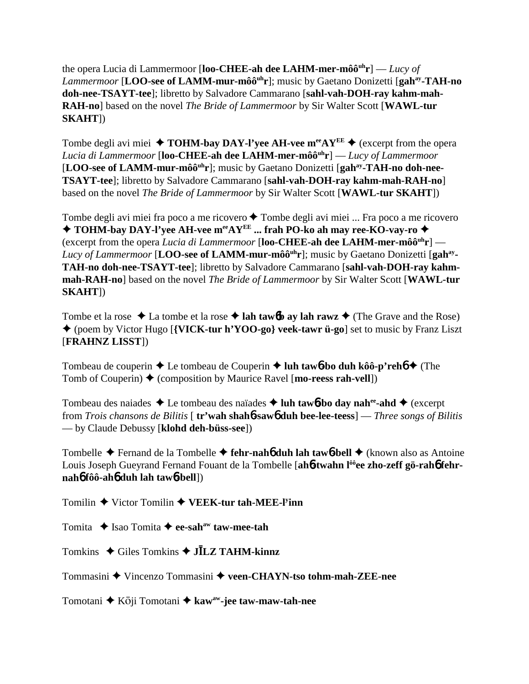the opera Lucia di Lammermoor [**loo-CHEE-ah dee LAHM-mer-môôuhr**] — *Lucy of Lammermoor* [LOO-see of LAMM-mur-môô<sup>uh</sup>r]; music by Gaetano Donizetti [gah<sup>ay</sup>-TAH-no **doh-nee-TSAYT-tee**]; libretto by Salvadore Cammarano [**sahl-vah-DOH-ray kahm-mah-RAH-no**] based on the novel *The Bride of Lammermoor* by Sir Walter Scott [**WAWL-tur SKAHT**])

Tombe degli avi miei  $\triangle$  **TOHM-bay DAY-l'yee AH-vee m<sup>ee</sup>AY<sup>EE</sup>**  $\triangle$  (excerpt from the opera *Lucia di Lammermoor* [**loo-CHEE-ah dee LAHM-mer-môôuhr**] — *Lucy of Lammermoor* [LOO-see of LAMM-mur-môô<sup>uh</sup>r]; music by Gaetano Donizetti [gah<sup>ay</sup>-TAH-no doh-nee-**TSAYT-tee**]; libretto by Salvadore Cammarano [**sahl-vah-DOH-ray kahm-mah-RAH-no**] based on the novel *The Bride of Lammermoor* by Sir Walter Scott [**WAWL-tur SKAHT**])

Tombe degli avi miei fra poco a me ricovero ◆ Tombe degli avi miei ... Fra poco a me ricovero  $\blacklozenge$  **TOHM-bay DAY-l'yee AH-vee m<sup>ee</sup>AY<sup>EE</sup> ... frah PO-ko ah may ree-KO-vay-ro →** (excerpt from the opera *Lucia di Lammermoor* [**loo-CHEE-ah dee LAHM-mer-môôuhr**] — Lucy of Lammermoor [LOO-see of LAMM-mur-môô<sup>uh</sup>r]; music by Gaetano Donizetti [gah<sup>ay</sup>-**TAH-no doh-nee-TSAYT-tee**]; libretto by Salvadore Cammarano [**sahl-vah-DOH-ray kahmmah-RAH-no**] based on the novel *The Bride of Lammermoor* by Sir Walter Scott [**WAWL-tur SKAHT**])

Tombe et la rose  $\triangle$  La tombe et la rose  $\triangle$  lah taw**6b** ay lah rawz  $\triangle$  (The Grave and the Rose) (poem by Victor Hugo [**{VICK-tur h'YOO-go} veek-tawr ü-go**] set to music by Franz Liszt [**FRAHNZ LISST**])

Tombeau de couperin **→** Le tombeau de Couperin **→ luh taw6-bo duh kôô-p'reh6 →** (The Tomb of Couperin)  $\triangle$  (composition by Maurice Ravel [**mo-reess rah-vell**])

Tombeau des naiades Le tombeau des naïades **luh taw**6**-bo day nahee-ahd** (excerpt from *Trois chansons de Bilitis* [ **tr'wah shah**6**-saw**6 **duh bee-lee-teess**] — *Three songs of Bilitis* — by Claude Debussy [**klohd deh-büss-see**])

Tombelle Fernand de la Tombelle **fehr-nah**6 **duh lah taw**6**-bell** (known also as Antoine Louis Joseph Gueyrand Fernand Fouant de la Tombelle [ah**6-twahn l<sup>ôô</sup>ee zho-zeff gö-rah6 fehrnah**6 **fôô-ah**6 **duh lah taw**6**-bell**])

Tomilin ◆ Victor Tomilin ◆ VEEK-tur tah-MEE-l<sup>y</sup>inn

Tomita **→** Isao Tomita **→ ee-sah<sup>aw</sup> taw-mee-tah** 

Tomkins ◆ Giles Tomkins ◆ **J<u></u>LZ TAHM-kinnz** 

Tommasini Vincenzo Tommasini **veen-CHAYN-tso tohm-mah-ZEE-nee**

Tomotani **↓** Kōji Tomotani **→ kaw<sup>aw</sup>-jee taw-maw-tah-nee**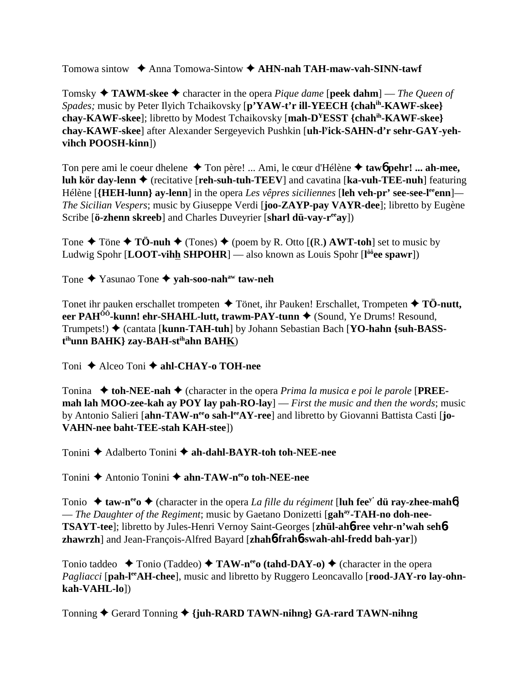Tomowa sintow Anna Tomowa-Sintow **AHN-nah TAH-maw-vah-SINN-tawf**

Tomsky  $\triangle$  **TAWM-skee**  $\triangle$  character in the opera *Pique dame* [**peek dahm**] — *The Queen of Spades;* music by Peter Ilyich Tchaikovsky [**p'YAW-t'r ill-YEECH {chahih-KAWF-skee} chay-KAWF-skee**]; libretto by Modest Tchaikovsky [**mah-DYESST {chahih-KAWF-skee} chay-KAWF-skee**] after Alexander Sergeyevich Pushkin [**uh-ly ick-SAHN-d'r sehr-GAY-yehvihch POOSH-kinn**])

Ton pere ami le coeur dhelene ◆ Ton père! ... Ami, le cœur d'Hélène ◆ taw6 pehr! ... ah-mee, **luh kör day-lenn ♦** (recitative [**reh-suh-tuh-TEEV**] and cavatina [**ka-vuh-TEE-nuh**] featuring Hélène [{**HEH-lunn**} ay-lenn] in the opera *Les vêpres siciliennes* [leh veh-pr' see-see-l<sup>ee</sup>enn]— *The Sicilian Vespers*; music by Giuseppe Verdi [**joo-ZAYP-pay VAYR-dee**]; libretto by Eugène Scribe [**ö-zhenn skreeb**] and Charles Duveyrier [**sharl dü-vay-reeay**])

Tone  $\triangle$  Töne  $\triangle$  TÖ-nuh  $\triangle$  (Tones)  $\triangle$  (poem by R. Otto [(R.) **AWT-toh**] set to music by Ludwig Spohr [**LOOT-vihh SHPOHR**] — also known as Louis Spohr [**l ôôee spawr**])

Tone Yasunao Tone **yah-soo-nahaw taw-neh**

Tonet ihr pauken erschallet trompeten  $\triangle$  Tönet, ihr Pauken! Erschallet, Trompeten  $\triangle$  TÖ-nutt, **eer PAH<sup>ôô</sup>-kunn! ehr-SHAHL-lutt, trawm-PAY-tunn ♦** (Sound, Ye Drums! Resound, Trumpets!) ♦ (cantata [**kunn-TAH-tuh**] by Johann Sebastian Bach [YO-hahn {suh-BASS**t ihunn BAHK} zay-BAH-stihahn BAHK**)

Toni **→** Alceo Toni **→ ahl-CHAY-o TOH-nee** 

Tonina  $\blacklozenge$  toh-NEE-nah  $\blacklozenge$  (character in the opera *Prima la musica e poi le parole* [PREE**mah lah MOO-zee-kah ay POY lay pah-RO-lay**] — *First the music and then the words*; music by Antonio Salieri [ahn-TAW-n<sup>ee</sup>o sah-l<sup>ee</sup>AY-ree] and libretto by Giovanni Battista Casti [jo-**VAHN-nee baht-TEE-stah KAH-stee**])

Tonini **→** Adalberto Tonini → ah-dahl-BAYR-toh toh-NEE-nee

Tonini ◆ Antonio Tonini ◆ ahn-TAW-n<sup>ee</sup>o toh-NEE-nee

Tonio  $\triangle$  taw-n<sup>ee</sup>  $\triangle$  (character in the opera *La fille du régiment* [luh fee<sup>y'</sup> dü ray-zhee-mah<sup>6</sup>] — *The Daughter of the Regiment*; music by Gaetano Donizetti [**gahay-TAH-no doh-nee-TSAYT-tee**]; libretto by Jules-Henri Vernoy Saint-Georges [**zhül-ah**6**-ree vehr-n'wah seh**6 **zhawrzh**] and Jean-François-Alfred Bayard [**zhah**6**-frah**6**-swah-ahl-fredd bah-yar**])

Tonio taddeo  $\rightarrow$  Tonio (Taddeo)  $\rightarrow$  TAW-n<sup>ee</sup> (tahd-DAY-o)  $\rightarrow$  (character in the opera *Pagliacci* [pah-l<sup>ee</sup>AH-chee], music and libretto by Ruggero Leoncavallo [rood-JAY-ro lay-ohn**kah-VAHL-lo**])

Tonning Gerard Tonning **{juh-RARD TAWN-nihng} GA-rard TAWN-nihng**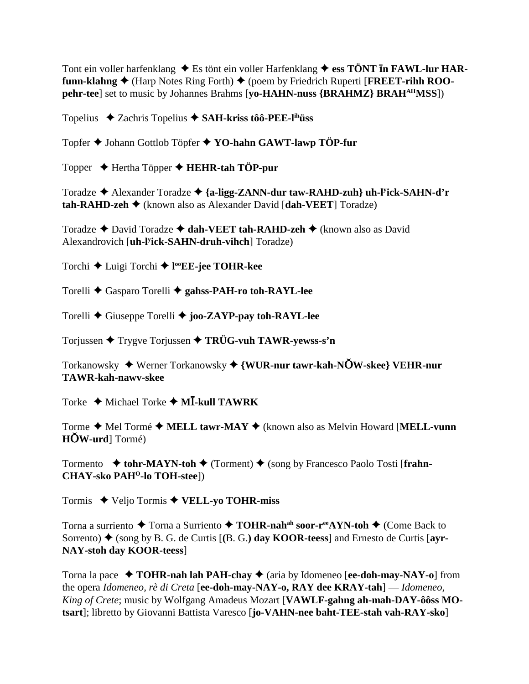Tont ein voller harfenklang  $\triangleq$  Es tönt ein voller Harfenklang  $\triangleq$  ess TÖNT In FAWL-lur HARfunn-klahng  $\blacklozenge$  (Harp Notes Ring Forth)  $\blacklozenge$  (poem by Friedrich Ruperti [FREET-rihh ROOpehr-tee] set to music by Johannes Brahms [yo-HAHN-nuss {BRAHMZ} BRAH<sup>AH</sup>MSS])

Topelius  $\triangle$  Zachris Topelius  $\triangle$  SAH-kriss tôô-PEE-l<sup>ih</sup>uss

Topfer ♦ Johann Gottlob Töpfer ♦ YO-hahn GAWT-lawp TÖP-fur

Topper  $\rightarrow$  Hertha Töpper  $\rightarrow$  HEHR-tah TÖP-pur

Toradze  $\triangle$  Alexander Toradze  $\triangle$  {a-ligg-ZANN-dur taw-RAHD-zuh} uh-Fick-SAHN-d'r  $\text{tah-RAHD-zeh}$  (known also as Alexander David [dah-VEET] Toradze)

Toradze ◆ David Toradze ◆ dah-VEET tah-RAHD-zeh ◆ (known also as David Alexandrovich [uh-l<sup>y</sup>ick-SAHN-druh-vihch] Toradze)

Torchi ← Luigi Torchi ← I<sup>oo</sup>EE-jee TOHR-kee

Torelli ♦ Gasparo Torelli ♦ gahss-PAH-ro toh-RAYL-lee

Torelli  $\blacklozenge$  Giuseppe Torelli  $\blacklozenge$  joo-ZAYP-pay toh-RAYL-lee

Torjussen  $\blacklozenge$  Trygve Torjussen  $\blacklozenge$  TRÜG-vuh TAWR-yewss-s'n

Torkanowsky ◆ Werner Torkanowsky ◆ {WUR-nur tawr-kah-NOW-skee} VEHR-nur **TAWR-kah-nawy-skee** 

Torke  $\triangle$  Michael Torke  $\triangle$  MI-kull TAWRK

Torme ♦ Mel Tormé ♦ MELL tawr-MAY ♦ (known also as Melvin Howard [MELL-vunn  $HOW-urd$  Tormé)

Tormento  $\bullet$  tohr-MAYN-toh  $\bullet$  (Torment)  $\bullet$  (song by Francesco Paolo Tosti [frahn-**CHAY-sko PAH<sup>O</sup>-lo TOH-stee**])

Tormis  $\blacklozenge$  Veljo Tormis  $\blacklozenge$  VELL-yo TOHR-miss

Torna a surriento  $\blacklozenge$  Torna a Surriento  $\blacklozenge$  TOHR-nah<sup>ah</sup> soor-r<sup>ee</sup>AYN-toh  $\blacklozenge$  (Come Back to Sorrento)  $\blacklozenge$  (song by B. G. de Curtis [(B. G.) day KOOR-teess] and Ernesto de Curtis [ayr-**NAY-stoh day KOOR-teess**]

Torna la pace  $\rightarrow$  TOHR-nah lah PAH-chay  $\rightarrow$  (aria by Idomeneo [ee-doh-may-NAY-o] from the opera Idomeneo, rè di Creta [ee-doh-may-NAY-o, RAY dee KRAY-tah] — Idomeneo, King of Crete; music by Wolfgang Amadeus Mozart [VAWLF-gahng ah-mah-DAY-ôôss MOtsart]; libretto by Giovanni Battista Varesco [jo-VAHN-nee baht-TEE-stah vah-RAY-sko]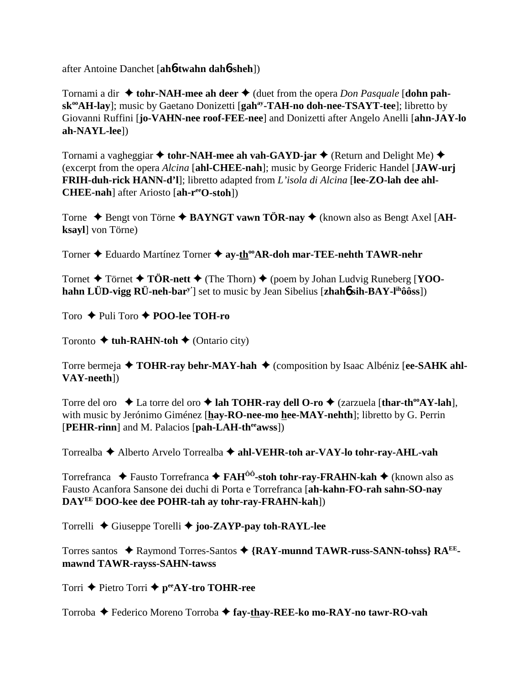after Antoine Danchet [**ah**6**-twahn dah**6**-sheh**])

Tornami a dir  $\triangle$  tohr-NAH-mee ah deer  $\triangle$  (duet from the opera *Don Pasquale* [dohn pah**sk<sup>oo</sup>AH-lay**]; music by Gaetano Donizetti [**gah<sup>ay</sup>-TAH-no doh-nee-TSAYT-tee**]; libretto by Giovanni Ruffini [**jo-VAHN-nee roof-FEE-nee**] and Donizetti after Angelo Anelli [**ahn-JAY-lo ah-NAYL-lee**])

Tornami a vagheggiar  $\triangleq$  tohr-NAH-mee ah vah-GAYD-jar  $\triangleq$  (Return and Delight Me)  $\triangleq$ (excerpt from the opera *Alcina* [**ahl-CHEE-nah**]; music by George Frideric Handel [**JAW-urj FRIH-duh-rick HANN-d'l**]; libretto adapted from *L'isola di Alcina* [**lee-ZO-lah dee ahl-CHEE-nah**] after Ariosto [**ah-reeO-stoh**])

Torne ◆ Bengt von Törne ◆ BAYNGT vawn TÖR-nay ◆ (known also as Bengt Axel [AH**ksayl**] von Törne)

Torner ◆ Eduardo Martínez Torner ◆ ay-th<sup>oo</sup>AR-doh mar-TEE-nehth TAWR-nehr

Tornet  $\blacklozenge$  Törnet  $\blacklozenge$  TÖR-nett  $\blacklozenge$  (The Thorn)  $\blacklozenge$  (poem by Johan Ludvig Runeberg [**YOOhahn LÜD-vigg RÜ-neh-bary'**] set to music by Jean Sibelius [**zhah**6 **sih-BAY-lihôôss**])

Toro **← Puli Toro ← POO-lee TOH-ro** 

Toronto  $\triangle$  tuh-RAHN-toh  $\triangle$  (Ontario city)

Torre bermeja ◆ **TOHR-ray behr-MAY-hah** ◆ (composition by Isaac Albéniz [ee-SAHK ahl-**VAY-neeth**])

Torre del oro **→** La torre del oro → lah TOHR-ray dell O-ro → (zarzuela [thar-th<sup>oo</sup>AY-lah], with music by Jerónimo Giménez [**hay-RO-nee-mo hee-MAY-nehth**]; libretto by G. Perrin [PEHR-rinn] and M. Palacios [pah-LAH-th<sup>ee</sup>awss])

Torrealba Alberto Arvelo Torrealba **ahl-VEHR-toh ar-VAY-lo tohr-ray-AHL-vah**

Torrefranca ◆ Fausto Torrefranca ◆ FAH<sup>ôô</sup>-stoh tohr-ray-FRAHN-kah ◆ (known also as Fausto Acanfora Sansone dei duchi di Porta e Torrefranca [**ah-kahn-FO-rah sahn-SO-nay DAYEE DOO-kee dee POHR-tah ay tohr-ray-FRAHN-kah**])

Torrelli Giuseppe Torelli **joo-ZAYP-pay toh-RAYL-lee**

Torres santos ◆ Raymond Torres-Santos ◆ {RAY-munnd TAWR-russ-SANN-tohss} RA<sup>EE</sup>**mawnd TAWR-rayss-SAHN-tawss**

Torri **←** Pietro Torri ← p<sup>ee</sup>AY-tro TOHR-ree

Torroba Federico Moreno Torroba **fay-thay-REE-ko mo-RAY-no tawr-RO-vah**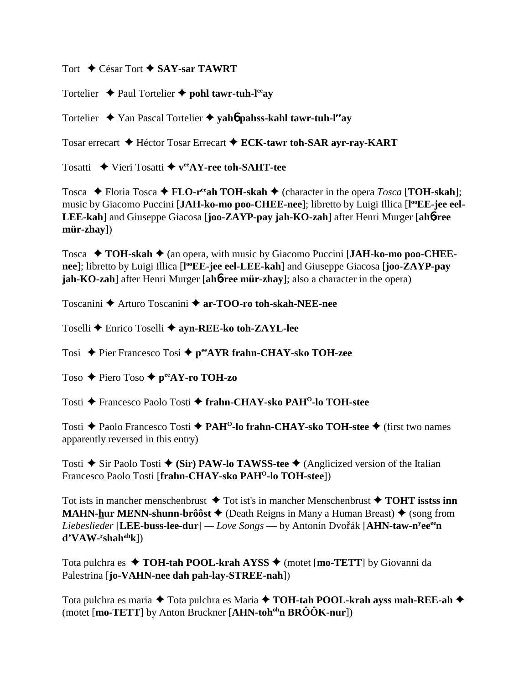Tort **←** César Tort ← SAY-sar TAWRT

Tortelier  $\rightarrow$  Paul Tortelier  $\rightarrow$  **pohl tawr-tuh-l<sup>ee</sup>ay** 

Tortelier ◆ Yan Pascal Tortelier ◆ yah**6** pahss-kahl tawr-tuh-l<sup>ee</sup>ay

Tosar errecart Héctor Tosar Errecart **ECK-tawr toh-SAR ayr-ray-KART**

Tosatti  $\rightarrow$  Vieri Tosatti  $\rightarrow$  v<sup>ee</sup>AY-ree toh-SAHT-tee

Tosca  $\blacklozenge$  Floria Tosca  $\blacklozenge$  **FLO-r<sup>ee</sup>ah TOH-skah**  $\blacklozenge$  (character in the opera *Tosca* [**TOH-skah**]; music by Giacomo Puccini [JAH-ko-mo poo-CHEE-nee]; libretto by Luigi Illica [l<sup>oo</sup>EE-jee eel-**LEE-kah**] and Giuseppe Giacosa [**joo-ZAYP-pay jah-KO-zah**] after Henri Murger [**ah**6**-ree mür-zhay**])

Tosca **→ TOH-skah →** (an opera, with music by Giacomo Puccini [JAH-ko-mo poo-CHEE**nee**]; libretto by Luigi Illica [l<sup>oo</sup>EE-jee eel-LEE-kah] and Giuseppe Giacosa [joo-ZAYP-pay **jah-KO-zah**] after Henri Murger [**ah**6**-ree mür-zhay**]; also a character in the opera)

Toscanini Arturo Toscanini **ar-TOO-ro toh-skah-NEE-nee**

Toselli Enrico Toselli **ayn-REE-ko toh-ZAYL-lee**

Tosi ◆ Pier Francesco Tosi ◆ p<sup>ee</sup>AYR frahn-CHAY-sko TOH-zee

Toso ◆ Piero Toso ◆ p<sup>ee</sup>AY-ro TOH-zo

Tosti Francesco Paolo Tosti **frahn-CHAY-sko PAHO-lo TOH-stee**

Tosti **→** Paolo Francesco Tosti → PAH<sup>O</sup>-lo frahn-CHAY-sko TOH-stee → (first two names apparently reversed in this entry)

Tosti  $\triangle$  Sir Paolo Tosti  $\triangle$  (Sir) PAW-lo TAWSS-tee  $\triangle$  (Anglicized version of the Italian Francesco Paolo Tosti [frahn-CHAY-sko PAH<sup>O</sup>-lo TOH-steel)

Tot ists in mancher menschenbrust  $\triangle$  Tot ist's in mancher Menschenbrust  $\triangle$  TOHT isstss inn **MAHN-hur MENN-shunn-brôôst**  $\triangle$  (Death Reigns in Many a Human Breast)  $\triangle$  (song from  $Liebeslieder$  [**LEE-buss-lee-dur**] —  $Love$   $Songs$  — by Antonín Dvořák [AHN-taw-n<sup>y</sup>ee<sup>ee</sup>n **d'VAW-r shahahk**])

Tota pulchra es **↑ TOH-tah POOL-krah AYSS ↑** (motet [**mo-TETT**] by Giovanni da Palestrina [**jo-VAHN-nee dah pah-lay-STREE-nah**])

Tota pulchra es maria **→** Tota pulchra es Maria → **TOH-tah POOL-krah ayss mah-REE-ah** → (motet [**mo-TETT**] by Anton Bruckner [**AHN-toh<sup>oh</sup>n BRÔÔK-nur**])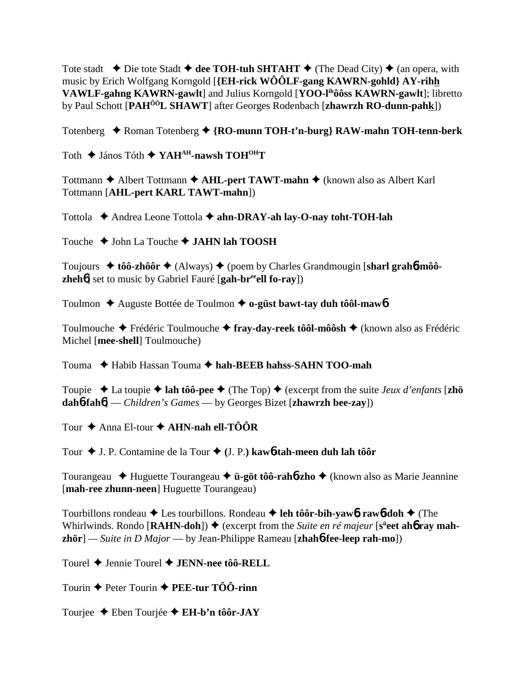Tote stadt  $\rightarrow$  Die tote Stadt  $\rightarrow$  dee TOH-tuh SHTAHT  $\rightarrow$  (The Dead City)  $\rightarrow$  (an opera, with music by Erich Wolfgang Korngold [**{EH-rick WÔÔLF-gang KAWRN-gohld} AY-rihh VAWLF-gahng KAWRN-gawlt**] and Julius Korngold [**YOO-lihôôss KAWRN-gawlt**]; libretto by Paul Schott [**PAHÔÔL SHAWT**] after Georges Rodenbach [**zhawrzh RO-dunn-pahk**])

Totenberg ◆ Roman Totenberg ◆ {RO-munn TOH-t'n-burg} RAW-mahn TOH-tenn-berk

Toth **→** János Tóth ◆ YAH<sup>AH</sup>-nawsh TOH<sup>OH</sup>T

Tottmann **←** Albert Tottmann ← AHL-pert TAWT-mahn ← (known also as Albert Karl Tottmann [**AHL-pert KARL TAWT-mahn**])

Tottola ◆ Andrea Leone Tottola ◆ ahn-DRAY-ah lay-O-nay toht-TOH-lah

Touche **→** John La Touche **→ JAHN lah TOOSH** 

Toujours **→ tôô-zhôôr →** (Always) ◆ (poem by Charles Grandmougin [sharl grahb-môô**zheh<sup>6</sup>**] set to music by Gabriel Fauré [**gah-br<sup>ee</sup>ell fo-ray**])

Toulmon Auguste Bottée de Toulmon **o-güst bawt-tay duh tôôl-maw**6

Toulmouche Frédéric Toulmouche **fray-day-reek tôôl-môôsh** (known also as Frédéric Michel [**mee-shell**] Toulmouche)

Touma Habib Hassan Touma **hah-BEEB hahss-SAHN TOO-mah**

Toupie  $\triangle$  La toupie  $\triangle$  lah tôô-pee  $\triangle$  (The Top)  $\triangle$  (excerpt from the suite *Jeux d'enfants* [zhö **dah**6**-fah**6] — *Children's Games* — by Georges Bizet [**zhawrzh bee-zay**])

Tour **→** Anna El-tour **→ AHN-nah ell-TÔÔR** 

Tour J. P. Contamine de la Tour **(**J. P.**) kaw**6**-tah-meen duh lah tôôr**

Tourangeau Huguette Tourangeau **ü-göt tôô-rah**6**-zho** (known also as Marie Jeannine [**mah-ree zhunn-neen**] Huguette Tourangeau)

Tourbillons rondeau **→** Les tourbillons. Rondeau **→ leh tôôr-bih-yaw6. raw6-doh** → (The Whirlwinds. Rondo [RAHN-doh])  $\blacklozenge$  (excerpt from the *Suite en ré majeur* [s<sup>ü</sup>eet ah**6** ray mah**zhör**] *— Suite in D Major* — by Jean-Philippe Rameau [**zhah**6**-fee-leep rah-mo**])

Tourel Jennie Tourel **JENN-nee tôô-RELL**

Tourin  $\triangle$  Peter Tourin  $\triangle$  **PEE-tur TÔÔ-rinn** 

Tourjee Eben Tourjée **EH-b'n tôôr-JAY**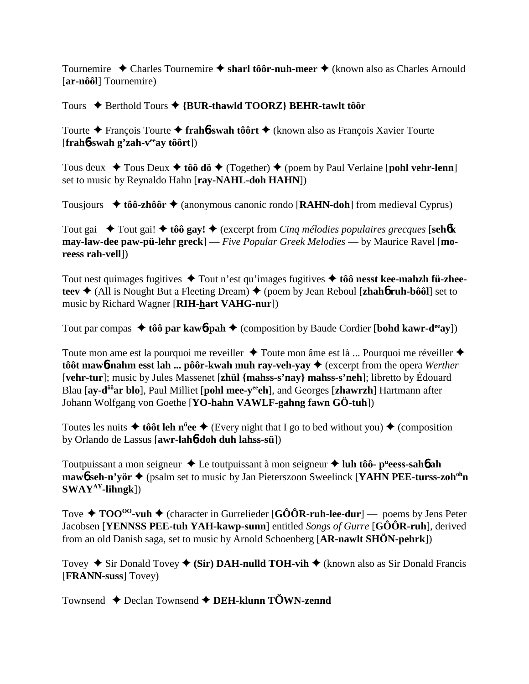Tournemire ◆ Charles Tournemire ◆ sharl tôôr-nuh-meer ◆ (known also as Charles Arnould [**ar-nôôl**] Tournemire)

Tours Berthold Tours **{BUR-thawld TOORZ} BEHR-tawlt tôôr**

Tourte François Tourte **frah**6**-swah tôôrt** (known also as François Xavier Tourte [**frah**6**-swah g'zah-veeay tôôrt**])

Tous deux **→** Tous Deux **→ tôô dö →** (Together) ◆ (poem by Paul Verlaine [**pohl vehr-lenn**] set to music by Reynaldo Hahn [**ray-NAHL-doh HAHN**])

Tousjours  **tôô-zhôôr** (anonymous canonic rondo [**RAHN-doh**] from medieval Cyprus)

Tout gai **→** Tout gai! ◆ tôô gay! ◆ (excerpt from *Cinq mélodies populaires grecques* [seh**6k may-law-dee paw-pü-lehr greck**] — *Five Popular Greek Melodies* — by Maurice Ravel [**moreess rah-vell**])

Tout nest quimages fugitives **→** Tout n'est qu'images fugitives **→ tôô nesst kee-mahzh fü-zheeteev ♦** (All is Nought But a Fleeting Dream) ♦ (poem by Jean Reboul [**zhah**6 **ruh-bôôl**] set to music by Richard Wagner [**RIH-hart VAHG-nur**])

Tout par compas  $\triangle$  tôô par kaw**6**-pah  $\triangle$  (composition by Baude Cordier [bohd kawr-d<sup>ee</sup>ay])

Toute mon ame est la pourquoi me reveiller  $\triangle$  Toute mon âme est là ... Pourquoi me réveiller  $\triangle$ **tôôt maw6-nahm esst lah ... pôôr-kwah muh ray-veh-yay ♦** (excerpt from the opera *Werther* [**vehr-tur**]; music by Jules Massenet [**zhül {mahss-s'nay} mahss-s'neh**]; libretto by Édouard Blau [ay-d<sup>ôô</sup>ar blo], Paul Milliet [pohl mee-y<sup>ee</sup>eh], and Georges [zhawrzh] Hartmann after Johann Wolfgang von Goethe [**YO-hahn VAWLF-gahng fawn GÖ-tuh**])

Toutes les nuits  $\triangle$  tôôt leh n<sup>ü</sup>ee  $\triangle$  (Every night that I go to bed without you)  $\triangle$  (composition by Orlando de Lassus [**awr-lah**6**-doh duh lahss-sü**])

Toutpuissant a mon seigneur Le toutpuissant à mon seigneur **luh tôô- pü eess-sah**6 **ah maw6** seh-n'vör ◆ (psalm set to music by Jan Pieterszoon Sweelinck [**YAHN PEE-turss-zoh<sup>oh</sup>n SWAYAY-lihngk**])

Tove  $\triangle$  **TOO<sup>oo</sup>-vuh**  $\triangle$  (character in Gurrelieder [GÔÔR-ruh-lee-dur] — poems by Jens Peter Jacobsen [**YENNSS PEE-tuh YAH-kawp-sunn**] entitled *Songs of Gurre* [**GÔÔR-ruh**], derived from an old Danish saga, set to music by Arnold Schoenberg [**AR-nawlt SHÖN-pehrk**])

Tovey  $\triangle$  Sir Donald Tovey  $\triangle$  (Sir) DAH-nulld TOH-vih  $\triangle$  (known also as Sir Donald Francis [**FRANN-suss**] Tovey)

Townsend ◆ Declan Townsend ◆ DEH-klunn TOWN-zennd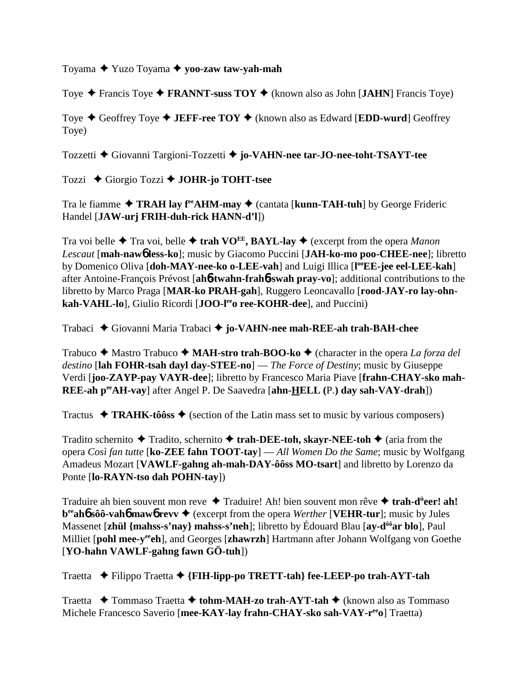Toyama Yuzo Toyama **yoo-zaw taw-yah-mah**

Toye  $\triangle$  Francis Toye  $\triangle$  **FRANNT-suss TOY**  $\triangle$  (known also as John [**JAHN**] Francis Toye)

Toye  $\triangle$  Geoffrey Toye  $\triangle$  **JEFF-ree TOY**  $\triangle$  (known also as Edward [**EDD-wurd**] Geoffrey Toye)

Tozzetti Giovanni Targioni-Tozzetti **jo-VAHN-nee tar-JO-nee-toht-TSAYT-tee**

Tozzi Giorgio Tozzi **JOHR-jo TOHT-tsee**

Tra le fiamme **← TRAH lay f<sup>ee</sup>AHM-may ←** (cantata [**kunn-TAH-tuh**] by George Frideric Handel [**JAW-urj FRIH-duh-rick HANN-d'l**])

Tra voi belle  $\triangle$  Tra voi, belle  $\triangle$  trah VO<sup>EE</sup>, BAYL-lay  $\triangle$  (excerpt from the opera *Manon Lescaut* [**mah-naw**6 **less-ko**]; music by Giacomo Puccini [**JAH-ko-mo poo-CHEE-nee**]; libretto by Domenico Oliva [doh-MAY-nee-ko o-LEE-vah] and Luigi Illica [l<sup>oo</sup>EE-jee eel-LEE-kah] after Antoine-François Prévost [**ah**6**-twahn-frah**6**-swah pray-vo**]; additional contributions to the libretto by Marco Praga [**MAR-ko PRAH-gah**], Ruggero Leoncavallo [**rood-JAY-ro lay-ohn**kah-VAHL-lo], Giulio Ricordi [JOO-le<sup>e</sup>o ree-KOHR-dee], and Puccini)

Trabaci Giovanni Maria Trabaci **jo-VAHN-nee mah-REE-ah trah-BAH-chee**

Trabuco ◆ Mastro Trabuco ◆ MAH-stro trah-BOO-ko ◆ (character in the opera *La forza del destino* [**lah FOHR-tsah dayl day-STEE-no**] — *The Force of Destiny*; music by Giuseppe Verdi [**joo-ZAYP-pay VAYR-dee**]; libretto by Francesco Maria Piave [**frahn-CHAY-sko mah-REE-ah peeAH-vay**] after Angel P. De Saavedra [**ahn-HELL (**P.**) day sah-VAY-drah**])

Tractus  $\triangleleft$  TRAHK-tôôss  $\triangleleft$  (section of the Latin mass set to music by various composers)

Tradito schernito  $\triangle$  Tradito, schernito  $\triangle$  **trah-DEE-toh, skayr-NEE-toh**  $\triangle$  (aria from the opera *Così fan tutte* [**ko-ZEE fahn TOOT-tay**] — *All Women Do the Same*; music by Wolfgang Amadeus Mozart [**VAWLF-gahng ah-mah-DAY-ôôss MO-tsart**] and libretto by Lorenzo da Ponte [**lo-RAYN-tso dah POHN-tay**])

Traduire ah bien souvent mon reve ◆ Traduire! Ah! bien souvent mon rêve ◆ trah-d<sup>ü</sup>eer! ah! **b**<sup>ee</sup>**ah6** sôô-vah**6** maw**6** revv **→** (excerpt from the opera *Werther* [VEHR-tur]; music by Jules Massenet [**zhül** {mahss-s'nay} mahss-s'neh]; libretto by Édouard Blau [**ay-d<sup>ôô</sup>ar blo**], Paul Milliet [pohl mee-y<sup>ee</sup>ch], and Georges [zhawrzh] Hartmann after Johann Wolfgang von Goethe [**YO-hahn VAWLF-gahng fawn GÖ-tuh**])

Traetta Filippo Traetta **{FIH-lipp-po TRETT-tah} fee-LEEP-po trah-AYT-tah**

Traetta **→** Tommaso Traetta **→ tohm-MAH-zo trah-AYT-tah →** (known also as Tommaso Michele Francesco Saverio [**mee-KAY-lay frahn-CHAY-sko sah-VAY-reeo**] Traetta)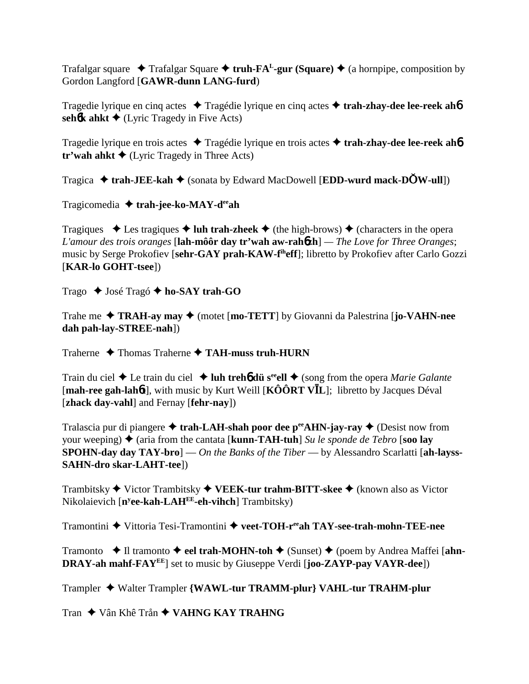Trafalgar square  $\triangle$  Trafalgar Square  $\triangle$  **truh-FA<sup>L</sup>-gur (Square)**  $\triangle$  (a hornpipe, composition by Gordon Langford [**GAWR-dunn LANG-furd**)

Tragedie lyrique en cinq actes **→** Tragédie lyrique en cinq actes → **trah-zhay-dee lee-reek ah<sup>6</sup>** sehotk ahkt  $\triangle$  (Lyric Tragedy in Five Acts)

Tragedie lyrique en trois actes Tragédie lyrique en trois actes  **trah-zhay-dee lee-reek ah**6 **tr'wah ahkt**  $\triangle$  (Lyric Tragedy in Three Acts)

Tragica  $\triangleleft$  trah-JEE-kah  $\triangleleft$  (sonata by Edward MacDowell [EDD-wurd mack-DOW-ull])

Tragicomedia **trah-jee-ko-MAY-deeah**

Tragiques  $\triangle$  Les tragiques  $\triangle$  luh trah-zheek  $\triangle$  (the high-brows)  $\triangle$  (characters in the opera *L'amour des trois oranges* [**lah-môôr day tr'wah aw-rah**6**zh**] *— The Love for Three Oranges*; music by Serge Prokofiev [**sehr-GAY prah-KAW-fiheff**]; libretto by Prokofiev after Carlo Gozzi [**KAR-lo GOHT-tsee**])

Trago **→** José Tragó **→ ho-SAY trah-GO** 

Trahe me **TRAH-ay may** (motet [**mo-TETT**] by Giovanni da Palestrina [**jo-VAHN-nee dah pah-lay-STREE-nah**])

Traherne  $\triangle$  Thomas Traherne  $\triangle$  TAH-muss truh-HURN

Train du ciel ◆ Le train du ciel ◆ luh treh**6** dü s<sup>ee</sup>ell ◆ (song from the opera *Marie Galante* [**mah-ree gah-lah**6**t**], with music by Kurt Weill [**KÔÔRT VL**]; libretto by Jacques Déval [**zhack day-vahl**] and Fernay [**fehr-nay**])

Tralascia pur di piangere  $\triangle$  trah-LAH-shah poor dee p<sup>ee</sup>AHN-jay-ray  $\triangle$  (Desist now from your weeping)  $\triangle$  (aria from the cantata [**kunn-TAH-tuh**] *Su le sponde de Tebro* [soo lay **SPOHN-day day TAY-bro**] — *On the Banks of the Tiber* — by Alessandro Scarlatti [**ah-layss-SAHN-dro skar-LAHT-tee**])

Trambitsky Victor Trambitsky **VEEK-tur trahm-BITT-skee** (known also as Victor Nikolaievich [**ny ee-kah-LAHEE-eh-vihch**] Trambitsky)

Tramontini Vittoria Tesi-Tramontini **veet-TOH-reeah TAY-see-trah-mohn-TEE-nee**

Tramonto **→ Il tramonto → eel trah-MOHN-toh →** (Sunset) ◆ (poem by Andrea Maffei [ahn-**DRAY-ah mahf-FAYEE**] set to music by Giuseppe Verdi [**joo-ZAYP-pay VAYR-dee**])

Trampler Walter Trampler **{WAWL-tur TRAMM-plur} VAHL-tur TRAHM-plur**

Tran ◆ Vân Khê Trån ◆ VAHNG KAY TRAHNG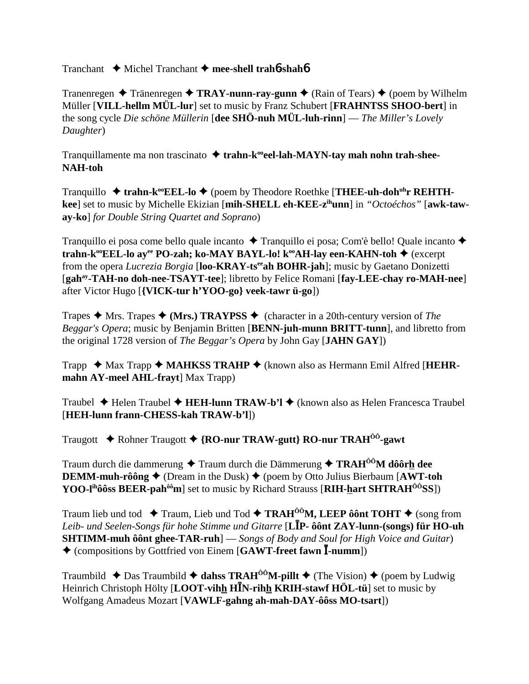Tranchant Michel Tranchant **mee-shell trah**6**-shah**6

Tranenregen  $\triangle$  Tränenregen  $\triangle$  **TRAY-nunn-ray-gunn**  $\triangle$  (Rain of Tears)  $\triangle$  (poem by Wilhelm Müller [**VILL-hellm MÜL-lur**] set to music by Franz Schubert [**FRAHNTSS SHOO-bert**] in the song cycle *Die schöne Müllerin* [**dee SHÖ-nuh MÜL-luh-rinn**] — *The Miller's Lovely Daughter*)

Tranquillamente ma non trascinato **→ trahn-k<sup>oo</sup>eel-lah-MAYN-tay mah nohn trah-shee-NAH-toh**

Tranquillo ◆ trahn-k<sup>oo</sup>EEL-lo ◆ (poem by Theodore Roethke [THEE-uh-doh<sup>uh</sup>r REHTH**kee**] set to music by Michelle Ekizian [**mih-SHELL eh-KEE-zihunn**] in *"Octoéchos"* [**awk-taway-ko**] *for Double String Quartet and Soprano*)

Tranquillo ei posa come bello quale incanto  $\triangle$  Tranquillo ei posa; Com'è bello! Quale incanto  $\triangle$ **trahn-k<sup>oo</sup>EEL-lo ay<sup>ee</sup> PO-zah; ko-MAY BAYL-lo! k<sup>oo</sup>AH-lay een-KAHN-toh ♦ (excerpt)** from the opera *Lucrezia Borgia* [**loo-KRAY-tseeah BOHR-jah**]; music by Gaetano Donizetti [**gahay-TAH-no doh-nee-TSAYT-tee**]; libretto by Felice Romani [**fay-LEE-chay ro-MAH-nee**] after Victor Hugo [**{VICK-tur h'YOO-go} veek-tawr ü-go**])

Trapes  $\triangle$  Mrs. Trapes  $\triangle$  (Mrs.) TRAYPSS  $\triangle$  (character in a 20th-century version of *The Beggar's Opera*; music by Benjamin Britten [**BENN-juh-munn BRITT-tunn**], and libretto from the original 1728 version of *The Beggar's Opera* by John Gay [**JAHN GAY**])

Trapp ◆ Max Trapp ◆ MAHKSS TRAHP ◆ (known also as Hermann Emil Alfred [HEHR**mahn AY-meel AHL-frayt**] Max Trapp)

Traubel Helen Traubel **HEH-lunn TRAW-b'l** (known also as Helen Francesca Traubel [**HEH-lunn frann-CHESS-kah TRAW-b'l**])

Traugott Rohner Traugott **{RO-nur TRAW-gutt} RO-nur TRAHÔÔ-gawt**

Traum durch die dammerung ◆ Traum durch die Dämmerung ◆ **TRAH<sup>ôô</sup>M dôôrh dee DEMM-muh-rôông**  $\triangle$  (Dream in the Dusk)  $\triangle$  (poem by Otto Julius Bierbaum [AWT-toh **YOO-l<sup>ih</sup>ôôss BEER-pah<sup>ôô</sup>m**] set to music by Richard Strauss [RIH-hart SHTRAH<sup>OO</sup>SS])

Traum lieb und tod  $\blacklozenge$  Traum, Lieb und Tod  $\blacklozenge$  **TRAH<sup>ôô</sup>M, LEEP ôônt TOHT**  $\blacklozenge$  (song from *Leib- und Seelen-Songs für hohe Stimme und Gitarre* [**LP- ôônt ZAY-lunn-(songs) für HO-uh SHTIMM-muh ôônt ghee-TAR-ruh**] — *Songs of Body and Soul for High Voice and Guitar*) (compositions by Gottfried von Einem [**GAWT-freet fawn -numm**])

Traumbild  $\triangle$  Das Traumbild  $\triangle$  dahss TRAH<sup>00</sup>M-pillt  $\triangle$  (The Vision)  $\triangle$  (poem by Ludwig Heinrich Christoph Hölty [**LOOT-vihh HN-rihh KRIH-stawf HÖL-tü**] set to music by Wolfgang Amadeus Mozart [**VAWLF-gahng ah-mah-DAY-ôôss MO-tsart**])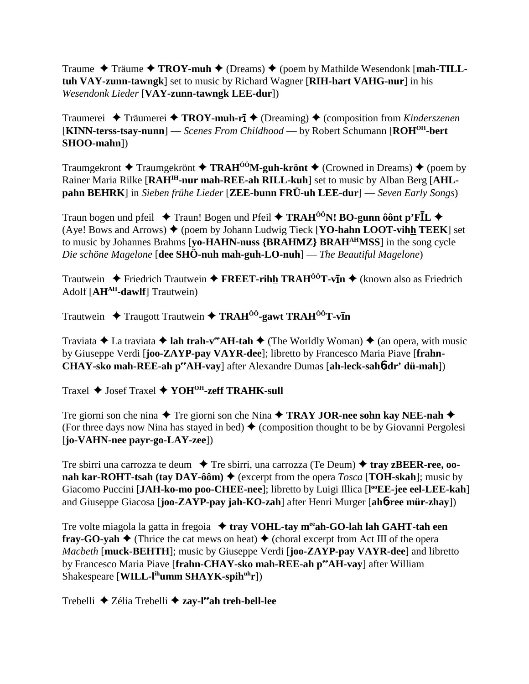Traume  $\triangle$  Träume  $\triangle$  **TROY-muh**  $\triangle$  (Dreams)  $\triangle$  (poem by Mathilde Wesendonk [**mah-TILLtuh VAY-zunn-tawngk**] set to music by Richard Wagner [**RIH-hart VAHG-nur**] in his *Wesendonk Lieder* [**VAY-zunn-tawngk LEE-dur**])

Traumerei ◆ Träumerei ◆ TROY-muh-rī ◆ (Dreaming) ◆ (composition from *Kinderszenen* [**KINN-terss-tsay-nunn**] — *Scenes From Childhood* — by Robert Schumann [**ROHOH-bert SHOO-mahn**])

Traumgekront  $\triangle$  Traumgekrönt  $\triangle$  **TRAH<sup>ôô</sup>M-guh-krönt**  $\triangle$  (Crowned in Dreams)  $\triangle$  (poem by Rainer Maria Rilke [**RAHIH-nur mah-REE-ah RILL-kuh**] set to music by Alban Berg [**AHLpahn BEHRK**] in *Sieben frühe Lieder* [**ZEE-bunn FRÜ-uh LEE-dur**] — *Seven Early Songs*)

Traun bogen und pfeil  $\blacklozenge$  Traun! Bogen und Pfeil  $\blacklozenge$  **TRAH<sup>ôô</sup>N! BO-gunn ôônt p'FIL**  $\blacklozenge$ (Aye! Bows and Arrows)  $\triangleq$  (poem by Johann Ludwig Tieck [**YO-hahn LOOT-vihh TEEK**] set to music by Johannes Brahms [**yo-HAHN-nuss {BRAHMZ} BRAHAHMSS**] in the song cycle *Die schöne Magelone* [**dee SHÖ-nuh mah-guh-LO-nuh**] — *The Beautiful Magelone*)

Trautwein ◆ Friedrich Trautwein ◆ FREET-rihh TRAH<sup>ôô</sup>T-vIn ◆ (known also as Friedrich Adolf [**AHAH-dawlf**] Trautwein)

Trautwein ◆ Traugott Trautwein ◆ TRAH<sup>ôô</sup>-gawt TRAH<sup>ôô</sup>T-vIn

Traviata  $\triangle$  La traviata  $\triangle$  **lah trah-v<sup>ee</sup>AH-tah**  $\triangle$  (The Worldly Woman)  $\triangle$  (an opera, with music by Giuseppe Verdi [**joo-ZAYP-pay VAYR-dee**]; libretto by Francesco Maria Piave [**frahn-CHAY-sko mah-REE-ah peeAH-vay**] after Alexandre Dumas [**ah-leck-sah**6**-dr' dü-mah**])

Traxel **→** Josef Traxel **→ YOH<sup>OH</sup>-zeff TRAHK-sull** 

Tre giorni son che nina  $\blacklozenge$  Tre giorni son che Nina  $\blacklozenge$  **TRAY JOR-nee sohn kay NEE-nah**  $\blacklozenge$ (For three days now Nina has stayed in bed)  $\blacklozenge$  (composition thought to be by Giovanni Pergolesi [**jo-VAHN-nee payr-go-LAY-zee**])

Tre sbirri una carrozza te deum **→** Tre sbirri, una carrozza (Te Deum) → tray z**BEER-ree, oonah kar-ROHT-tsah (tay DAY-ôôm)**  $\blacklozenge$  (excerpt from the opera *Tosca* [**TOH-skah**]; music by Giacomo Puccini [JAH-ko-mo poo-CHEE-nee]; libretto by Luigi Illica [l<sup>oo</sup>EE-jee eel-LEE-kah] and Giuseppe Giacosa [**joo-ZAYP-pay jah-KO-zah**] after Henri Murger [**ah**6**-ree mür-zhay**])

Tre volte miagola la gatta in fregoia **↓ tray VOHL-tay m<sup>ee</sup>ah-GO-lah lah GAHT-tah een fray-GO-yah**  $\blacklozenge$  (Thrice the cat mews on heat)  $\blacklozenge$  (choral excerpt from Act III of the opera *Macbeth* [**muck-BEHTH**]; music by Giuseppe Verdi [**joo-ZAYP-pay VAYR-dee**] and libretto by Francesco Maria Piave [frahn-CHAY-sko mah-REE-ah perAH-vay] after William Shakespeare [**WILL-l<sup>ih</sup>umm SHAYK-spih<sup>uh</sup>r**])

Trebelli Zélia Trebelli **zay-leeah treh-bell-lee**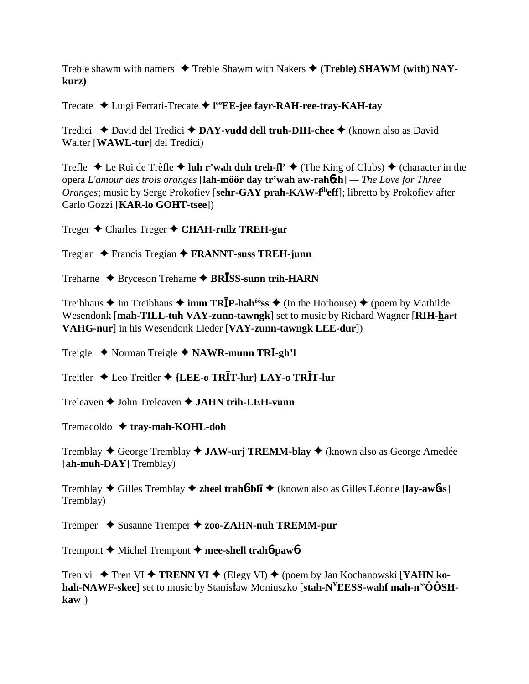Treble shawm with namers  $\triangle$  Treble Shawm with Nakers  $\triangle$  (**Treble**) **SHAWM** (with) NAY**kurz)**

Trecate Luigi Ferrari-Trecate **l ooEE-jee fayr-RAH-ree-tray-KAH-tay**

Tredici ◆ David del Tredici ◆ DAY-vudd dell truh-DIH-chee ◆ (known also as David Walter [**WAWL-tur**] del Tredici)

Trefle  $\triangle$  Le Roi de Trèfle  $\triangle$  luh r'wah duh treh-fl'  $\triangle$  (The King of Clubs)  $\triangle$  (character in the opera *L'amour des trois oranges* [**lah-môôr day tr'wah aw-rah**6**zh**] *— The Love for Three Oranges*; music by Serge Prokofiev [**sehr-GAY prah-KAW-fiheff**]; libretto by Prokofiev after Carlo Gozzi [**KAR-lo GOHT-tsee**])

Treger Charles Treger **CHAH-rullz TREH-gur**

Tregian Francis Tregian **FRANNT-suss TREH-junn**

Treharne ◆ Bryceson Treharne ◆ BR**ISS-sunn trih-HARN** 

Treibhaus **→** Im Treibhaus **→ imm TR<b>ĪP-hah**<sup>ôô</sup>ss ◆ (In the Hothouse) ◆ (poem by Mathilde Wesendonk [**mah-TILL-tuh VAY-zunn-tawngk**] set to music by Richard Wagner [**RIH-hart VAHG-nur**] in his Wesendonk Lieder [**VAY-zunn-tawngk LEE-dur**])

Treigle  $\rightarrow$  Norman Treigle  $\rightarrow$  **NAWR-munn TRI**-gh'l

Treitler Leo Treitler **{LEE-o TRT-lur} LAY-o TRT-lur**

Treleaven John Treleaven **JAHN trih-LEH-vunn**

Tremacoldo **tray-mah-KOHL-doh**

Tremblay George Tremblay **JAW-urj TREMM-blay** (known also as George Amedée [**ah-muh-DAY**] Tremblay)

Tremblay Gilles Tremblay **zheel trah**6**-bl**- (known also as Gilles Léonce [**lay-aw**6**ss**] Tremblay)

Tremper Susanne Tremper **zoo-ZAHN-nuh TREMM-pur**

Trempont Michel Trempont **mee-shell trah**6**-paw**6

Tren vi **→** Tren VI → **TRENN VI →** (Elegy VI) → (poem by Jan Kochanowski [**YAHN ko**hah-NAWF-skee] set to music by Stanisław Moniuszko [stah-N<sup>Y</sup>EESS-wahf mah-n<sup>ee</sup>ÔÔSH**kaw**])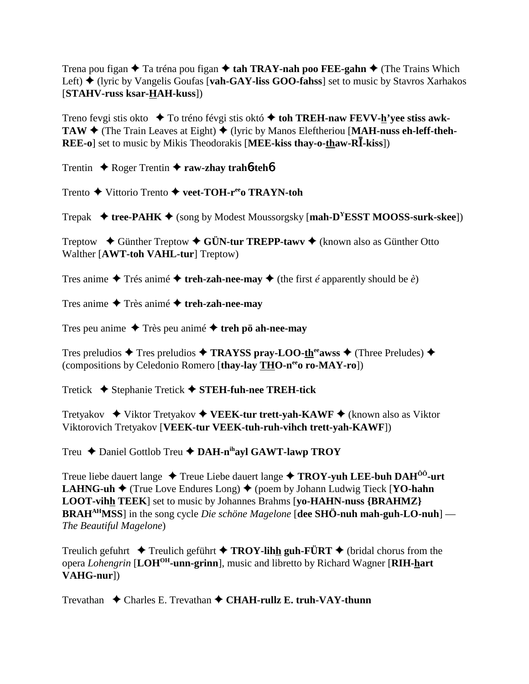Trena pou figan  $\triangle$  Ta tréna pou figan  $\triangle$  tah TRAY-nah poo FEE-gahn  $\triangle$  (The Trains Which Left) **→** (lyric by Vangelis Goufas [**vah-GAY-liss GOO-fahss**] set to music by Stavros Xarhakos [**STAHV-russ ksar-HAH-kuss**])

Treno fevgi stis okto **→** To tréno févgi stis októ **→ toh TREH-naw FEVV-<u>h</u>'yee stiss awk-TAW**  $\blacklozenge$  (The Train Leaves at Eight)  $\blacklozenge$  (lyric by Manos Eleftheriou [**MAH-nuss eh-leff-theh-REE-o**] set to music by Mikis Theodorakis [MEE-kiss thay-o-thaw-R**I**-kiss])

Trentin **→** Roger Trentin → raw-zhay trah**6**-teh**6** 

Trento **→** Vittorio Trento ◆ veet-TOH-r<sup>ee</sup>o TRAYN-toh

Trepak  $\blacklozenge$  **tree-PAHK**  $\blacklozenge$  (song by Modest Moussorgsky [mah-D<sup>Y</sup>ESST MOOSS-surk-skee])

Treptow  $\blacklozenge$  Günther Treptow  $\blacklozenge$  GÜN-tur TREPP-tawv  $\blacklozenge$  (known also as Günther Otto Walther [**AWT-toh VAHL-tur**] Treptow)

Tres anime  $\triangle$  Trés animé  $\triangle$  treh-zah-nee-may  $\triangle$  (the first *é* apparently should be *è*)

Tres anime Très animé **treh-zah-nee-may**

Tres peu anime  $\triangle$  Très peu animé  $\triangle$  treh pö ah-nee-may

Tres preludios  $\triangle$  Tres preludios  $\triangle$  **TRAYSS pray-LOO-th<sup>ee</sup>awss**  $\triangle$  (Three Preludes)  $\triangle$ (compositions by Celedonio Romero [**thay-lay THO-neeo ro-MAY-ro**])

Tretick Stephanie Tretick **STEH-fuh-nee TREH-tick**

Tretyakov **→** Viktor Tretyakov ◆ VEEK-tur trett-vah-KAWF ◆ (known also as Viktor Viktorovich Tretyakov [**VEEK-tur VEEK-tuh-ruh-vihch trett-yah-KAWF**])

Treu **←** Daniel Gottlob Treu ← DAH-n<sup>ih</sup>ayl GAWT-lawp TROY

Treue liebe dauert lange  $\triangle$  Treue Liebe dauert lange  $\triangle$  **TROY-yuh LEE-buh DAH<sup>ôô</sup>-urt LAHNG-uh ♦** (True Love Endures Long) ♦ (poem by Johann Ludwig Tieck [YO-hahn **LOOT-vihh TEEK**] set to music by Johannes Brahms [**yo-HAHN-nuss {BRAHMZ} BRAHAHMSS**] in the song cycle *Die schöne Magelone* [**dee SHÖ-nuh mah-guh-LO-nuh**] — *The Beautiful Magelone*)

Treulich gefuhrt  $\triangle$  Treulich geführt  $\triangle$  **TROY-lihh guh-FÜRT**  $\triangle$  (bridal chorus from the opera *Lohengrin* [**LOHOH-unn-grinn**], music and libretto by Richard Wagner [**RIH-hart VAHG-nur**])

Trevathan Charles E. Trevathan **CHAH-rullz E. truh-VAY-thunn**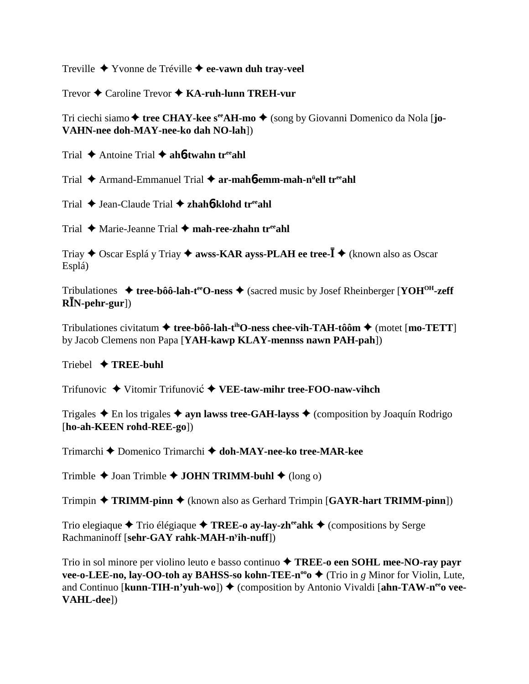Treville Yvonne de Tréville **ee-vawn duh tray-veel**

Trevor Caroline Trevor **KA-ruh-lunn TREH-vur**

Tri ciechi siamo **→ tree CHAY-kee s<sup>ee</sup>AH-mo →** (song by Giovanni Domenico da Nola [**jo-VAHN-nee doh-MAY-nee-ko dah NO-lah**])

Trial Antoine Trial **ah**6**-twahn treeahl**

Trial Armand-Emmanuel Trial **ar-mah**6**-emm-mah-nü ell treeahl**

Trial Jean-Claude Trial **zhah**6**-klohd treeahl**

Trial ◆ Marie-Jeanne Trial ◆ mah-ree-zhahn tr<sup>ee</sup>ahl

Triay ◆ Oscar Esplá y Triay ◆ **awss-KAR ayss-PLAH ee tree-** $\overline{I}$  ◆ (known also as Oscar Esplá)

Tribulationes  $\triangleq$  **tree-bôô-lah-t<sup>ee</sup>O-ness**  $\triangleq$  (sacred music by Josef Rheinberger [**YOH<sup>OH</sup>-zeff RN-pehr-gur**])

Tribulationes civitatum **tree-bôô-lah-tihO-ness chee-vih-TAH-tôôm** (motet [**mo-TETT**] by Jacob Clemens non Papa [**YAH-kawp KLAY-mennss nawn PAH-pah**])

#### Triebel **TREE-buhl**

Trifunovic ◆ Vitomir Trifunović ◆ VEE-taw-mihr tree-FOO-naw-vihch

Trigales  $\triangle$  En los trigales  $\triangle$  ayn lawss tree-GAH-layss  $\triangle$  (composition by Joaquín Rodrigo [**ho-ah-KEEN rohd-REE-go**])

Trimarchi Domenico Trimarchi **doh-MAY-nee-ko tree-MAR-kee**

Trimble  $\triangle$  Joan Trimble  $\triangle$  **JOHN TRIMM-buhl**  $\triangle$  (long o)

Trimpin **TRIMM-pinn** (known also as Gerhard Trimpin [**GAYR-hart TRIMM-pinn**])

Trio elegiaque  $\triangle$  Trio élégiaque  $\triangle$  **TREE-o ay-lay-zh<sup>ee</sup>ahk**  $\triangle$  (compositions by Serge Rachmaninoff [**sehr-GAY rahk-MAH-ny ih-nuff**])

Trio in sol minore per violino leuto e basso continuo **TREE-o een SOHL mee-NO-ray payr vee-o-LEE-no, lay-OO-toh ay BAHSS-so kohn-TEE-n<sup>oo</sup>o**  $\blacklozenge$  **(Trio in** *g* **Minor for Violin, Lute,** and Continuo [**kunn-TIH-n'yuh-wo**]) ♦ (composition by Antonio Vivaldi [ahn-TAW-n<sup>ee</sup>o vee-**VAHL-dee**])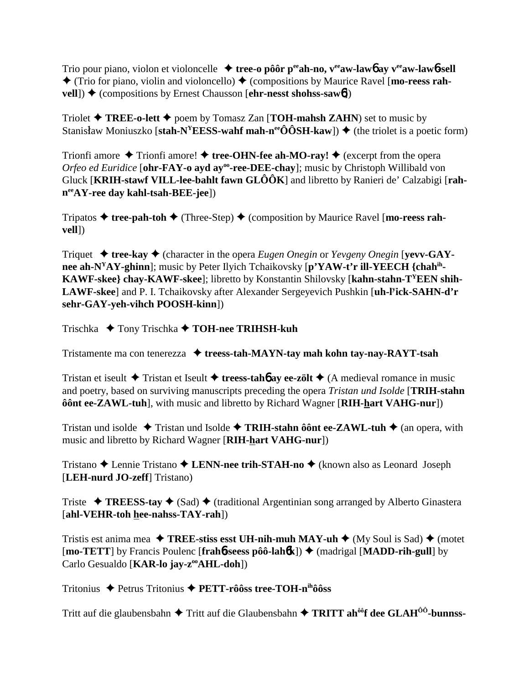Trio pour piano, violon et violoncelle  $\triangleq$  tree-o pôôr per ah-no, v<sup>ee</sup> aw-lawb ay v<sup>ee</sup> aw-lawb-sell  $\triangle$  (Trio for piano, violin and violoncello)  $\triangle$  (compositions by Maurice Ravel [mo-reess rah- $\text{well}$ )  $\blacklozenge$  (compositions by Ernest Chausson [ehr-nesst shohss-saw6])

Triolet  $\blacklozenge$  TREE-o-lett  $\blacklozenge$  poem by Tomasz Zan [TOH-mahsh ZAHN) set to music by Stanisław Moniuszko [stah-N<sup>Y</sup>EESS-wahf mah-n<sup>ee</sup>ÔÔSH-kaw])  $\blacklozenge$  (the triolet is a poetic form)

Trionfi amore  $\triangle$  Trionfi amore!  $\triangle$  tree-OHN-fee ah-MO-ray!  $\triangle$  (excerpt from the opera Orfeo ed Euridice [ohr-FAY-o ayd ay<sup>oo</sup>-ree-DEE-chay]; music by Christoph Willibald von Gluck [KRIH-stawf VILL-lee-bahlt fawn  $GLOOR$ ] and libretto by Ranieri de' Calzabigi [rah $n^{ee}AY$ -ree day kahl-tsah-BEE-jee])

Tripatos  $\triangleq$  tree-pah-toh  $\triangleq$  (Three-Step)  $\triangleq$  (composition by Maurice Ravel [mo-reess rahvell])

Triquet  $\triangleq$  tree-kay  $\triangleq$  (character in the opera *Eugen Onegin* or *Yevgeny Onegin* [vevv-GAYnee ah-N<sup>Y</sup>AY-ghinn]; music by Peter Ilyich Tchaikovsky [p'YAW-t'r ill-YEECH {chah<sup>ih</sup>-KAWF-skee} chay-KAWF-skee]; libretto by Konstantin Shilovsky [kahn-stahn-T<sup>Y</sup>EEN shih-LAWF-skee] and P. I. Tchaikovsky after Alexander Sergeyevich Pushkin [uh-l<sup>y</sup>ick-SAHN-d'r sehr-GAY-yeh-vihch POOSH-kinn])

Trischka  $\blacklozenge$  Tony Trischka  $\blacklozenge$  TOH-nee TRIHSH-kuh

Tristamente ma con tenerezza  $\triangleq$  treess-tah-MAYN-tay mah kohn tay-nay-RAYT-tsah

Tristan et iseult  $\triangle$  Tristan et Iseult  $\triangle$  treess-taho ay ee-zölt  $\triangle$  (A medieval romance in music and poetry, based on surviving manuscripts preceding the opera *Tristan und Isolde* [TRIH-stahn] ô ônt ee-ZAWL-tuh], with music and libretto by Richard Wagner [RIH-hart VAHG-nur])

Tristan und isolde  $\rightarrow$  Tristan und Isolde  $\rightarrow$  TRIH-stahn ô ônt ee-ZAWL-tuh  $\rightarrow$  (an opera, with music and libretto by Richard Wagner [RIH-hart VAHG-nur])

Tristano  $\triangle$  Lennie Tristano  $\triangle$  LENN-nee trih-STAH-no  $\triangle$  (known also as Leonard Joseph [LEH-nurd JO-zeff] Tristano)

Triste  $\rightarrow$  TREESS-tay  $\rightarrow$  (Sad)  $\rightarrow$  (traditional Argentinian song arranged by Alberto Ginastera [ahl-VEHR-toh hee-nahss-TAY-rah])

Tristis est anima mea  $\triangle$  TREE-stiss esst UH-nih-muh MAY-uh  $\triangle$  (My Soul is Sad)  $\triangle$  (motet [mo-TETT] by Francis Poulenc [frah6-seess pôô-lah6k])  $\triangleq$  (madrigal [MADD-rih-gull] by Carlo Gesualdo [KAR-lo jay-z<sup>oo</sup>AHL-doh])

Tritonius ◆ Petrus Tritonius ◆ PETT-rôôss tree-TOH-nihôôss

Tritt auf die glaubensbahn ◆ Tritt auf die Glaubensbahn ◆ TRITT ah<sup>ôô</sup>f dee GLAH<sup>ôô</sup>-bunnss-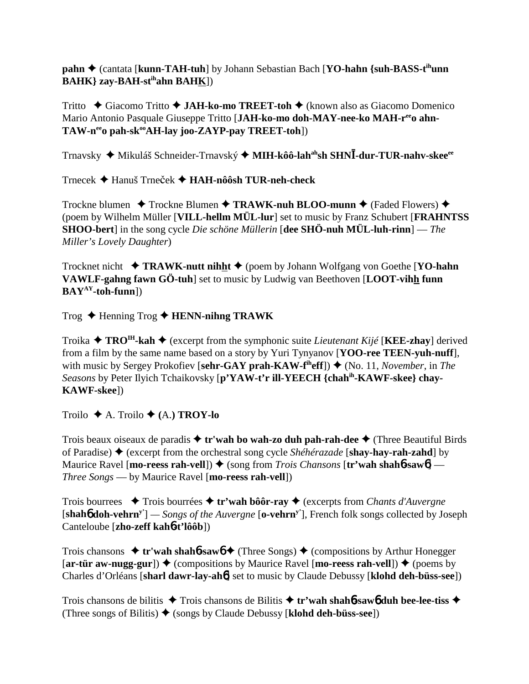**pahn ♦** (cantata [**kunn-TAH-tuh**] by Johann Sebastian Bach [**YO-hahn** {suh-BASS-t<sup>ih</sup>unn **BAHK} zay-BAH-stihahn BAHK**])

Tritto Giacomo Tritto **JAH-ko-mo TREET-toh** (known also as Giacomo Domenico Mario Antonio Pasquale Giuseppe Tritto [JAH-ko-mo doh-MAY-nee-ko MAH-r<sup>ee</sup>o ahn-TAW-n<sup>ee</sup>o pah-sk<sup>oo</sup>AH-lay joo-ZAYP-pay TREET-toh])

Trnavsky ◆ Mikuláš Schneider-Trnavský ◆ MIH-kôô-lah<sup>ah</sup>sh SHN**Ī-dur-TUR-nahv-skee**<sup>ee</sup>

Trnecek **→** Hanuš Trneček → **HAH-nôôsh TUR-neh-check** 

Trockne blumen **→** Trockne Blumen → TRAWK-nuh BLOO-munn → (Faded Flowers) → (poem by Wilhelm Müller [**VILL-hellm MÜL-lur**] set to music by Franz Schubert [**FRAHNTSS SHOO-bert**] in the song cycle *Die schöne Müllerin* [**dee SHÖ-nuh MÜL-luh-rinn**] — *The Miller's Lovely Daughter*)

Trocknet nicht **TRAWK-nutt nihht** (poem by Johann Wolfgang von Goethe [**YO-hahn VAWLF-gahng fawn GÖ-tuh**] set to music by Ludwig van Beethoven [**LOOT-vihh funn BAYAY-toh-funn**])

Trog Henning Trog **HENN-nihng TRAWK**

Troika  $\triangle$  **TRO<sup>IH</sup>-kah**  $\triangle$  (excerpt from the symphonic suite *Lieutenant Kijé* [**KEE-zhay**] derived from a film by the same name based on a story by Yuri Tynyanov [**YOO-ree TEEN-yuh-nuff**], with music by Sergey Prokofiev [sehr-GAY prah-KAW-f<sup>th</sup>eff]) ♦ (No. 11, *November*, in *The Seasons* by Peter Ilyich Tchaikovsky [**p'YAW-t'r ill-YEECH {chahih-KAWF-skee} chay-KAWF-skee**])

Troilo  $\blacklozenge$  A. Troilo  $\blacklozenge$  (A.) **TROY-lo** 

Trois beaux oiseaux de paradis **tr'wah bo wah-zo duh pah-rah-dee** (Three Beautiful Birds of Paradise) (excerpt from the orchestral song cycle *Shéhérazade* [**shay-hay-rah-zahd**] by Maurice Ravel [**mo-reess rah-vell**]) ♦ (song from *Trois Chansons* [**tr'wah shahb-sawb**] — *Three Songs* — by Maurice Ravel [**mo-reess rah-vell**])

Trois bourrees Trois bourrées **tr'wah bôôr-ray** (excerpts from *Chants d'Auvergne* [**shah**6 **doh-vehrny'**] *— Songs of the Auvergne* [**o-vehrny'**], French folk songs collected by Joseph Canteloube [**zho-zeff kah**6**-t'lôôb**])

Trois chansons  $\triangleq$  **tr'wah shahb-sawb**  $\triangleq$  (Three Songs)  $\triangleq$  (compositions by Arthur Honegger)  $[\ar\text{-}\text{tür aw-nugg-gur}]$   $\blacklozenge$  (compositions by Maurice Ravel  $[\text{mo-reess rah-vell}]$ )  $\blacklozenge$  (poems by Charles d'Orléans [**sharl dawr-lay-ah**6] set to music by Claude Debussy [**klohd deh-büss-see**])

Trois chansons de bilitis **→** Trois chansons de Bilitis **→ tr'wah shahb-saw6 duh bee-lee-tiss →** (Three songs of Bilitis)  $\blacklozenge$  (songs by Claude Debussy [**klohd deh-büss-see**])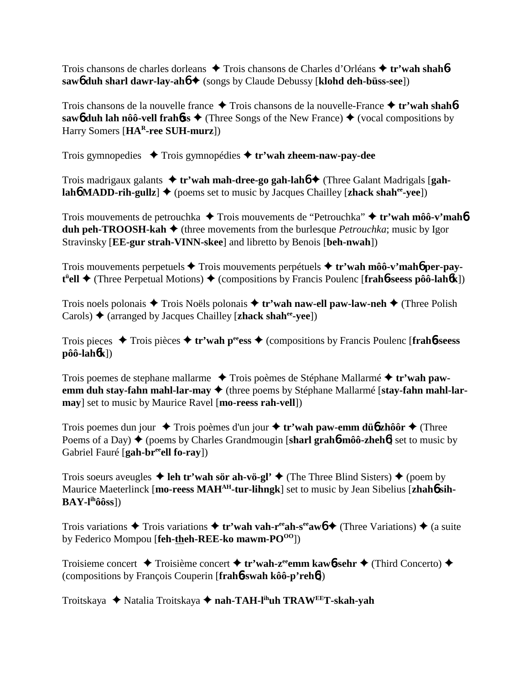Trois chansons de charles dorleans ◆ Trois chansons de Charles d'Orléans ◆ tr'wah shah**6** saw**6** duh sharl dawr-lay-ah**6 →** (songs by Claude Debussy [klohd deh-büss-see])

Trois chansons de la nouvelle france Trois chansons de la nouvelle-France **tr'wah shah**6 **saw6** duh lah nôô-vell frahbss  $\triangle$  (Three Songs of the New France)  $\triangle$  (vocal compositions by Harry Somers [**HAR-ree SUH-murz**])

Trois gymnopedies Trois gymnopédies **tr'wah zheem-naw-pay-dee**

Trois madrigaux galants **tr'wah mah-dree-go gah-lah**6 (Three Galant Madrigals [**gahlah<sup>6</sup> MADD-rih-gullz**]  $\blacklozenge$  (poems set to music by Jacques Chailley [**zhack shah<sup>ee</sup>-vee**])

Trois mouvements de petrouchka **→** Trois mouvements de "Petrouchka" **→ tr'wah môô-v'mah6 duh peh-TROOSH-kah**  $\blacklozenge$  (three movements from the burlesque *Petrouchka*; music by Igor Stravinsky [**EE-gur strah-VINN-skee**] and libretto by Benois [**beh-nwah**])

Trois mouvements perpetuels **→** Trois mouvements perpétuels ◆ tr'wah môô-v'mah**6** per-pay**t**<sup>t</sup>•ell ◆ (Three Perpetual Motions) ◆ (compositions by Francis Poulenc [frah6-seess pôô-lah6k])

Trois noels polonais Trois Noëls polonais **tr'wah naw-ell paw-law-neh** (Three Polish Carols)  $\triangle$  (arranged by Jacques Chailley [**zhack shah<sup>ee</sup>-vee**])

Trois pieces Trois pièces **tr'wah peeess** (compositions by Francis Poulenc [**frah**6**-seess pôô-lah**6**k**])

Trois poemes de stephane mallarme Trois poèmes de Stéphane Mallarmé **tr'wah pawemm duh stay-fahn mahl-lar-may ♦** (three poems by Stéphane Mallarmé [stay-fahn mahl-lar**may**] set to music by Maurice Ravel [**mo-reess rah-vell**])

Trois poemes dun jour  $\triangle$  Trois poèmes d'un jour  $\triangle$  tr'wah paw-emm dü**b** zhôôr  $\triangle$  (Three Poems of a Day) ♦ (poems by Charles Grandmougin [sharl grah**6**-môô-zheh**6**] set to music by Gabriel Fauré [**gah-br<sup>ee</sup>ell fo-ray**])

Trois soeurs aveugles  $\triangleq$  leh tr'wah sör ah-vö-gl'  $\triangleq$  (The Three Blind Sisters)  $\triangleq$  (poem by Maurice Maeterlinck [mo-reess MAH<sup>AH</sup>-tur-lihngk] set to music by Jean Sibelius [zhah**6** sih-**BAY-lihôôss**])

Trois variations  $\triangle$  Trois variations  $\triangle$  **tr'wah vah-r<sup>ee</sup>ah-s<sup>ee</sup>aw<sub>0</sub>**  $\triangle$  (Three Variations)  $\triangle$  (a suite by Federico Mompou [**feh-theh-REE-ko mawm-PO**<sup>00</sup>])

Troisieme concert **→** Troisième concert → tr'wah-z<sup>ee</sup>emm kaw**6**-sehr → (Third Concerto) → (compositions by François Couperin [**frah**6**-swah kôô-p'reh**6])

Troitskaya **→** Natalia Troitskaya → nah-TAH-l<sup>ih</sup>uh TRAW<sup>EE</sup>T-skah-yah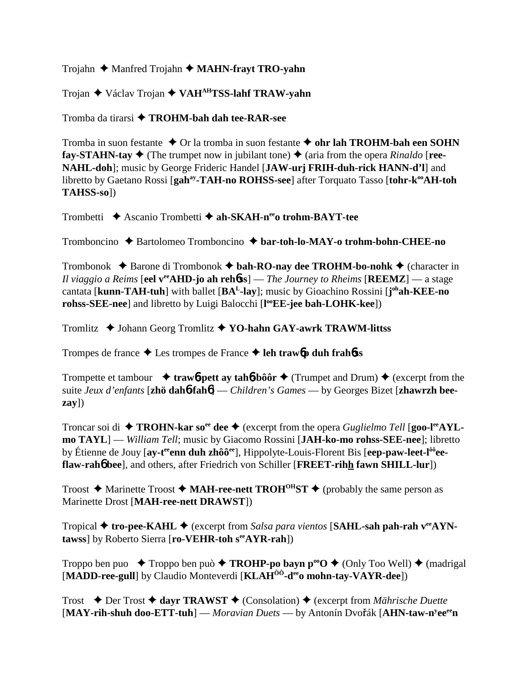Trojahn ♦ Manfred Trojahn ♦ **MAHN-frayt TRO-yahn** 

Trojan Václav Trojan **VAHAHTSS-lahf TRAW-yahn**

Tromba da tirarsi **TROHM-bah dah tee-RAR-see**

Tromba in suon festante  $\triangle$  Or la tromba in suon festante  $\triangle$  ohr lah TROHM-bah een SOHN **fay-STAHN-tay**  $\blacklozenge$  (The trumpet now in jubilant tone)  $\blacklozenge$  (aria from the opera *Rinaldo* [**ree-NAHL-doh**]; music by George Frideric Handel [**JAW-urj FRIH-duh-rick HANN-d'l**] and libretto by Gaetano Rossi [gah<sup>ay</sup>-TAH-no ROHSS-see] after Torquato Tasso [tohr-k<sup>oo</sup>AH-toh **TAHSS-so**])

Trombetti **→** Ascanio Trombetti → ah-SKAH-n<sup>ee</sup>o trohm-BAYT-tee

Tromboncino Bartolomeo Tromboncino **bar-toh-lo-MAY-o trohm-bohn-CHEE-no**

Trombonok  $\triangle$  Barone di Trombonok  $\triangle$  bah-RO-nay dee TROHM-bo-nohk  $\triangle$  (character in *Il viaggio a Reims* [**eel veeAHD-jo ah reh**6**ss**] — *The Journey to Rheims* [**REEMZ**] — a stage cantata [**kunn-TAH-tuh**] with ballet [**BAL-lay**]; music by Gioachino Rossini [**j ohah-KEE-no rohss-SEE-nee**] and libretto by Luigi Balocchi [**l ooEE-jee bah-LOHK-kee**])

Tromlitz ◆ Johann Georg Tromlitz ◆ YO-hahn GAY-awrk TRAWM-littss

Trompes de france  $\triangle$  Les trompes de France  $\triangle$  leh trawb duh frahbss

Trompette et tambour  $\rightarrow$  **traw<sub>6</sub>-pett ay tah<sub>6</sub>**-bôôr  $\rightarrow$  (Trumpet and Drum)  $\rightarrow$  (excerpt from the suite *Jeux d'enfants* [**zhö dah**6**-fah**6] — *Children's Games* — by Georges Bizet [**zhawrzh beezay**])

Troncar soi di ◆ **TROHN-kar so<sup>ee</sup> dee ◆** (excerpt from the opera *Guglielmo Tell* [**goo-l<sup>ee</sup>AYLmo TAYL**] — *William Tell*; music by Giacomo Rossini [**JAH-ko-mo rohss-SEE-nee**]; libretto by Étienne de Jouy [**ay-teeenn duh zhôôee**], Hippolyte-Louis-Florent Bis [**eep-paw-leet-lôôeeflaw-rah**6 **bee**], and others, after Friedrich von Schiller [**FREET-rihh fawn SHILL-lur**])

Troost  $\triangle$  Marinette Troost  $\triangle$  **MAH-ree-nett TROH<sup>OH</sup>ST**  $\triangle$  (probably the same person as Marinette Drost [**MAH-ree-nett DRAWST**])

Tropical **tro-pee-KAHL** (excerpt from *Salsa para vientos* [**SAHL-sah pah-rah veeAYNtawss**] by Roberto Sierra [**ro-VEHR-toh seeAYR-rah**])

Troppo ben puo  $\blacklozenge$  Troppo ben può  $\blacklozenge$  **TROHP-po bayn p<sup>oo</sup>O**  $\blacklozenge$  (Only Too Well)  $\blacklozenge$  (madrigal [**MADD-ree-gull**] by Claudio Monteverdi [**KLAHÔÔ-deeo mohn-tay-VAYR-dee**])

Trost Der Trost **dayr TRAWST** (Consolation) (excerpt from *Mährische Duette* [MAY-rih-shuh doo-ETT-tuh] — *Moravian Duets* — by Antonín Dvořák [AHN-taw-n<sup>y</sup>ee<sup>ee</sup>n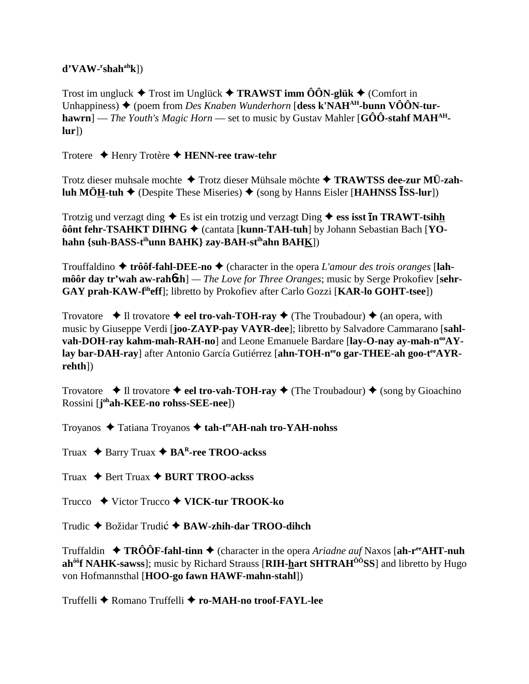## $d'VAW-rshah<sup>ah</sup>k$ ])

Trost im ungluck  $\triangle$  Trost im Unglück  $\triangle$  TRAWST imm ÔÔN-glük  $\triangle$  (Comfort in Unhappiness)  $\blacklozenge$  (poem from *Des Knaben Wunderhorn* [dess k'NAH<sup>AH</sup>-bunn VÔÔN-tur**hawrn**] — *The Youth's Magic Horn* — set to music by Gustav Mahler [G $\hat{O}\hat{O}$ -stahf MAH<sup>AH</sup>- $|ur|)$ 

Trotere  $\triangle$  Henry Trotère  $\triangle$  HENN-ree traw-tehr

Trotz dieser muhsale mochte ◆ Trotz dieser Mühsale möchte ◆ TRAWTSS dee-zur MÜ-zahluh MÖH-tuh  $\blacklozenge$  (Despite These Miseries)  $\blacklozenge$  (song by Hanns Eisler [HAHNSS ISS-lur])

Trotzig und verzagt ding  $\triangle$  Es ist ein trotzig und verzagt Ding  $\triangle$  ess isst **In TRAWT-tsihh** ôônt fehr-TSAHKT DIHNG → (cantata [kunn-TAH-tuh] by Johann Sebastian Bach [YOhahn {suh-BASS-t<sup>ih</sup>unn BAHK} zay-BAH-st<sup>ih</sup>ahn BAHK])

Trouffaldino  $\triangle$  trôôf-fahl-DEE-no  $\triangle$  (character in the opera L'amour des trois oranges [lah**môôr day tr'wah aw-rahozh**] — The Love for Three Oranges; music by Serge Prokofiev [sehr-GAY prah-KAW-f<sup>ih</sup>eff]; libretto by Prokofiev after Carlo Gozzi [KAR-lo GOHT-tsee])

Trovatore  $\bullet$  Il trovatore  $\bullet$  eel tro-vah-TOH-ray  $\bullet$  (The Troubadour)  $\bullet$  (an opera, with music by Giuseppe Verdi [**joo-ZAYP-pay VAYR-dee**]; libretto by Salvadore Cammarano [sahlvah-DOH-ray kahm-mah-RAH-no] and Leone Emanuele Bardare [lay-O-nay ay-mah-n<sup>oo</sup>AYlay bar-DAH-ray] after Antonio García Gutiérrez [ahn-TOH-n<sup>ee</sup> o gar-THEE-ah goo-t<sup>ee</sup>AYR $rehth$ ])

Trovatore  $\rightarrow$  Il trovatore  $\rightarrow$  eel tro-vah-TOH-ray  $\rightarrow$  (The Troubadour)  $\rightarrow$  (song by Gioachino Rossini [j<sup>oh</sup>ah-KEE-no rohss-SEE-nee])

Troyanos ◆ Tatiana Troyanos ◆ tah-t<sup>ee</sup>AH-nah tro-YAH-nohss

Truax  $\triangle$  Barry Truax  $\triangle$  BA<sup>R</sup>-ree TROO-ackss

Truax  $\triangle$  Bert Truax  $\triangle$  BURT TROO-ackss

Trucco  $\rightarrow$  Victor Trucco  $\rightarrow$  VICK-tur TROOK-ko

Trudic  $\triangle$  Božidar Trudić  $\triangle$  BAW-zhih-dar TROO-dihch

Truffaldin  $\rightarrow$  TRÔÔF-fahl-tinn  $\rightarrow$  (character in the opera *Ariadne auf* Naxos [ah-r<sup>ee</sup>**AHT-nuh**] ah<sup>ôô</sup>f NAHK-sawss]; music by Richard Strauss [RIH-hart SHTRAH<sup>ôô</sup>SS] and libretto by Hugo von Hofmannsthal [HOO-go fawn HAWF-mahn-stahl])

Truffelli ◆ Romano Truffelli ◆ ro-MAH-no troof-FAYL-lee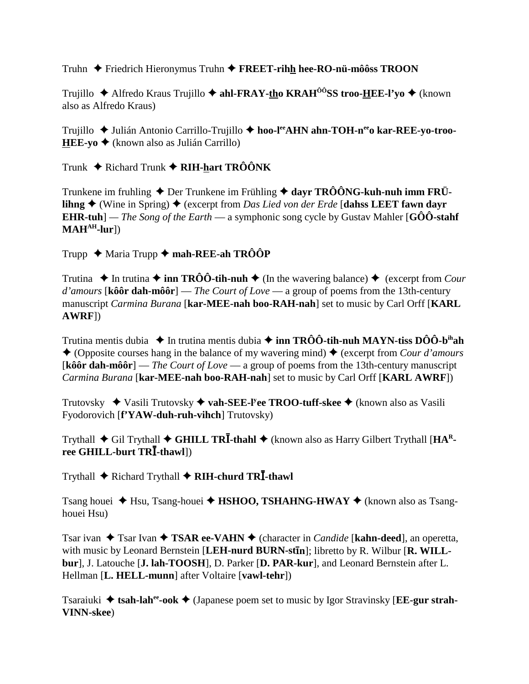Truhn ◆ Friedrich Hieronymus Truhn ◆ FREET-rihh hee-RO-nü-môôss TROON

Trujillo ◆ Alfredo Kraus Trujillo ◆ ahl-FRAY-tho KRAH<sup>ÔÔ</sup>SS troo-HEE-l'vo ◆ (known also as Alfredo Kraus)

Trujillo ◆ Julián Antonio Carrillo-Trujillo ◆ hoo-leand Ahn-TOH-neap kar-REE-yo-troo-**HEE-yo**  $\triangle$  (known also as Julián Carrillo)

Trunk  $\triangle$  Richard Trunk  $\triangle$  RIH-hart TRÔÔNK

Trunkene im fruhling  $\triangle$  Der Trunkene im Frühling  $\triangle$  dayr TRÔÔNG-kuh-nuh imm FRÜ**lihng**  $\blacklozenge$  (Wine in Spring)  $\blacklozenge$  (excerpt from *Das Lied von der Erde* [dahss LEET fawn davr **EHR-tuh**] — *The Song of the Earth* — a symphonic song cycle by Gustav Mahler [GOO-stahf]  $MAH<sup>AH</sup>-lur$ ]

Trupp  $\triangle$  Maria Trupp  $\triangle$  mah-REE-ah TRÔÔP

Trutina  $\triangle$  In trutina  $\triangle$  inn TRÔÔ-tih-nuh  $\triangle$  (In the wavering balance)  $\triangle$  (excerpt from *Cour* d'amours [kôôr dah-môôr] — The Court of Love — a group of poems from the 13th-century manuscript Carmina Burana [kar-MEE-nah boo-RAH-nah] set to music by Carl Orff [KARL  $AWRF$ ]

Trutina mentis dubia  $\triangleq$  In trutina mentis dubia  $\triangleq$  inn TRÔÔ-tih-nuh MAYN-tiss DÔÔ-b<sup>ih</sup>ah ◆ (Opposite courses hang in the balance of my wavering mind) ◆ (excerpt from Cour d'amours [kôôr dah-môôr] — The Court of Love — a group of poems from the 13th-century manuscript Carmina Burana [kar-MEE-nah boo-RAH-nah] set to music by Carl Orff [KARL AWRF])

Trutovsky  $\blacklozenge$  Vasili Trutovsky  $\blacklozenge$  vah-SEE-I'ee TROO-tuff-skee  $\blacklozenge$  (known also as Vasili Fyodorovich [f'YAW-duh-ruh-vihch] Trutovsky)

Trythall  $\blacklozenge$  Gil Trythall  $\blacklozenge$  GHILL TRI-thahl  $\blacklozenge$  (known also as Harry Gilbert Trythall [HA<sup>R</sup>ree GHILL-burt TRI-thawl])

Trythall ♦ Richard Trythall ♦ RIH-churd TRI-thawl

Tsang houei  $\triangle$  Hsu, Tsang-houei  $\triangle$  HSHOO, TSHAHNG-HWAY  $\triangle$  (known also as Tsanghouei Hsu)

Tsar ivan ◆ Tsar Ivan ◆ TSAR ee-VAHN ◆ (character in *Candide* [kahn-deed], an operetta, with music by Leonard Bernstein [LEH-nurd BURN-stin]; libretto by R. Wilbur [R. WILLbur], J. Latouche [J. lah-TOOSH], D. Parker [D. PAR-kur], and Leonard Bernstein after L. Hellman [L. HELL-munn] after Voltaire [vawl-tehr])

Tsaraiuki  $\triangleq$  tsah-lah<sup>ee</sup>-ook  $\triangleq$  (Japanese poem set to music by Igor Stravinsky [**EE-gur strah**-**VINN-skee**)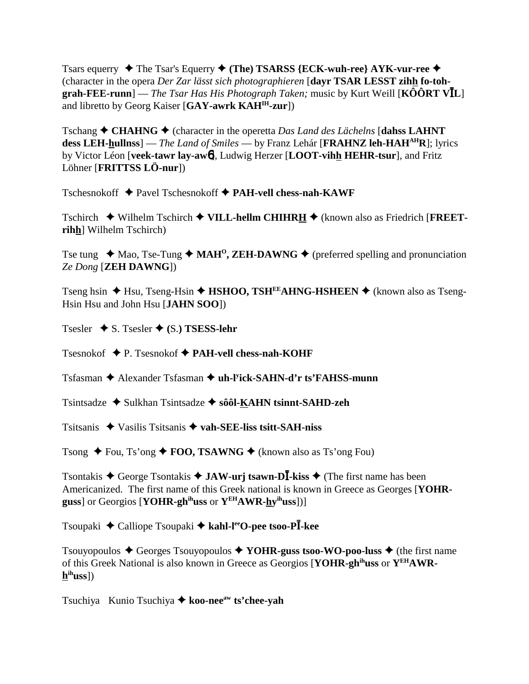Tsars equerry  $\blacklozenge$  The Tsar's Equerry  $\blacklozenge$  (The) TSARSS {ECK-wuh-ree} AYK-vur-ree  $\blacklozenge$ (character in the opera Der Zar lässt sich photographieren [dayr TSAR LESST zihh fo-toh**grah-FEE-runn**] — *The Tsar Has His Photograph Taken*; music by Kurt Weill [KOORT VIL] and libretto by Georg Kaiser [GAY-awrk KAH<sup>IH</sup>-zur])

Tschang  $\triangle$  CHAHNG  $\triangle$  (character in the operetta Das Land des Lächelns [dahss LAHNT] dess LEH-hullnss] — The Land of Smiles — by Franz Lehár [FRAHNZ leh-HAH<sup>AH</sup>R]; lyrics by Victor Léon [veek-tawr lav-awol], Ludwig Herzer [LOOT-vihh HEHR-tsur], and Fritz Löhner [FRITTSS LÖ-nur])

 $Tschesnokoff \rightarrow \text{Pavel Tschesnokoff} \rightarrow \text{PAH-vell chess-nah-KAWF}$ 

Tschirch  $\blacklozenge$  Wilhelm Tschirch  $\blacklozenge$  VILL-hellm CHIHRH  $\blacklozenge$  (known also as Friedrich [FREETrihh] Wilhelm Tschirch)

Tse tung  $\triangleleft$  Mao, Tse-Tung  $\triangleleft$  MAH<sup>o</sup>, ZEH-DAWNG  $\triangleleft$  (preferred spelling and pronunciation Ze Dong [**ZEH DAWNG**])

Tseng hsin  $\triangle$  Hsu, Tseng-Hsin  $\triangle$  HSHOO, TSH<sup>EE</sup>AHNG-HSHEEN  $\triangle$  (known also as Tseng-Hsin Hsu and John Hsu [JAHN SOO])

Tsesler  $\blacklozenge$  S. Tsesler  $\blacklozenge$  (S.) **TSESS-lehr** 

Tsesnokof  $\blacklozenge$  P. Tsesnokof  $\blacklozenge$  PAH-vell chess-nah-KOHF

 $Tsfasman \triangleleft$  Alexander Tsfasman  $\triangleleft$  uh-l<sup>y</sup>ick-SAHN-d'r ts'FAHSS-munn

Tsintsadze  $\triangle$  Sulkhan Tsintsadze  $\triangle$  sôôl-KAHN tsinnt-SAHD-zeh

Tsitsanis  $\triangle$  Vasilis Tsitsanis  $\triangle$  vah-SEE-liss tsitt-SAH-niss

Tsong  $\triangle$  Fou, Ts'ong  $\triangle$  FOO, TSAWNG  $\triangle$  (known also as Ts'ong Fou)

Tsontakis  $\triangle$  George Tsontakis  $\triangle$  JAW-urj tsawn-DĪ-kiss  $\triangle$  (The first name has been Americanized. The first name of this Greek national is known in Greece as Georges [YOHRguss] or Georgios [YOHR-gh<sup>ih</sup>uss or  $Y^{EH}AWR-hy^{ih}uss$ ])]

Tsoupaki ◆ Calliope Tsoupaki ◆ kahl-l<sup>ee</sup>O-pee tsoo-Pl kee

Tsouyopoulos  $\triangle$  Georges Tsouyopoulos  $\triangle$  YOHR-guss tsoo-WO-poo-luss  $\triangle$  (the first name of this Greek National is also known in Greece as Georgios [YOHR-gh<sup>ih</sup>uss or Y<sup>EH</sup>AWR $h^{ih}$ uss])

Tsuchiya Kunio Tsuchiya ♦ koo-nee<sup>aw</sup> ts'chee-yah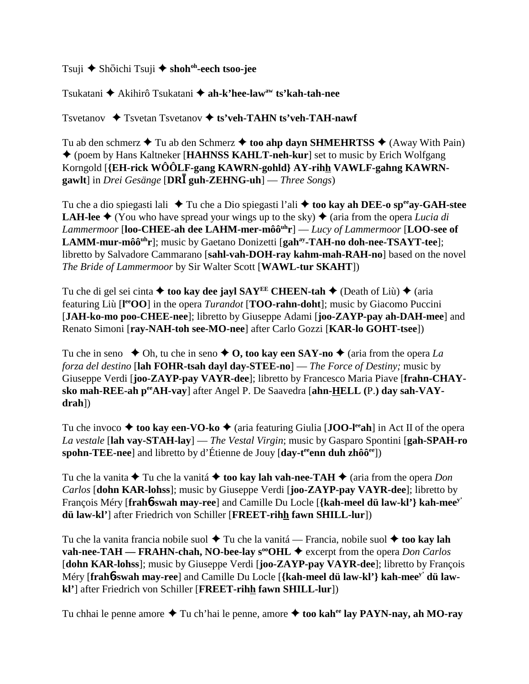Tsuji ◆ Shōichi Tsuji ◆ shoh<sup>oh</sup>-eech tsoo-jee

Tsukatani Akihirô Tsukatani **ah-k'hee-lawaw ts'kah-tah-nee**

Tsvetanov Tsvetan Tsvetanov **ts'veh-TAHN ts'veh-TAH-nawf**

Tu ab den schmerz  $\triangle$  Tu ab den Schmerz  $\triangle$  too ahp dayn SHMEHRTSS  $\triangle$  (Away With Pain) (poem by Hans Kaltneker [**HAHNSS KAHLT-neh-kur**] set to music by Erich Wolfgang Korngold [**{EH-rick WÔÔLF-gang KAWRN-gohld} AY-rihh VAWLF-gahng KAWRNgawlt**] in *Drei Gesänge* [**DR guh-ZEHNG-uh**] — *Three Songs*)

Tu che a dio spiegasti lali ◆ Tu che a Dio spiegasti l'ali ◆ too kay ah DEE-o sp<sup>ee</sup>ay-GAH-stee **LAH-lee**  $\triangle$  (You who have spread your wings up to the sky)  $\triangle$  (aria from the opera *Lucia di Lammermoor* [**loo-CHEE-ah dee LAHM-mer-môôuhr**] — *Lucy of Lammermoor* [**LOO-see of** LAMM-mur-môô<sup>uh</sup>r]; music by Gaetano Donizetti [gah<sup>ay</sup>-TAH-no doh-nee-TSAYT-tee]; libretto by Salvadore Cammarano [**sahl-vah-DOH-ray kahm-mah-RAH-no**] based on the novel *The Bride of Lammermoor* by Sir Walter Scott [**WAWL-tur SKAHT**])

Tu che di gel sei cinta  $\triangle$  too kay dee jayl SAY<sup>EE</sup> CHEEN-tah  $\triangle$  (Death of Liù)  $\triangle$  (aria featuring Liù [**l eeOO**] in the opera *Turandot* [**TOO-rahn-doht**]; music by Giacomo Puccini [**JAH-ko-mo poo-CHEE-nee**]; libretto by Giuseppe Adami [**joo-ZAYP-pay ah-DAH-mee**] and Renato Simoni [**ray-NAH-toh see-MO-nee**] after Carlo Gozzi [**KAR-lo GOHT-tsee**])

Tu che in seno  $\bullet$  Oh, tu che in seno  $\bullet$  O, too kay een SAY-no  $\bullet$  (aria from the opera *La forza del destino* [**lah FOHR-tsah dayl day-STEE-no**] — *The Force of Destiny;* music by Giuseppe Verdi [**joo-ZAYP-pay VAYR-dee**]; libretto by Francesco Maria Piave [**frahn-CHAYsko mah-REE-ah peeAH-vay**] after Angel P. De Saavedra [**ahn-HELL (**P.**) day sah-VAYdrah**])

Tu che invoco **→ too kay een-VO-ko →** (aria featuring Giulia [**JOO-l<sup>ee</sup>ah**] in Act II of the opera *La vestale* [**lah vay-STAH-lay**] — *The Vestal Virgin*; music by Gasparo Spontini [**gah-SPAH-ro spohn-TEE-nee**] and libretto by d'Étienne de Jouy [day-t<sup>ee</sup>enn duh zhôô<sup>ee</sup>])

Tu che la vanita  $\triangle$  Tu che la vanitá  $\triangle$  too kay lah vah-nee-TAH  $\triangle$  (aria from the opera *Don Carlos* [**dohn KAR-lohss**]; music by Giuseppe Verdi [**joo-ZAYP-pay VAYR-dee**]; libretto by François Méry [**frah**6**-swah may-ree**] and Camille Du Locle [**{kah-meel dü law-kl'} kah-meey' dü law-kl'**] after Friedrich von Schiller [**FREET-rihh fawn SHILL-lur**])

Tu che la vanita francia nobile suol **→** Tu che la vanitá — Francia, nobile suol **→ too kay lah vah-nee-TAH — FRAHN-chah, NO-bee-lay s<sup>oo</sup>OHL**  $\blacklozenge$  excerpt from the opera *Don Carlos* [**dohn KAR-lohss**]; music by Giuseppe Verdi [**joo-ZAYP-pay VAYR-dee**]; libretto by François Méry [**frah**6**-swah may-ree**] and Camille Du Locle [**{kah-meel dü law-kl'} kah-meey' dü lawkl'**] after Friedrich von Schiller [**FREET-rihh fawn SHILL-lur**])

Tu chhai le penne amore  $\triangle$  Tu ch'hai le penne, amore  $\triangle$  too kah<sup>ee</sup> lay PAYN-nay, ah MO-ray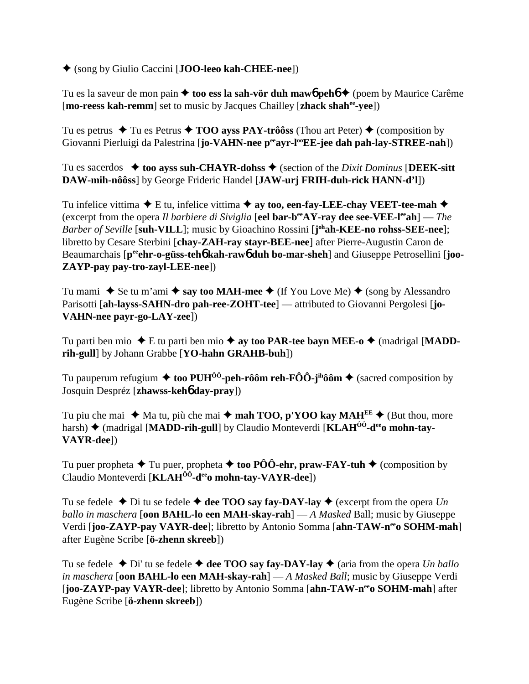(song by Giulio Caccini [**JOO-leeo kah-CHEE-nee**])

Tu es la saveur de mon pain **↓ too ess la sah-vör duh maw6 peh6 →** (poem by Maurice Carême [**mo-reess kah-remm**] set to music by Jacques Chailley [**zhack shahee-yee**])

Tu es petrus  $\triangle$  Tu es Petrus  $\triangle$  **TOO ayss PAY-trôôss** (Thou art Peter)  $\triangle$  (composition by Giovanni Pierluigi da Palestrina [**jo-VAHN-nee p<sup>ee</sup>ayr-l<sup>oo</sup>EE-jee dah pah-lay-STREE-nah**])

Tu es sacerdos  $\blacklozenge$  **too ayss suh-CHAYR-dohss**  $\blacklozenge$  (section of the *Dixit Dominus* [DEEK-sitt **DAW-mih-nôôss**] by George Frideric Handel [**JAW-urj FRIH-duh-rick HANN-d'l**])

Tu infelice vittima  $\blacklozenge$  E tu, infelice vittima  $\blacklozenge$  av too, een-fay-LEE-chay VEET-tee-mah  $\blacklozenge$ (excerpt from the opera *Il barbiere di Siviglia* [**eel bar-beeAY-ray dee see-VEE-leeah**] — *The Barber of Seville* [**suh-VILL**]; music by Gioachino Rossini [**j ohah-KEE-no rohss-SEE-nee**]; libretto by Cesare Sterbini [**chay-ZAH-ray stayr-BEE-nee**] after Pierre-Augustin Caron de Beaumarchais  $[p^{ee}$ **chr-o-güss-teh6** kah-raw**6** duh bo-mar-sheh and Giuseppe Petrosellini [joo-**ZAYP-pay pay-tro-zayl-LEE-nee**])

Tu mami  $\blacklozenge$  Se tu m'ami  $\blacklozenge$  say too MAH-mee  $\blacklozenge$  (If You Love Me)  $\blacklozenge$  (song by Alessandro Parisotti [ah-layss-SAHN-dro pah-ree-ZOHT-tee] — attributed to Giovanni Pergolesi [jo-**VAHN-nee payr-go-LAY-zee**])

Tu parti ben mio  $\blacklozenge$  E tu parti ben mio  $\blacklozenge$  ay too PAR-tee bayn MEE-o  $\blacklozenge$  (madrigal [MADD**rih-gull**] by Johann Grabbe [**YO-hahn GRAHB-buh**])

Tu pauperum refugium  $\triangleq$  too PUH<sup> $\hat{0}$ </sup>-peh-rôôm reh-FÔÔ-j<sup>ih</sup>ôôm  $\triangleq$  (sacred composition by Josquin Despréz [**zhawss-keh**6 **day-pray**])

Tu piu che mai  $\blacklozenge$  Ma tu, più che mai  $\blacklozenge$  **mah TOO, p'YOO kay MAH**<sup>EE</sup>  $\blacklozenge$  (But thou, more harsh) ◆ (madrigal [MADD-rih-gull] by Claudio Monteverdi [KLAH<sup>ôô</sup>-d<sup>ee</sup>o mohn-tay-**VAYR-dee**])

Tu puer propheta  $\blacklozenge$  Tu puer, propheta  $\blacklozenge$  too PÔÔ-ehr, praw-FAY-tuh  $\blacklozenge$  (composition by Claudio Monteverdi [**KLAH<sup>OO</sup>-d<sup>ee</sup>o mohn-tay-VAYR-dee**])

Tu se fedele  $\blacklozenge$  Di tu se fedele  $\blacklozenge$  dee TOO say fay-DAY-lay  $\blacklozenge$  (excerpt from the opera *Un ballo in maschera* [**oon BAHL-lo een MAH-skay-rah**] — *A Masked* Ball; music by Giuseppe Verdi [**joo-ZAYP-pay VAYR-dee**]; libretto by Antonio Somma [**ahn-TAW-neeo SOHM-mah**] after Eugène Scribe [**ö-zhenn skreeb**])

Tu se fedele  $\triangle$  Di' tu se fedele  $\triangle$  dee TOO say fay-DAY-lay  $\triangle$  (aria from the opera *Un ballo in maschera* [**oon BAHL-lo een MAH-skay-rah**] — *A Masked Ball*; music by Giuseppe Verdi [**joo-ZAYP-pay VAYR-dee**]; libretto by Antonio Somma [**ahn-TAW-neeo SOHM-mah**] after Eugène Scribe [**ö-zhenn skreeb**])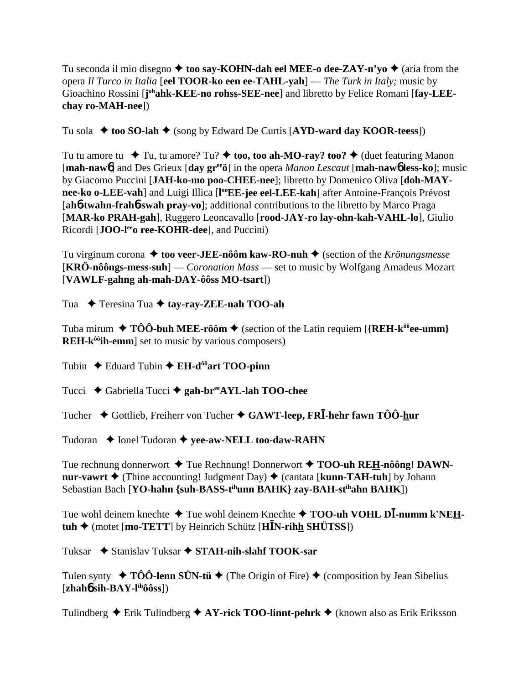Tu seconda il mio disegno  $\triangleq$  too say-KOHN-dah eel MEE-o dee-ZAY-n'yo  $\triangleq$  (aria from the opera *Il Turco in Italia* [**eel TOOR-ko een ee-TAHL-yah**] — *The Turk in Italy;* music by Gioachino Rossini [j<sup>oh</sup>ahk-KEE-no rohss-SEE-nee] and libretto by Felice Romani [fay-LEE**chay ro-MAH-nee**])

Tu sola  $\triangle$  too SO-lah  $\triangle$  (song by Edward De Curtis [AYD-ward day KOOR-teess])

Tu tu amore tu  $\blacklozenge$  Tu, tu amore? Tu?  $\blacklozenge$  too, too ah-MO-ray? too?  $\blacklozenge$  (duet featuring Manon [**mah-naw**6] and Des Grieux [**day greeö**] in the opera *Manon Lescaut* [**mah-naw**6 **less-ko**]; music by Giacomo Puccini [**JAH-ko-mo poo-CHEE-nee**]; libretto by Domenico Oliva [**doh-MAY**nee-ko o-LEE-vah] and Luigi Illica [l<sup>oo</sup>EE-jee eel-LEE-kah] after Antoine-François Prévost [**ah**6**-twahn-frah**6**-swah pray-vo**]; additional contributions to the libretto by Marco Praga [**MAR-ko PRAH-gah**], Ruggero Leoncavallo [**rood-JAY-ro lay-ohn-kah-VAHL-lo**], Giulio Ricordi [**JOO-l<sup>ee</sup>o ree-KOHR-dee**], and Puccini)

Tu virginum corona **→ too veer-JEE-nôôm kaw-RO-nuh →** (section of the *Krönungsmesse* [**KRÖ-nôôngs-mess-suh**] — *Coronation Mass* — set to music by Wolfgang Amadeus Mozart [**VAWLF-gahng ah-mah-DAY-ôôss MO-tsart**])

Tua **→** Teresina Tua → tay-ray-ZEE-nah TOO-ah

Tuba mirum  $\blacklozenge$  TÔÔ-buh MEE-rôôm  $\blacklozenge$  (section of the Latin requiem [{REH-k<sup>ôô</sup>ee-umm} **REH-k<sup>ôô</sup>ih-emm**] set to music by various composers)

Tubin  $\triangle$  Eduard Tubin  $\triangle$  **EH-d<sup>ôô</sup>art TOO-pinn** 

Tucci Gabriella Tucci **gah-breeAYL-lah TOO-chee**

Tucher Gottlieb, Freiherr von Tucher **GAWT-leep, FR-hehr fawn TÔÔ-hur**

Tudoran **← Ionel Tudoran ← yee-aw-NELL too-daw-RAHN** 

Tue rechnung donnerwort ◆ Tue Rechnung! Donnerwort ◆ TOO-uh REH-nôông! DAWN**nur-vawrt**  $\triangle$  (Thine accounting! Judgment Day)  $\triangle$  (cantata [**kunn-TAH-tuh**] by Johann Sebastian Bach [**YO-hahn {suh-BASS-tihunn BAHK} zay-BAH-stihahn BAHK**])

Tue wohl deinem knechte ◆ Tue wohl deinem Knechte ◆ TOO-uh VOHL D**I-numm k'NEH-** $\tanh \diamond$  (motet [mo-TETT] by Heinrich Schütz [H**I**N-rihh SHÜTSS])

Tuksar **→** Stanislav Tuksar → STAH-nih-slahf TOOK-sar

Tulen synty  $\rightarrow$  TÔÔ-lenn SÜN-tü  $\rightarrow$  (The Origin of Fire)  $\rightarrow$  (composition by Jean Sibelius  $[\mathbf{zhah6\,sih\text{-}BAY\text{-}l\text{th}\hat{o}\hat{o}\text{ss}]}$ 

Tulindberg  $\triangle$  Erik Tulindberg  $\triangle$  AY-rick TOO-linnt-pehrk  $\triangle$  (known also as Erik Eriksson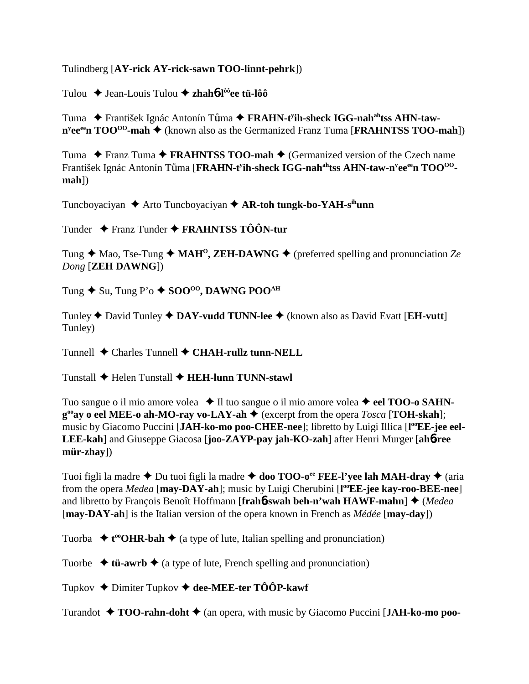Tulindberg [**AY-rick AY-rick-sawn TOO-linnt-pehrk**])

Tulou Jean-Louis Tulou **zhah**6**-lôôee tü-lôô**

Tuma ◆ František Ignác Antonín Tůma ◆ FRAHN-t<sup>y</sup>ih-sheck IGG-nah<sup>ah</sup>tss AHN-taw**n**<sup>y</sup>ee<sup>ee</sup>n **TOO<sup>oo</sup>-mah ◆** (known also as the Germanized Franz Tuma [**FRAHNTSS TOO-mah**])

Tuma ◆ Franz Tuma ◆ **FRAHNTSS TOO-mah** ◆ (Germanized version of the Czech name František Ignác Antonín Tůma [**FRAHN-t<sup>y</sup>ih-sheck IGG-nah<sup>ah</sup>tss AHN-taw-n<sup>y</sup>ee<sup>ee</sup>n TOO<sup>00</sup>mah**])

Tuncboyaciyan **→** Arto Tuncboyaciyan → **AR-toh tungk-bo-YAH-s<sup>ih</sup>unn** 

Tunder Franz Tunder **FRAHNTSS TÔÔN-tur**

Tung  $\triangle$  Mao, Tse-Tung  $\triangle$  MAH<sup>O</sup>, ZEH-DAWNG  $\triangle$  (preferred spelling and pronunciation *Ze Dong* [**ZEH DAWNG**])

Tung ◆ Su, Tung P'o ◆ SOO<sup>00</sup>, DAWNG POO<sup>AH</sup>

Tunley David Tunley **DAY-vudd TUNN-lee** (known also as David Evatt [**EH-vutt**] Tunley)

Tunnell **→** Charles Tunnell ◆ CHAH-rullz tunn-NELL

Tunstall Helen Tunstall **HEH-lunn TUNN-stawl**

Tuo sangue o il mio amore volea **→** Il tuo sangue o il mio amore volea → eel **TOO-o SAHNg<sup>∞</sup>ay o eel MEE-o ah-MO-ray vo-LAY-ah ♦** (excerpt from the opera *Tosca* [TOH-skah]; music by Giacomo Puccini [JAH-ko-mo poo-CHEE-nee]; libretto by Luigi Illica [l<sup>oo</sup>EE-jee eel-**LEE-kah**] and Giuseppe Giacosa [**joo-ZAYP-pay jah-KO-zah**] after Henri Murger [**ah**6**-ree mür-zhay**])

Tuoi figli la madre ◆ Du tuoi figli la madre ◆ doo TOO-o<sup>ee</sup> FEE-l'yee lah MAH-dray ◆ (aria from the opera *Medea* [**may-DAY-ah**]; music by Luigi Cherubini [**l ooEE-jee kay-roo-BEE-nee**] and libretto by François Benoît Hoffmann [**frahb-swah beh-n'wah HAWF-mahn**] ♦ (Medea [**may-DAY-ah**] is the Italian version of the opera known in French as *Médée* [**may-day**])

Tuorba  $\triangleleft$  **t**<sup>oo</sup>**OHR-bah**  $\triangleq$  (a type of lute, Italian spelling and pronunciation)

Tuorbe  $\triangleq$  **tü-awrb**  $\triangleq$  (a type of lute, French spelling and pronunciation)

Tupkov Dimiter Tupkov **dee-MEE-ter TÔÔP-kawf**

Turandot **→ TOO-rahn-doht** ◆ (an opera, with music by Giacomo Puccini [JAH-ko-mo poo-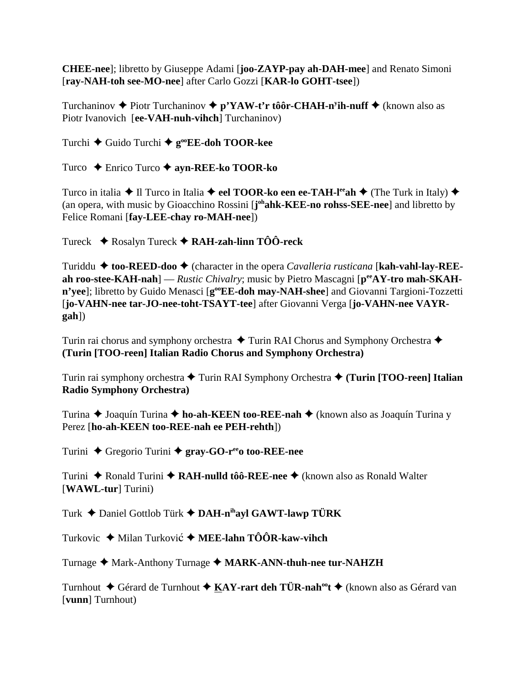**CHEE-nee**]; libretto by Giuseppe Adami [**joo-ZAYP-pay ah-DAH-mee**] and Renato Simoni [**ray-NAH-toh see-MO-nee**] after Carlo Gozzi [**KAR-lo GOHT-tsee**])

Turchaninov Piotr Turchaninov **p'YAW-t'r tôôr-CHAH-ny ih-nuff** (known also as Piotr Ivanovich [**ee-VAH-nuh-vihch**] Turchaninov)

Turchi **→** Guido Turchi → **g**<sup>oo</sup>**EE-doh TOOR-kee** 

Turco Enrico Turco **ayn-REE-ko TOOR-ko**

Turco in italia  $\triangle$  Il Turco in Italia  $\triangle$  eel **TOOR-ko een ee-TAH-l<sup>ee</sup>ah**  $\triangle$  (The Turk in Italy)  $\triangle$ (an opera, with music by Gioacchino Rossini [**j ohahk-KEE-no rohss-SEE-nee**] and libretto by Felice Romani [**fay-LEE-chay ro-MAH-nee**])

Tureck Rosalyn Tureck **RAH-zah-linn TÔÔ-reck**

Turiddu ◆ too-REED-doo ◆ (character in the opera *Cavalleria rusticana* [kah-vahl-lay-REEah roo-stee-KAH-nah] — *Rustic Chivalry*; music by Pietro Mascagni [ $p^{ee}AY$ -tro mah-SKAH**n'yee**]; libretto by Guido Menasci [**g**<sup>oo</sup>**EE-doh may-NAH-shee**] and Giovanni Targioni-Tozzetti [**jo-VAHN-nee tar-JO-nee-toht-TSAYT-tee**] after Giovanni Verga [**jo-VAHN-nee VAYRgah**])

Turin rai chorus and symphony orchestra  $\triangle$  Turin RAI Chorus and Symphony Orchestra  $\triangle$ **(Turin [TOO-reen] Italian Radio Chorus and Symphony Orchestra)**

Turin rai symphony orchestra ◆ Turin RAI Symphony Orchestra ◆ (Turin [TOO-reen] Italian **Radio Symphony Orchestra)**

Turina ◆ Joaquín Turina ◆ ho-ah-KEEN too-REE-nah ◆ (known also as Joaquín Turina y Perez [**ho-ah-KEEN too-REE-nah ee PEH-rehth**])

Turini ◆ Gregorio Turini ◆ gray-GO-r<sup>ee</sup>o too-REE-nee

Turini ◆ Ronald Turini ◆ **RAH-nulld tôô-REE-nee** ◆ (known also as Ronald Walter [**WAWL-tur**] Turini)

Turk Daniel Gottlob Türk **DAH-nihayl GAWT-lawp TÜRK**

Turkovic ◆ Milan Turković ◆ MEE-lahn TÔÔR-kaw-vihch

Turnage ◆ Mark-Anthony Turnage ◆ MARK-ANN-thuh-nee tur-NAHZH

Turnhout ◆ Gérard de Turnhout ◆ KAY-rart deh TÜR-nah<sup>oo</sup>t ◆ (known also as Gérard van [**vunn**] Turnhout)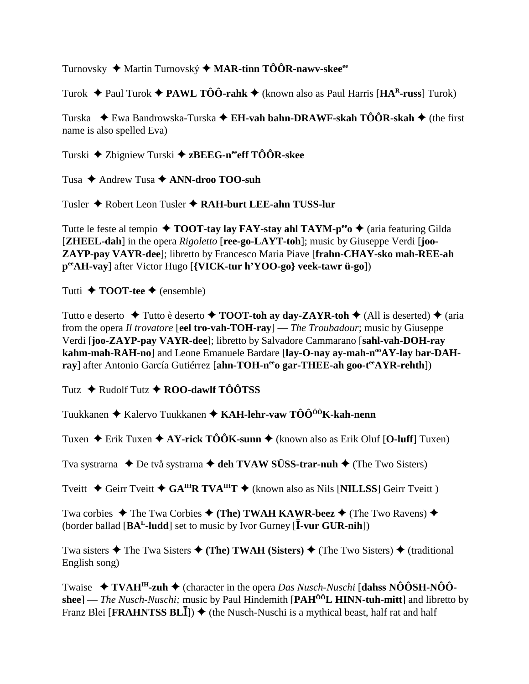Turnovsky ◆ Martin Turnovský ◆ MAR-tinn TÔÔR-nawv-skee<sup>ee</sup>

Turok Paul Turok **PAWL TÔÔ-rahk** (known also as Paul Harris [**HAR-russ**] Turok)

Turska ◆ Ewa Bandrowska-Turska ◆ E**H-vah bahn-DRAWF-skah TÔÔR-skah ◆** (the first name is also spelled Eva)

Turski ◆ Zbigniew Turski ◆ zBEEG-n<sup>ee</sup>eff TÔÔR-skee

Tusa **→** Andrew Tusa **→ ANN-droo TOO-suh** 

Tusler Robert Leon Tusler **RAH-burt LEE-ahn TUSS-lur**

Tutte le feste al tempio  $\triangle$  **TOOT-tay lay FAY-stay ahl TAYM-p<sup>ee</sup>o**  $\triangle$  (aria featuring Gilda [**ZHEEL-dah**] in the opera *Rigoletto* [**ree-go-LAYT-toh**]; music by Giuseppe Verdi [**joo-ZAYP-pay VAYR-dee**]; libretto by Francesco Maria Piave [**frahn-CHAY-sko mah-REE-ah peeAH-vay**] after Victor Hugo [**{VICK-tur h'YOO-go} veek-tawr ü-go**])

Tutti  $\triangle$  **TOOT-tee**  $\triangle$  (ensemble)

Tutto e deserto  $\triangle$  Tutto è deserto  $\triangle$  **TOOT-toh ay day-ZAYR-toh**  $\triangle$  (All is deserted)  $\triangle$  (aria from the opera *Il trovatore* [**eel tro-vah-TOH-ray**] — *The Troubadour*; music by Giuseppe Verdi [**joo-ZAYP-pay VAYR-dee**]; libretto by Salvadore Cammarano [**sahl-vah-DOH-ray** kahm-mah-RAH-no] and Leone Emanuele Bardare [lay-O-nay ay-mah-n<sup>oo</sup>AY-lay bar-DAH**ray**] after Antonio García Gutiérrez [ahn-TOH-nee gar-THEE-ah goo-t<sup>ee</sup>AYR-rehth])

Tutz **→** Rudolf Tutz **→ ROO-dawlf TÔÔTSS** 

Tuukkanen ◆ Kalervo Tuukkanen ◆ KAH-lehr-vaw TÔÔ<sup>ôô</sup>K-kah-nenn

Tuxen **→** Erik Tuxen **→ AY-rick TÔÔK-sunn →** (known also as Erik Oluf [O-luff] Tuxen)

Tva systrarna ◆ De två systrarna ◆ deh TVAW SÜSS-trar-nuh ◆ (The Two Sisters)

Tveitt **◆ Geirr Tveitt ◆ GA<sup>IH</sup>R TVA<sup>IH</sup>T ◆** (known also as Nils [NILLSS] Geirr Tveitt )

Twa corbies **→** The Twa Corbies **→ (The) TWAH KAWR-beez →** (The Two Ravens) → (border ballad  $[\mathbf{BA}^L$ -ludd] set to music by Ivor Gurney  $[\mathbf{I}$ -vur GUR-nih])

Twa sisters  $\triangle$  The Twa Sisters  $\triangle$  (The) TWAH (Sisters)  $\triangle$  (The Two Sisters)  $\triangle$  (traditional English song)

Twaise **TVAHIH-zuh** (character in the opera *Das Nusch-Nuschi* [**dahss NÔÔSH-NÔÔshee**] — *The Nusch-Nuschi;* music by Paul Hindemith [**PAHÔÔL HINN-tuh-mitt**] and libretto by Franz Blei [**FRAHNTSS BLI**])  $\blacklozenge$  (the Nusch-Nuschi is a mythical beast, half rat and half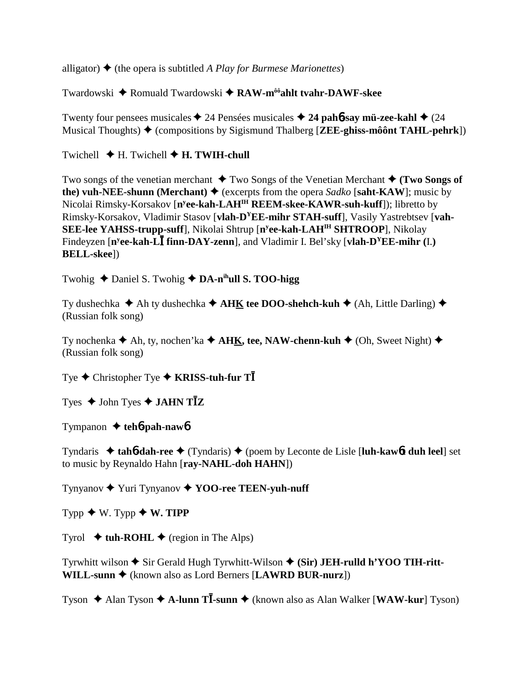alligator)  $\triangleq$  (the opera is subtitled *A Play for Burmese Marionettes*)

Twardowski ◆ Romuald Twardowski ◆ RAW-m<sup>ôô</sup>ahlt tvahr-DAWF-skee

Twenty four pensees musicales  $\triangle$  24 Pensées musicales  $\triangle$  24 pah**6**-say mü-zee-kahl  $\triangle$  (24 Musical Thoughts) (compositions by Sigismund Thalberg [**ZEE-ghiss-môônt TAHL-pehrk**])

Twichell  $\blacklozenge$  H. Twichell  $\blacklozenge$  H. TWIH-chull

Two songs of the venetian merchant  $\triangle$  Two Songs of the Venetian Merchant  $\triangle$  (Two Songs of **the) vuh-NEE-shunn (Merchant)**  $\blacklozenge$  (excerpts from the opera *Sadko* [saht-KAW]; music by Nicolai Rimsky-Korsakov [**ny ee-kah-LAHIH REEM-skee-KAWR-suh-kuff**]); libretto by Rimsky-Korsakov, Vladimir Stasov [**vlah-DYEE-mihr STAH-suff**], Vasily Yastrebtsev [**vah-SEE-lee YAHSS-trupp-suff**], Nikolai Shtrup [**ny ee-kah-LAHIH SHTROOP**], Nikolay Findeyzen [n<sup>y</sup>ee-kah-L**I** finn-DAY-zenn], and Vladimir I. Bel'sky [vlah-D<sup>Y</sup>EE-mihr (I.) **BELL-skee**])

Twohig ◆ Daniel S. Twohig ◆ DA-n<sup>ih</sup>ull S. TOO-higg

Ty dushechka  $\blacklozenge$  Ah ty dushechka  $\blacklozenge$  **AHK tee DOO-shehch-kuh**  $\blacklozenge$  (Ah, Little Darling)  $\blacklozenge$ (Russian folk song)

Ty nochenka  $\blacklozenge$  Ah, ty, nochen'ka  $\blacklozenge$  **AHK, tee, NAW-chenn-kuh**  $\blacklozenge$  (Oh, Sweet Night)  $\blacklozenge$ (Russian folk song)

Tye **→** Christopher Tye **→ KRISS-tuh-fur T** 

Tyes  $\blacklozenge$  John Tyes  $\blacklozenge$  **JAHN TZ** 

Tympanon  $\triangleleft$  teh**6**-pah-naw**6** 

Tyndaris **tah**6**-dah-ree** (Tyndaris) (poem by Leconte de Lisle [**luh-kaw**6**t duh leel**] set to music by Reynaldo Hahn [**ray-NAHL-doh HAHN**])

Tynyanov Yuri Tynyanov **YOO-ree TEEN-yuh-nuff**

 $Type \rightarrow W$ . Typp  $\rightarrow W$ . TIPP

Tyrol  $\triangleleft$  tuh-ROHL  $\triangleleft$  (region in The Alps)

Tyrwhitt wilson ◆ Sir Gerald Hugh Tyrwhitt-Wilson ◆ (Sir) JEH-rulld h'YOO TIH-ritt-**WILL-sunn ♦** (known also as Lord Berners [**LAWRD BUR-nurz**])

Tyson ◆ Alan Tyson ◆ A-lunn T**I**-sunn ◆ (known also as Alan Walker [WAW-kur] Tyson)